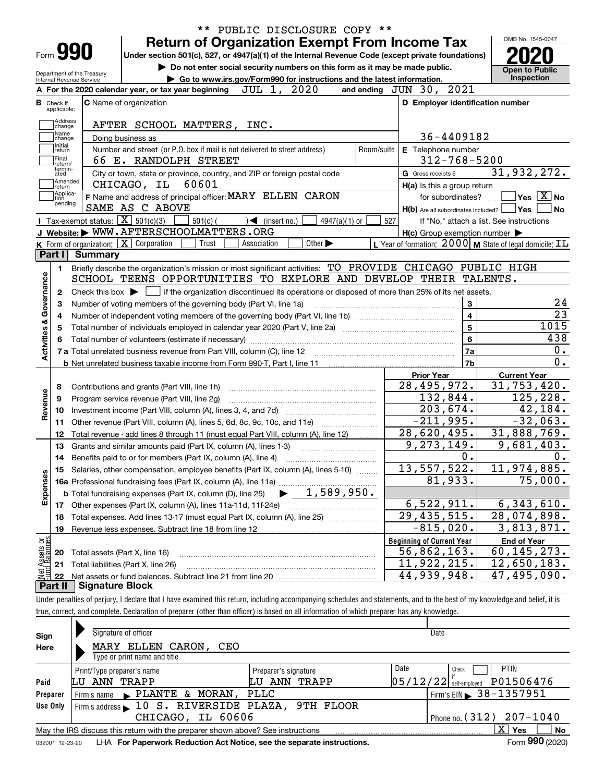|                                                        |                                  |                                      | <b>Return of Organization Exempt From Income Tax</b>                                                                                         |                                                                            | OMB No. 1545-0047                                                                                                                        |
|--------------------------------------------------------|----------------------------------|--------------------------------------|----------------------------------------------------------------------------------------------------------------------------------------------|----------------------------------------------------------------------------|------------------------------------------------------------------------------------------------------------------------------------------|
|                                                        | Form <b>990</b>                  |                                      | Under section 501(c), 527, or 4947(a)(1) of the Internal Revenue Code (except private foundations)                                           |                                                                            |                                                                                                                                          |
|                                                        |                                  | Department of the Treasury           | Do not enter social security numbers on this form as it may be made public.                                                                  |                                                                            | <b>Open to Public</b>                                                                                                                    |
|                                                        | <b>Internal Revenue Service</b>  |                                      | Go to www.irs.gov/Form990 for instructions and the latest information.<br>JUL 1, 2020<br>A For the 2020 calendar year, or tax year beginning | 2021<br>and ending $JUN$ 30,                                               | <b>Inspection</b>                                                                                                                        |
|                                                        |                                  |                                      |                                                                                                                                              |                                                                            |                                                                                                                                          |
|                                                        | <b>B</b> Check if<br>applicable: |                                      | <b>C</b> Name of organization                                                                                                                | D Employer identification number                                           |                                                                                                                                          |
|                                                        | Address<br> change               |                                      | AFTER SCHOOL MATTERS, INC.                                                                                                                   |                                                                            |                                                                                                                                          |
|                                                        | Name<br>change                   |                                      | Doing business as                                                                                                                            | 36-4409182                                                                 |                                                                                                                                          |
|                                                        | Initial<br>return                |                                      | Number and street (or P.O. box if mail is not delivered to street address)<br>Room/suite                                                     | E Telephone number                                                         |                                                                                                                                          |
|                                                        | Final                            |                                      | 66 E. RANDOLPH STREET                                                                                                                        | $312 - 768 - 5200$                                                         |                                                                                                                                          |
|                                                        | return/<br>termin-<br>ated       |                                      | City or town, state or province, country, and ZIP or foreign postal code                                                                     | G Gross receipts \$                                                        | 31,932,272.                                                                                                                              |
|                                                        | Amended<br>∣return               |                                      | 60601<br>CHICAGO, IL                                                                                                                         | H(a) Is this a group return                                                |                                                                                                                                          |
|                                                        | Applica-<br>tion                 |                                      | F Name and address of principal officer: MARY ELLEN CARON                                                                                    | for subordinates?                                                          | $\sqrt{}$ Yes $\sqrt{}$ $\overline{\text{X}}$ No                                                                                         |
|                                                        | pending                          |                                      | SAME AS C ABOVE                                                                                                                              | $H(b)$ Are all subordinates included? $\Box$ Yes                           |                                                                                                                                          |
|                                                        |                                  |                                      | Tax-exempt status: $\boxed{\mathbf{X}}$ 501(c)(3)<br>$501(c)$ (<br>$\sqrt{\bullet}$ (insert no.)<br>$4947(a)(1)$ or                          | 527                                                                        | If "No," attach a list. See instructions                                                                                                 |
|                                                        |                                  |                                      | J Website: WWW.AFTERSCHOOLMATTERS.ORG                                                                                                        | $H(c)$ Group exemption number $\blacktriangleright$                        |                                                                                                                                          |
|                                                        |                                  |                                      | K Form of organization: X Corporation<br>Other $\blacktriangleright$<br>Trust<br>Association                                                 | L Year of formation: $2000 \text{ m}$ State of legal domicile: $\text{IL}$ |                                                                                                                                          |
|                                                        | Part I                           | Summary                              |                                                                                                                                              |                                                                            |                                                                                                                                          |
|                                                        | 1.                               |                                      | Briefly describe the organization's mission or most significant activities: TO PROVIDE CHICAGO PUBLIC HIGH                                   |                                                                            |                                                                                                                                          |
|                                                        |                                  |                                      | SCHOOL TEENS OPPORTUNITIES TO EXPLORE AND DEVELOP THEIR TALENTS.                                                                             |                                                                            |                                                                                                                                          |
|                                                        | 2                                | Check this box $\blacktriangleright$ | if the organization discontinued its operations or disposed of more than 25% of its net assets.                                              |                                                                            |                                                                                                                                          |
|                                                        | З                                |                                      | Number of voting members of the governing body (Part VI, line 1a)                                                                            | 3                                                                          |                                                                                                                                          |
|                                                        | 4                                |                                      |                                                                                                                                              | $\overline{\mathbf{4}}$                                                    |                                                                                                                                          |
|                                                        | 5                                |                                      |                                                                                                                                              | 5                                                                          | 1015                                                                                                                                     |
|                                                        |                                  |                                      |                                                                                                                                              | 6                                                                          | 438                                                                                                                                      |
| Activities & Governance                                |                                  |                                      |                                                                                                                                              | 7a                                                                         |                                                                                                                                          |
|                                                        |                                  |                                      |                                                                                                                                              | 7b                                                                         |                                                                                                                                          |
|                                                        |                                  |                                      |                                                                                                                                              | <b>Prior Year</b>                                                          | <b>Current Year</b>                                                                                                                      |
|                                                        | 8                                |                                      | Contributions and grants (Part VIII, line 1h)                                                                                                | 28,495,972.                                                                | 31,753,420.                                                                                                                              |
|                                                        | 9                                |                                      | Program service revenue (Part VIII, line 2g)                                                                                                 | 132,844.                                                                   | 125, 228.                                                                                                                                |
|                                                        | 10                               |                                      |                                                                                                                                              |                                                                            |                                                                                                                                          |
|                                                        | 11                               |                                      |                                                                                                                                              |                                                                            |                                                                                                                                          |
|                                                        | 12                               |                                      |                                                                                                                                              | $\overline{203,674}$ .<br>$-211,995.$                                      |                                                                                                                                          |
|                                                        |                                  |                                      | Other revenue (Part VIII, column (A), lines 5, 6d, 8c, 9c, 10c, and 11e)                                                                     | 28,620,495.                                                                |                                                                                                                                          |
|                                                        | 13                               |                                      | Total revenue - add lines 8 through 11 (must equal Part VIII, column (A), line 12)                                                           |                                                                            |                                                                                                                                          |
|                                                        | 14                               |                                      | Grants and similar amounts paid (Part IX, column (A), lines 1-3)                                                                             | 9, 273, 149.<br>0.                                                         |                                                                                                                                          |
|                                                        |                                  |                                      |                                                                                                                                              |                                                                            |                                                                                                                                          |
|                                                        |                                  |                                      | 15 Salaries, other compensation, employee benefits (Part IX, column (A), lines 5-10)                                                         | 13,557,522.<br>81,933.                                                     |                                                                                                                                          |
|                                                        |                                  |                                      | 1,589,950.<br><b>b</b> Total fundraising expenses (Part IX, column (D), line 25)                                                             |                                                                            |                                                                                                                                          |
|                                                        | 17                               |                                      |                                                                                                                                              | 6,522,911.                                                                 |                                                                                                                                          |
|                                                        | 18                               |                                      |                                                                                                                                              | $\overline{29}$ , 435, 515.                                                |                                                                                                                                          |
|                                                        | 19                               |                                      | Total expenses. Add lines 13-17 (must equal Part IX, column (A), line 25) [<br>Revenue less expenses. Subtract line 18 from line 12          | $-815,020.$                                                                |                                                                                                                                          |
|                                                        |                                  |                                      |                                                                                                                                              |                                                                            |                                                                                                                                          |
|                                                        | 20                               |                                      |                                                                                                                                              | <b>Beginning of Current Year</b>                                           | <b>End of Year</b>                                                                                                                       |
|                                                        |                                  |                                      | Total assets (Part X, line 16)                                                                                                               | 56,862,163.                                                                | 42,184.<br>$-32,063.$<br>31,888,769.<br>9,681,403.<br>11,974,885.<br>75,000.<br>6,343,610.<br>28,074,898.<br>3,813,871.<br>60, 145, 273. |
| Revenue<br>Expenses<br>t Assets or<br>id Balances<br>嶤 | 21<br>22                         |                                      | Total liabilities (Part X, line 26)                                                                                                          | $\overline{11,922,215}$ .<br>44,939,948.                                   | 12,650,183.<br>47,495,090.                                                                                                               |

| Sign     | Signature of officer<br>MARY ELLEN CARON, CEO                                   |                      | Date                                         |  |  |  |  |  |  |  |  |  |
|----------|---------------------------------------------------------------------------------|----------------------|----------------------------------------------|--|--|--|--|--|--|--|--|--|
| Here     | Type or print name and title                                                    |                      |                                              |  |  |  |  |  |  |  |  |  |
|          | Print/Type preparer's name                                                      | Preparer's signature | <b>PTIN</b><br>Date<br>Check                 |  |  |  |  |  |  |  |  |  |
| Paid     | LU ANN TRAPP                                                                    | LU ANN TRAPP         | 05/12/22 self-employed P01506476             |  |  |  |  |  |  |  |  |  |
| Preparer | Firm's name PLANTE & MORAN, PLLC                                                |                      | $1$ Firm's EIN $\triangleright$ 38 - 1357951 |  |  |  |  |  |  |  |  |  |
| Use Only | Firm's address 10 S. RIVERSIDE PLAZA, 9TH FLOOR                                 |                      |                                              |  |  |  |  |  |  |  |  |  |
|          | Phone no. $(312)$ $207-1040$<br>CHICAGO, IL 60606                               |                      |                                              |  |  |  |  |  |  |  |  |  |
|          | May the IRS discuss this return with the preparer shown above? See instructions |                      | $\mathbf{x}$<br>Yes<br>No                    |  |  |  |  |  |  |  |  |  |
|          | $F_{\text{max}}$ 000 $(0.000)$                                                  |                      |                                              |  |  |  |  |  |  |  |  |  |

true, correct, and complete. Declaration of preparer (other than officer) is based on all information of which preparer has any knowledge.

032001 12-23-20 LHA **For Paperwork Reduction Act Notice, see the separate instructions.** Form 990 (2020)

**990**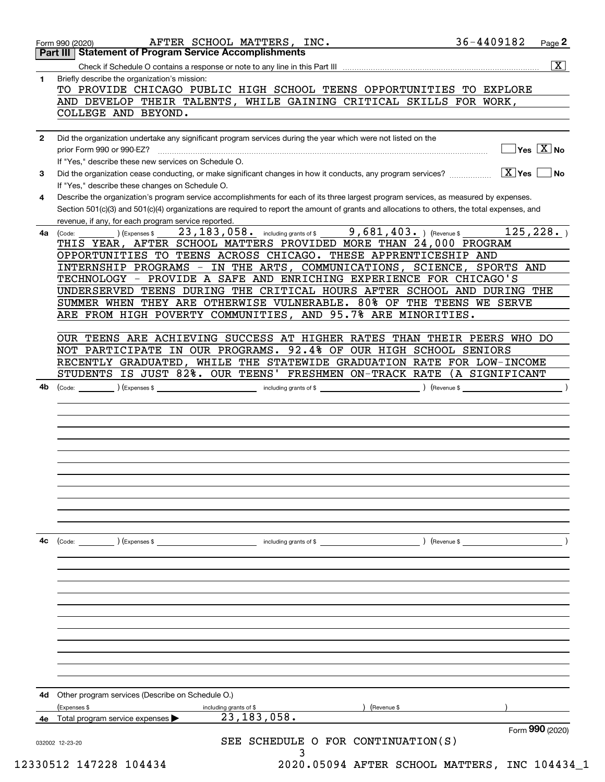|              | 36-4409182<br>AFTER SCHOOL MATTERS, INC.<br>Page 2<br>Form 990 (2020)<br><b>Part III   Statement of Program Service Accomplishments</b>                                                                                                                                                                |
|--------------|--------------------------------------------------------------------------------------------------------------------------------------------------------------------------------------------------------------------------------------------------------------------------------------------------------|
|              | $\overline{\mathbf{x}}$                                                                                                                                                                                                                                                                                |
| 1.           | Briefly describe the organization's mission:<br>TO PROVIDE CHICAGO PUBLIC HIGH SCHOOL TEENS OPPORTUNITIES TO EXPLORE<br>AND DEVELOP THEIR TALENTS, WHILE GAINING CRITICAL SKILLS FOR WORK,<br>COLLEGE AND BEYOND.                                                                                      |
|              |                                                                                                                                                                                                                                                                                                        |
| $\mathbf{2}$ | Did the organization undertake any significant program services during the year which were not listed on the<br>$\overline{\mathsf{Yes} \mathrel{\hspace{0.5pt}\mathsf{X}}}$ No<br>prior Form 990 or 990-EZ?                                                                                           |
|              | If "Yes," describe these new services on Schedule O.                                                                                                                                                                                                                                                   |
| 3            | $\boxed{\text{X}}$ Yes<br>Did the organization cease conducting, or make significant changes in how it conducts, any program services?<br>∣No<br>If "Yes," describe these changes on Schedule O.                                                                                                       |
| 4            | Describe the organization's program service accomplishments for each of its three largest program services, as measured by expenses.<br>Section 501(c)(3) and 501(c)(4) organizations are required to report the amount of grants and allocations to others, the total expenses, and                   |
| 4a           | revenue, if any, for each program service reported.<br>23, 183, 058. including grants of \$9, 681, 403. ) (Revenue \$<br>125, 228.<br>) (Expenses \$<br>(Code:<br>THIS YEAR, AFTER SCHOOL MATTERS PROVIDED MORE THAN 24,000 PROGRAM<br>OPPORTUNITIES TO TEENS ACROSS CHICAGO. THESE APPRENTICESHIP AND |
|              | INTERNSHIP PROGRAMS - IN THE ARTS, COMMUNICATIONS, SCIENCE, SPORTS AND<br>TECHNOLOGY - PROVIDE A SAFE AND ENRICHING EXPERIENCE FOR CHICAGO'S                                                                                                                                                           |
|              | UNDERSERVED TEENS DURING THE CRITICAL HOURS AFTER SCHOOL AND DURING THE<br>SUMMER WHEN THEY ARE OTHERWISE VULNERABLE. 80% OF THE TEENS WE SERVE                                                                                                                                                        |
|              | ARE FROM HIGH POVERTY COMMUNITIES, AND 95.7% ARE MINORITIES.                                                                                                                                                                                                                                           |
|              | OUR TEENS ARE ACHIEVING SUCCESS AT HIGHER RATES THAN THEIR PEERS WHO DO<br>NOT PARTICIPATE IN OUR PROGRAMS. 92.4% OF OUR HIGH SCHOOL SENIORS<br>RECENTLY GRADUATED, WHILE THE STATEWIDE GRADUATION RATE FOR LOW-INCOME                                                                                 |
|              | STUDENTS IS JUST 82%. OUR TEENS' FRESHMEN ON-TRACK RATE (A SIGNIFICANT                                                                                                                                                                                                                                 |
|              |                                                                                                                                                                                                                                                                                                        |
|              |                                                                                                                                                                                                                                                                                                        |
| 4c           | $\left(\text{Code:} \right)$ $\left(\text{Expenses $}\right)$<br>) (Revenue \$<br>including grants of \$                                                                                                                                                                                               |
|              |                                                                                                                                                                                                                                                                                                        |
|              |                                                                                                                                                                                                                                                                                                        |
|              |                                                                                                                                                                                                                                                                                                        |
| 4d           | Other program services (Describe on Schedule O.)<br>(Expenses \$<br>Revenue \$<br>including grants of \$                                                                                                                                                                                               |
|              | 23, 183, 058.<br>4e Total program service expenses                                                                                                                                                                                                                                                     |
|              | Form 990 (2020)<br>SEE SCHEDULE O FOR CONTINUATION(S)<br>032002 12-23-20                                                                                                                                                                                                                               |
|              | 3                                                                                                                                                                                                                                                                                                      |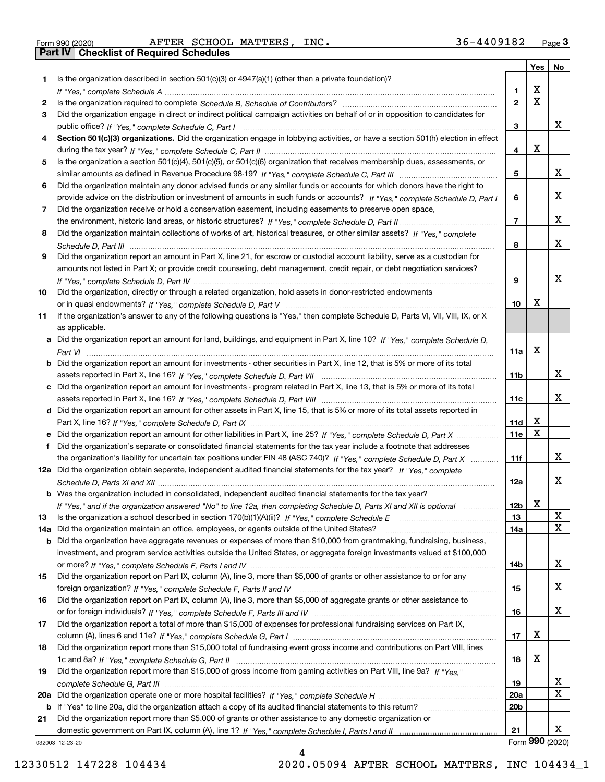Form 990 (2020) Page **3Part IV Checklist of Required Schedules** AFTER SCHOOL MATTERS, INC. 36-4409182

|     |                                                                                                                                       |                 | Yes                     | No              |
|-----|---------------------------------------------------------------------------------------------------------------------------------------|-----------------|-------------------------|-----------------|
| 1   | Is the organization described in section $501(c)(3)$ or $4947(a)(1)$ (other than a private foundation)?                               |                 |                         |                 |
|     |                                                                                                                                       | 1.              | X                       |                 |
| 2   |                                                                                                                                       | $\overline{2}$  | $\overline{\mathbf{x}}$ |                 |
| 3   | Did the organization engage in direct or indirect political campaign activities on behalf of or in opposition to candidates for       |                 |                         |                 |
|     |                                                                                                                                       | 3               |                         | х               |
| 4   | Section 501(c)(3) organizations. Did the organization engage in lobbying activities, or have a section 501(h) election in effect      |                 |                         |                 |
|     |                                                                                                                                       | 4               | X                       |                 |
| 5   | Is the organization a section 501(c)(4), 501(c)(5), or 501(c)(6) organization that receives membership dues, assessments, or          |                 |                         |                 |
|     |                                                                                                                                       | 5               |                         | х               |
| 6   | Did the organization maintain any donor advised funds or any similar funds or accounts for which donors have the right to             |                 |                         |                 |
|     | provide advice on the distribution or investment of amounts in such funds or accounts? If "Yes," complete Schedule D, Part I          | 6               |                         | х               |
| 7   | Did the organization receive or hold a conservation easement, including easements to preserve open space,                             |                 |                         |                 |
|     |                                                                                                                                       | $\overline{7}$  |                         | х               |
| 8   | Did the organization maintain collections of works of art, historical treasures, or other similar assets? If "Yes," complete          |                 |                         |                 |
|     |                                                                                                                                       | 8               |                         | х               |
| 9   | Did the organization report an amount in Part X, line 21, for escrow or custodial account liability, serve as a custodian for         |                 |                         |                 |
|     | amounts not listed in Part X; or provide credit counseling, debt management, credit repair, or debt negotiation services?             |                 |                         |                 |
|     |                                                                                                                                       | 9               |                         | х               |
| 10  | Did the organization, directly or through a related organization, hold assets in donor-restricted endowments                          |                 |                         |                 |
|     |                                                                                                                                       | 10              | х                       |                 |
| 11  | If the organization's answer to any of the following questions is "Yes," then complete Schedule D, Parts VI, VIII, VIII, IX, or X     |                 |                         |                 |
|     | as applicable.                                                                                                                        |                 |                         |                 |
|     | a Did the organization report an amount for land, buildings, and equipment in Part X, line 10? If "Yes," complete Schedule D,         | 11a             | X                       |                 |
|     | <b>b</b> Did the organization report an amount for investments - other securities in Part X, line 12, that is 5% or more of its total |                 |                         |                 |
|     |                                                                                                                                       | 11b             |                         | х               |
|     | c Did the organization report an amount for investments - program related in Part X, line 13, that is 5% or more of its total         |                 |                         |                 |
|     |                                                                                                                                       | 11c             |                         | х               |
|     | d Did the organization report an amount for other assets in Part X, line 15, that is 5% or more of its total assets reported in       |                 |                         |                 |
|     |                                                                                                                                       | 11d             | х                       |                 |
|     | e Did the organization report an amount for other liabilities in Part X, line 25? If "Yes," complete Schedule D, Part X               | 11e             | X                       |                 |
| f   | Did the organization's separate or consolidated financial statements for the tax year include a footnote that addresses               |                 |                         |                 |
|     | the organization's liability for uncertain tax positions under FIN 48 (ASC 740)? If "Yes," complete Schedule D, Part X                | 11f             |                         | х               |
|     | 12a Did the organization obtain separate, independent audited financial statements for the tax year? If "Yes," complete               |                 |                         |                 |
|     |                                                                                                                                       | 12a             |                         | х               |
|     | <b>b</b> Was the organization included in consolidated, independent audited financial statements for the tax year?                    |                 |                         |                 |
|     | If "Yes," and if the organization answered "No" to line 12a, then completing Schedule D, Parts XI and XII is optional                 | 12b             | X                       |                 |
| 13  |                                                                                                                                       | 13              |                         | X               |
| 14a | Did the organization maintain an office, employees, or agents outside of the United States?                                           | 14a             |                         | $\mathbf X$     |
|     | <b>b</b> Did the organization have aggregate revenues or expenses of more than \$10,000 from grantmaking, fundraising, business,      |                 |                         |                 |
|     | investment, and program service activities outside the United States, or aggregate foreign investments valued at \$100,000            |                 |                         |                 |
|     |                                                                                                                                       | 14b             |                         | х               |
| 15  | Did the organization report on Part IX, column (A), line 3, more than \$5,000 of grants or other assistance to or for any             |                 |                         |                 |
|     |                                                                                                                                       | 15              |                         | x               |
| 16  | Did the organization report on Part IX, column (A), line 3, more than \$5,000 of aggregate grants or other assistance to              |                 |                         |                 |
|     |                                                                                                                                       | 16              |                         | x               |
| 17  | Did the organization report a total of more than \$15,000 of expenses for professional fundraising services on Part IX,               |                 | х                       |                 |
| 18  | Did the organization report more than \$15,000 total of fundraising event gross income and contributions on Part VIII, lines          | 17              |                         |                 |
|     |                                                                                                                                       | 18              | х                       |                 |
| 19  | Did the organization report more than \$15,000 of gross income from gaming activities on Part VIII, line 9a? If "Yes."                |                 |                         |                 |
|     |                                                                                                                                       | 19              |                         | х               |
|     |                                                                                                                                       | <b>20a</b>      |                         | $\mathbf X$     |
|     | <b>b</b> If "Yes" to line 20a, did the organization attach a copy of its audited financial statements to this return?                 | 20 <sub>b</sub> |                         |                 |
| 21  | Did the organization report more than \$5,000 of grants or other assistance to any domestic organization or                           |                 |                         |                 |
|     |                                                                                                                                       | 21              |                         | х               |
|     | 032003 12-23-20                                                                                                                       |                 |                         | Form 990 (2020) |

032003 12-23-20

4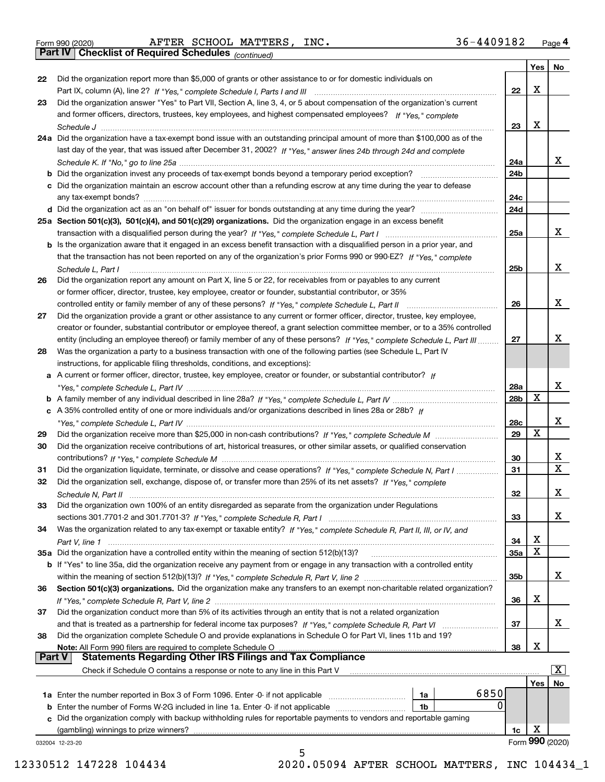|  | Form 990 (2020) |
|--|-----------------|
|  |                 |

Form 990 (2020) Page **4Part IV Checklist of Required Schedules** AFTER SCHOOL MATTERS, INC. 36-4409182

*(continued)*

|               |                                                                                                                                       |            | Yes    | No               |
|---------------|---------------------------------------------------------------------------------------------------------------------------------------|------------|--------|------------------|
| 22            | Did the organization report more than \$5,000 of grants or other assistance to or for domestic individuals on                         |            |        |                  |
|               | Part IX, column (A), line 2? If "Yes," complete Schedule I, Parts I and III [[11]] [11] [11] [11] [11] [11] [1                        | 22         | X      |                  |
| 23            | Did the organization answer "Yes" to Part VII, Section A, line 3, 4, or 5 about compensation of the organization's current            |            |        |                  |
|               | and former officers, directors, trustees, key employees, and highest compensated employees? If "Yes," complete                        |            |        |                  |
|               |                                                                                                                                       | 23         | X      |                  |
|               | 24a Did the organization have a tax-exempt bond issue with an outstanding principal amount of more than \$100,000 as of the           |            |        |                  |
|               | last day of the year, that was issued after December 31, 2002? If "Yes," answer lines 24b through 24d and complete                    |            |        |                  |
|               |                                                                                                                                       | 24a        |        | х                |
|               | <b>b</b> Did the organization invest any proceeds of tax-exempt bonds beyond a temporary period exception?                            | 24b        |        |                  |
|               | c Did the organization maintain an escrow account other than a refunding escrow at any time during the year to defease                |            |        |                  |
|               |                                                                                                                                       | 24c        |        |                  |
|               |                                                                                                                                       | 24d        |        |                  |
|               | 25a Section 501(c)(3), 501(c)(4), and 501(c)(29) organizations. Did the organization engage in an excess benefit                      |            |        |                  |
|               |                                                                                                                                       | 25a        |        | х                |
|               | b Is the organization aware that it engaged in an excess benefit transaction with a disqualified person in a prior year, and          |            |        |                  |
|               | that the transaction has not been reported on any of the organization's prior Forms 990 or 990-EZ? If "Yes," complete                 |            |        |                  |
|               |                                                                                                                                       | 25b        |        | x                |
|               | Schedule L, Part I<br>Did the organization report any amount on Part X, line 5 or 22, for receivables from or payables to any current |            |        |                  |
| 26            |                                                                                                                                       |            |        |                  |
|               | or former officer, director, trustee, key employee, creator or founder, substantial contributor, or 35%                               | 26         |        | х                |
|               |                                                                                                                                       |            |        |                  |
| 27            | Did the organization provide a grant or other assistance to any current or former officer, director, trustee, key employee,           |            |        |                  |
|               | creator or founder, substantial contributor or employee thereof, a grant selection committee member, or to a 35% controlled           |            |        | Х                |
|               | entity (including an employee thereof) or family member of any of these persons? If "Yes," complete Schedule L, Part III              | 27         |        |                  |
| 28            | Was the organization a party to a business transaction with one of the following parties (see Schedule L, Part IV                     |            |        |                  |
|               | instructions, for applicable filing thresholds, conditions, and exceptions):                                                          |            |        |                  |
|               | a A current or former officer, director, trustee, key employee, creator or founder, or substantial contributor? If                    |            |        | х                |
|               |                                                                                                                                       | 28a<br>28b | х      |                  |
|               |                                                                                                                                       |            |        |                  |
|               | c A 35% controlled entity of one or more individuals and/or organizations described in lines 28a or 28b? If                           |            |        | х                |
|               |                                                                                                                                       | 28c<br>29  | х      |                  |
| 29            |                                                                                                                                       |            |        |                  |
| 30            | Did the organization receive contributions of art, historical treasures, or other similar assets, or qualified conservation           |            |        |                  |
|               |                                                                                                                                       | 30         |        | х<br>$\mathbf X$ |
| 31            | Did the organization liquidate, terminate, or dissolve and cease operations? If "Yes," complete Schedule N, Part I                    | 31         |        |                  |
| 32            | Did the organization sell, exchange, dispose of, or transfer more than 25% of its net assets? If "Yes," complete                      |            |        | X                |
|               | Schedule N, Part II                                                                                                                   | 32         |        |                  |
| 33            | Did the organization own 100% of an entity disregarded as separate from the organization under Regulations                            |            |        |                  |
|               |                                                                                                                                       | 33         |        | х                |
| 34            | Was the organization related to any tax-exempt or taxable entity? If "Yes," complete Schedule R, Part II, III, or IV, and             |            |        |                  |
|               |                                                                                                                                       | 34         | X<br>X |                  |
|               | 35a Did the organization have a controlled entity within the meaning of section 512(b)(13)?                                           | 35a        |        |                  |
|               | b If "Yes" to line 35a, did the organization receive any payment from or engage in any transaction with a controlled entity           |            |        | x                |
|               |                                                                                                                                       | 35b        |        |                  |
| 36            | Section 501(c)(3) organizations. Did the organization make any transfers to an exempt non-charitable related organization?            |            | х      |                  |
|               |                                                                                                                                       | 36         |        |                  |
| 37            | Did the organization conduct more than 5% of its activities through an entity that is not a related organization                      |            |        | х                |
|               |                                                                                                                                       | 37         |        |                  |
| 38            | Did the organization complete Schedule O and provide explanations in Schedule O for Part VI, lines 11b and 19?                        | 38         | X      |                  |
| <b>Part V</b> | Note: All Form 990 filers are required to complete Schedule O<br><b>Statements Regarding Other IRS Filings and Tax Compliance</b>     |            |        |                  |
|               | Check if Schedule O contains a response or note to any line in this Part V                                                            |            |        | x                |
|               |                                                                                                                                       |            | Yes    | No               |
|               | 6850<br>1a Enter the number reported in Box 3 of Form 1096. Enter -0- if not applicable<br>1a                                         |            |        |                  |
|               | 0<br>1b                                                                                                                               |            |        |                  |
|               | c Did the organization comply with backup withholding rules for reportable payments to vendors and reportable gaming                  |            |        |                  |
|               | (gambling) winnings to prize winners?                                                                                                 | 1c         | X      |                  |
|               | 032004 12-23-20                                                                                                                       |            |        | Form 990 (2020)  |
|               | 5                                                                                                                                     |            |        |                  |

12330512 147228 104434 2020.05094 AFTER SCHOOL MATTERS, INC 104434\_1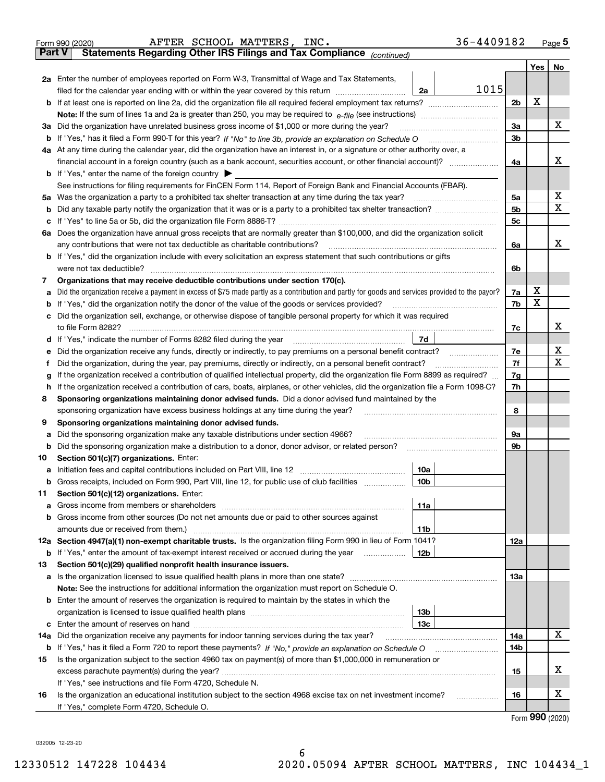| <b>Part V</b> | Statements Regarding Other IRS Filings and Tax Compliance (continued)                                                                           |                |     | Page $5$ |
|---------------|-------------------------------------------------------------------------------------------------------------------------------------------------|----------------|-----|----------|
|               |                                                                                                                                                 |                | Yes | No       |
|               | 2a Enter the number of employees reported on Form W-3, Transmittal of Wage and Tax Statements,                                                  |                |     |          |
|               | 1015<br>filed for the calendar year ending with or within the year covered by this return<br>2a                                                 |                |     |          |
|               |                                                                                                                                                 | 2 <sub>b</sub> | X   |          |
|               |                                                                                                                                                 |                |     |          |
|               | 3a Did the organization have unrelated business gross income of \$1,000 or more during the year?                                                | 3a             |     | х        |
|               | <b>b</b> If "Yes," has it filed a Form 990-T for this year? If "No" to line 3b, provide an explanation on Schedule O                            | 3 <sub>b</sub> |     |          |
|               | 4a At any time during the calendar year, did the organization have an interest in, or a signature or other authority over, a                    |                |     |          |
|               |                                                                                                                                                 | 4a             |     | x        |
|               | <b>b</b> If "Yes," enter the name of the foreign country $\triangleright$                                                                       |                |     |          |
|               | See instructions for filing requirements for FinCEN Form 114, Report of Foreign Bank and Financial Accounts (FBAR).                             |                |     |          |
| 5a            | Was the organization a party to a prohibited tax shelter transaction at any time during the tax year?                                           | 5a             |     | х        |
| b             |                                                                                                                                                 | 5 <sub>b</sub> |     | x        |
| с             | If "Yes" to line 5a or 5b, did the organization file Form 8886-T?                                                                               | 5 <sub>c</sub> |     |          |
|               | 6a Does the organization have annual gross receipts that are normally greater than \$100,000, and did the organization solicit                  |                |     |          |
|               | any contributions that were not tax deductible as charitable contributions?                                                                     | 6a             |     | x        |
|               | b If "Yes," did the organization include with every solicitation an express statement that such contributions or gifts                          |                |     |          |
|               | were not tax deductible?                                                                                                                        | 6b             |     |          |
| 7             | Organizations that may receive deductible contributions under section 170(c).                                                                   |                |     |          |
| а             | Did the organization receive a payment in excess of \$75 made partly as a contribution and partly for goods and services provided to the payor? | 7a             | х   |          |
| b             | If "Yes," did the organization notify the donor of the value of the goods or services provided?                                                 | 7b             | X   |          |
|               | Did the organization sell, exchange, or otherwise dispose of tangible personal property for which it was required                               |                |     |          |
|               | to file Form 8282?                                                                                                                              | 7c             |     | x        |
| d             | 7d<br>If "Yes," indicate the number of Forms 8282 filed during the year                                                                         |                |     |          |
| е             | Did the organization receive any funds, directly or indirectly, to pay premiums on a personal benefit contract?                                 | 7e             |     | х        |
| f             | Did the organization, during the year, pay premiums, directly or indirectly, on a personal benefit contract?                                    | 7f             |     | x        |
| g             | If the organization received a contribution of qualified intellectual property, did the organization file Form 8899 as required?                | 7g             |     |          |
| h             | If the organization received a contribution of cars, boats, airplanes, or other vehicles, did the organization file a Form 1098-C?              | 7h             |     |          |
| 8             | Sponsoring organizations maintaining donor advised funds. Did a donor advised fund maintained by the                                            |                |     |          |
|               | sponsoring organization have excess business holdings at any time during the year?                                                              | 8              |     |          |
| 9             | Sponsoring organizations maintaining donor advised funds.                                                                                       |                |     |          |
| a             | Did the sponsoring organization make any taxable distributions under section 4966?                                                              | 9а             |     |          |
| b             | Did the sponsoring organization make a distribution to a donor, donor advisor, or related person?                                               | 9b             |     |          |
| 10            | Section 501(c)(7) organizations. Enter:                                                                                                         |                |     |          |
| а             | 10a                                                                                                                                             |                |     |          |
| b             | 10 <sub>b</sub><br>Gross receipts, included on Form 990, Part VIII, line 12, for public use of club facilities                                  |                |     |          |
| 11            | Section 501(c)(12) organizations. Enter:                                                                                                        |                |     |          |
| а             | 11a<br>Gross income from members or shareholders                                                                                                |                |     |          |
| b             | Gross income from other sources (Do not net amounts due or paid to other sources against                                                        |                |     |          |
|               | 11 <sub>b</sub>                                                                                                                                 |                |     |          |
| 12a           | Section 4947(a)(1) non-exempt charitable trusts. Is the organization filing Form 990 in lieu of Form 1041?                                      | 12a            |     |          |
| b             | 12b<br>If "Yes," enter the amount of tax-exempt interest received or accrued during the year                                                    |                |     |          |
| 13            | Section 501(c)(29) qualified nonprofit health insurance issuers.                                                                                |                |     |          |
| а             | Is the organization licensed to issue qualified health plans in more than one state?                                                            | 13a            |     |          |
|               | Note: See the instructions for additional information the organization must report on Schedule O.                                               |                |     |          |
| b             | Enter the amount of reserves the organization is required to maintain by the states in which the                                                |                |     |          |
|               | 13 <sub>b</sub>                                                                                                                                 |                |     |          |

|    | c Enter the amount of reserves on hand<br>13 <sub>c</sub>                                                          |  |  |  |  |  |  |
|----|--------------------------------------------------------------------------------------------------------------------|--|--|--|--|--|--|
|    | 14a Did the organization receive any payments for indoor tanning services during the tax year?                     |  |  |  |  |  |  |
|    | <b>b</b> If "Yes," has it filed a Form 720 to report these payments? If "No," provide an explanation on Schedule O |  |  |  |  |  |  |
| 15 | Is the organization subject to the section 4960 tax on payment(s) of more than \$1,000,000 in remuneration or      |  |  |  |  |  |  |
|    | excess parachute payment(s) during the year?                                                                       |  |  |  |  |  |  |
|    | If "Yes," see instructions and file Form 4720, Schedule N.                                                         |  |  |  |  |  |  |
| 16 | Is the organization an educational institution subject to the section 4968 excise tax on net investment income?    |  |  |  |  |  |  |
|    | If "Yes," complete Form 4720, Schedule O.                                                                          |  |  |  |  |  |  |

Form (2020) **990**

032005 12-23-20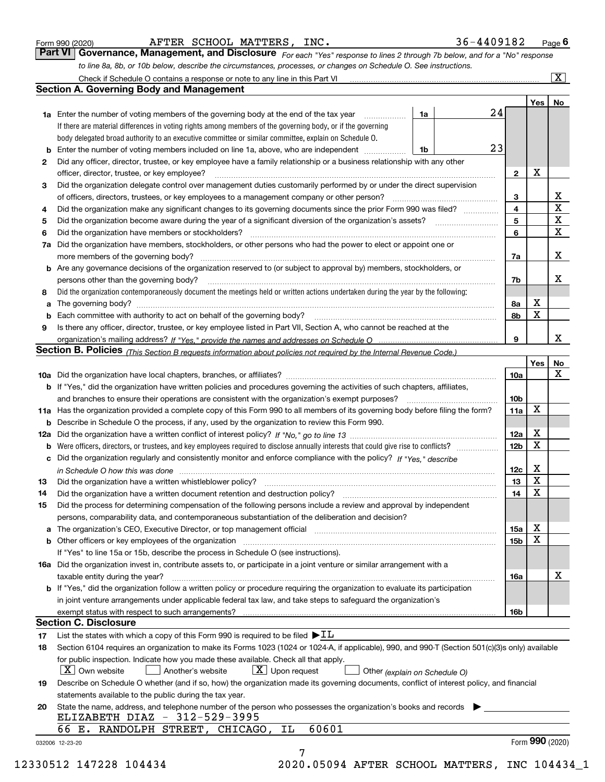|  | Form 990 (2020) |
|--|-----------------|
|  |                 |

AFTER SCHOOL MATTERS, INC. 36-4409182

*For each "Yes" response to lines 2 through 7b below, and for a "No" response to line 8a, 8b, or 10b below, describe the circumstances, processes, or changes on Schedule O. See instructions.* Form 990 (2020) **1998 COPT ARTER SCHOOL MATTERS, INC.**<br>**Part VI Governance, Management, and Disclosure** For each "Yes" response to lines 2 through 7b below, and for a "No" response

|    |                                                                                                                                                                            |    |  |    |                 | Yes   No    |                         |  |  |
|----|----------------------------------------------------------------------------------------------------------------------------------------------------------------------------|----|--|----|-----------------|-------------|-------------------------|--|--|
|    | <b>1a</b> Enter the number of voting members of the governing body at the end of the tax year <i>manumum</i>                                                               | 1a |  | 24 |                 |             |                         |  |  |
|    | If there are material differences in voting rights among members of the governing body, or if the governing                                                                |    |  |    |                 |             |                         |  |  |
|    | body delegated broad authority to an executive committee or similar committee, explain on Schedule O.                                                                      |    |  |    |                 |             |                         |  |  |
|    |                                                                                                                                                                            | 1b |  | 23 |                 |             |                         |  |  |
| 2  | Did any officer, director, trustee, or key employee have a family relationship or a business relationship with any other                                                   |    |  |    |                 |             |                         |  |  |
|    | officer, director, trustee, or key employee?                                                                                                                               |    |  |    | $\mathbf{2}$    | X           |                         |  |  |
| 3  | Did the organization delegate control over management duties customarily performed by or under the direct supervision                                                      |    |  |    |                 |             |                         |  |  |
|    |                                                                                                                                                                            |    |  |    | 3               |             | X                       |  |  |
| 4  | Did the organization make any significant changes to its governing documents since the prior Form 990 was filed?                                                           |    |  |    | 4               |             | $\overline{\textbf{x}}$ |  |  |
| 5  |                                                                                                                                                                            |    |  |    | 5               |             | $\mathbf X$             |  |  |
| 6  | Did the organization have members or stockholders?                                                                                                                         |    |  |    | 6               |             | $\mathbf{x}$            |  |  |
|    | 7a Did the organization have members, stockholders, or other persons who had the power to elect or appoint one or                                                          |    |  |    |                 |             |                         |  |  |
|    |                                                                                                                                                                            |    |  |    | 7a              |             | X                       |  |  |
|    | <b>b</b> Are any governance decisions of the organization reserved to (or subject to approval by) members, stockholders, or                                                |    |  |    |                 |             |                         |  |  |
|    | persons other than the governing body?                                                                                                                                     |    |  |    | 7b              |             | Х                       |  |  |
| 8  | Did the organization contemporaneously document the meetings held or written actions undertaken during the year by the following:                                          |    |  |    |                 |             |                         |  |  |
| a  |                                                                                                                                                                            |    |  |    | 8a              | X           |                         |  |  |
|    |                                                                                                                                                                            |    |  |    | 8b              | $\mathbf X$ |                         |  |  |
| 9  | Is there any officer, director, trustee, or key employee listed in Part VII, Section A, who cannot be reached at the                                                       |    |  |    |                 |             |                         |  |  |
|    |                                                                                                                                                                            |    |  |    | 9               |             | X                       |  |  |
|    | Section B. Policies <sub>(This</sub> Section B requests information about policies not required by the Internal Revenue Code.)                                             |    |  |    |                 |             |                         |  |  |
|    |                                                                                                                                                                            |    |  |    |                 | Yes         | <b>No</b>               |  |  |
|    |                                                                                                                                                                            |    |  |    | <b>10a</b>      |             | X                       |  |  |
|    | <b>b</b> If "Yes," did the organization have written policies and procedures governing the activities of such chapters, affiliates,                                        |    |  |    |                 |             |                         |  |  |
|    |                                                                                                                                                                            |    |  |    | 10 <sub>b</sub> |             |                         |  |  |
|    | 11a Has the organization provided a complete copy of this Form 990 to all members of its governing body before filing the form?                                            |    |  |    | 11a             | X           |                         |  |  |
|    | <b>b</b> Describe in Schedule O the process, if any, used by the organization to review this Form 990.                                                                     |    |  |    |                 |             |                         |  |  |
|    |                                                                                                                                                                            |    |  |    | 12a             | X           |                         |  |  |
|    |                                                                                                                                                                            |    |  |    | 12 <sub>b</sub> | X           |                         |  |  |
| b  | c Did the organization regularly and consistently monitor and enforce compliance with the policy? If "Yes," describe                                                       |    |  |    |                 |             |                         |  |  |
|    |                                                                                                                                                                            |    |  |    |                 | X           |                         |  |  |
|    | in Schedule O how this was done measured and contained a state of the state of the state of the state of the s                                                             |    |  |    | 12c<br>13       | $\mathbf X$ |                         |  |  |
| 13 |                                                                                                                                                                            |    |  |    |                 | $\mathbf X$ |                         |  |  |
| 14 | Did the organization have a written document retention and destruction policy? manufactured and the organization have a written document retention and destruction policy? |    |  |    | 14              |             |                         |  |  |
| 15 | Did the process for determining compensation of the following persons include a review and approval by independent                                                         |    |  |    |                 |             |                         |  |  |
|    | persons, comparability data, and contemporaneous substantiation of the deliberation and decision?                                                                          |    |  |    |                 |             |                         |  |  |
|    |                                                                                                                                                                            |    |  |    | 15a             | X           |                         |  |  |
|    | <b>b</b> Other officers or key employees of the organization                                                                                                               |    |  |    | 15b             | X           |                         |  |  |
|    | If "Yes" to line 15a or 15b, describe the process in Schedule O (see instructions).                                                                                        |    |  |    |                 |             |                         |  |  |
|    | 16a Did the organization invest in, contribute assets to, or participate in a joint venture or similar arrangement with a                                                  |    |  |    |                 |             |                         |  |  |
|    | taxable entity during the year?                                                                                                                                            |    |  |    | 16a             |             | X                       |  |  |
|    | b If "Yes," did the organization follow a written policy or procedure requiring the organization to evaluate its participation                                             |    |  |    |                 |             |                         |  |  |
|    | in joint venture arrangements under applicable federal tax law, and take steps to safeguard the organization's                                                             |    |  |    |                 |             |                         |  |  |
|    | exempt status with respect to such arrangements?                                                                                                                           |    |  |    | <b>16b</b>      |             |                         |  |  |
|    | <b>Section C. Disclosure</b>                                                                                                                                               |    |  |    |                 |             |                         |  |  |
| 17 | List the states with which a copy of this Form 990 is required to be filed $\blacktriangleright$ IL                                                                        |    |  |    |                 |             |                         |  |  |
| 18 | Section 6104 requires an organization to make its Forms 1023 (1024 or 1024-A, if applicable), 990, and 990-T (Section 501(c)(3)s only) available                           |    |  |    |                 |             |                         |  |  |
|    | for public inspection. Indicate how you made these available. Check all that apply.                                                                                        |    |  |    |                 |             |                         |  |  |
|    | $X$ Upon request<br>$ X $ Own website<br>Another's website<br>Other (explain on Schedule O)                                                                                |    |  |    |                 |             |                         |  |  |
| 19 | Describe on Schedule O whether (and if so, how) the organization made its governing documents, conflict of interest policy, and financial                                  |    |  |    |                 |             |                         |  |  |
|    | statements available to the public during the tax year.                                                                                                                    |    |  |    |                 |             |                         |  |  |
| 20 | State the name, address, and telephone number of the person who possesses the organization's books and records                                                             |    |  |    |                 |             |                         |  |  |
|    | ELIZABETH DIAZ - 312-529-3995                                                                                                                                              |    |  |    |                 |             |                         |  |  |
|    | 60601<br>66 E. RANDOLPH STREET, CHICAGO, IL                                                                                                                                |    |  |    |                 |             |                         |  |  |
|    |                                                                                                                                                                            |    |  |    |                 |             | Form 990 (2020)         |  |  |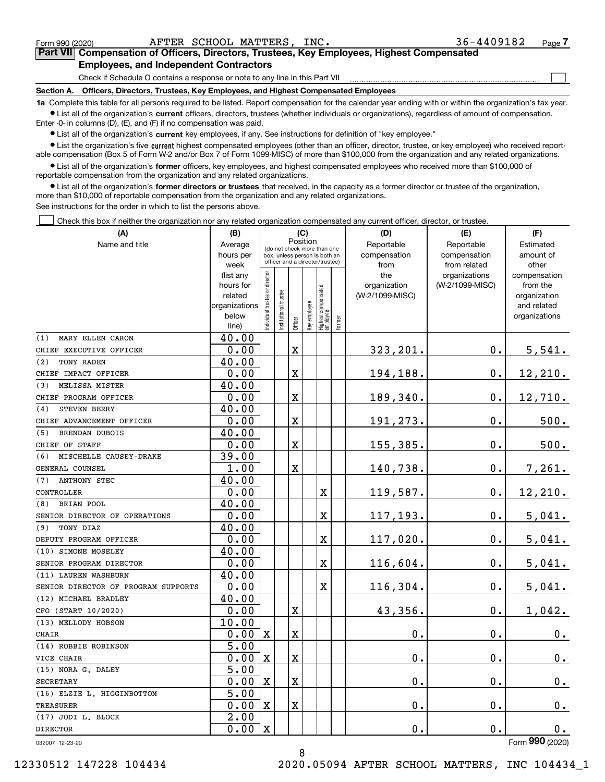$\mathcal{L}^{\text{max}}$ 

| Form 990 (2020) |                                               | AFTER SCHOOL MATTERS, INC. | 36-4409182                                                                                 | Page $7$ |
|-----------------|-----------------------------------------------|----------------------------|--------------------------------------------------------------------------------------------|----------|
|                 |                                               |                            | Part VII Compensation of Officers, Directors, Trustees, Key Employees, Highest Compensated |          |
|                 | <b>Employees, and Independent Contractors</b> |                            |                                                                                            |          |

Check if Schedule O contains a response or note to any line in this Part VII

**Section A. Officers, Directors, Trustees, Key Employees, and Highest Compensated Employees**

**1a**  Complete this table for all persons required to be listed. Report compensation for the calendar year ending with or within the organization's tax year. **•** List all of the organization's current officers, directors, trustees (whether individuals or organizations), regardless of amount of compensation.

Enter -0- in columns (D), (E), and (F) if no compensation was paid.

 $\bullet$  List all of the organization's  $\,$ current key employees, if any. See instructions for definition of "key employee."

**•** List the organization's five current highest compensated employees (other than an officer, director, trustee, or key employee) who received reportable compensation (Box 5 of Form W-2 and/or Box 7 of Form 1099-MISC) of more than \$100,000 from the organization and any related organizations.

**•** List all of the organization's former officers, key employees, and highest compensated employees who received more than \$100,000 of reportable compensation from the organization and any related organizations.

**former directors or trustees**  ¥ List all of the organization's that received, in the capacity as a former director or trustee of the organization, more than \$10,000 of reportable compensation from the organization and any related organizations.

See instructions for the order in which to list the persons above.

Check this box if neither the organization nor any related organization compensated any current officer, director, or trustee.  $\mathcal{L}^{\text{max}}$ 

| Reportable<br>Reportable<br>Name and title<br>Average<br>Estimated<br>(do not check more than one<br>hours per<br>compensation<br>compensation<br>amount of<br>box, unless person is both an<br>officer and a director/trustee)<br>from related<br>week<br>from<br>other<br>ndividual trustee or director<br>(list any<br>the<br>organizations<br>compensation<br>(W-2/1099-MISC)<br>hours for<br>organization<br>from the<br>Highest compensated<br>employee<br>nstitutional trustee<br>(W-2/1099-MISC)<br>related<br>organization<br>Key employee<br>organizations<br>and related<br>below<br>organizations<br>Former<br>Officer<br>line)<br>40.00<br>MARY ELLEN CARON<br>0.00<br>X<br>323,201.<br>0.<br>5,541.<br>40.00<br>TONY RADEN<br>12, 210.<br>0.00<br>X<br>194,188.<br>0.<br>40.00<br>MELISSA MISTER<br>$12,710$ .<br>0.00<br>X<br>189,340.<br>0.<br>40.00<br>STEVEN BERRY<br>X<br>0.<br>500.<br>0.00<br>191,273.<br>40.00<br><b>BRENDAN DUBOIS</b><br>0.00<br>X<br>500.<br>155,385.<br>0.<br>39.00<br>MISCHELLE CAUSEY-DRAKE<br>1.00<br>X<br>140,738.<br>0.<br>7,261.<br>40.00<br><b>ANTHONY STEC</b><br>0.00<br>$\mathbf X$<br>119,587.<br>0.<br>12,210.<br>40.00<br><b>BRIAN POOL</b><br>0.00<br>$\overline{\mathbf{X}}$<br>117,193.<br>0.<br>5,041.<br>40.00<br>TONY DIAZ<br>0.00<br>117,020.<br>5,041.<br>X<br>0.<br>40.00<br>0.00<br>$\mathbf X$<br>116,604.<br>0.<br>5,041.<br>40.00<br>0.00<br>$\mathbf X$<br>116,304.<br>5,041.<br>0.<br>40.00<br>43,356.<br>0.<br>1,042.<br>0.00<br>X<br>10.00<br>0.00<br>$\mathbf X$<br>X<br>$\mathbf 0$ .<br>0.<br>0.<br>5.00<br>0.00<br>$\mathbf 0$ .<br>0.<br>X<br>X<br>0.<br>5.00<br>0.00<br>X<br>$\mathbf 0$ .<br>0.<br>X<br>0.<br>5.00<br>$\mathbf 0$ .<br>0.<br>0.00<br>$\mathbf X$<br>$\mathbf X$<br>0.<br>$\overline{2.00}$<br>0.00<br>$\mathbf X$<br>$0$ .<br>$0$ .<br>0. | (A)                                 | (B) | (C) |          |  |  |  | (D) | (E) | (F) |
|------------------------------------------------------------------------------------------------------------------------------------------------------------------------------------------------------------------------------------------------------------------------------------------------------------------------------------------------------------------------------------------------------------------------------------------------------------------------------------------------------------------------------------------------------------------------------------------------------------------------------------------------------------------------------------------------------------------------------------------------------------------------------------------------------------------------------------------------------------------------------------------------------------------------------------------------------------------------------------------------------------------------------------------------------------------------------------------------------------------------------------------------------------------------------------------------------------------------------------------------------------------------------------------------------------------------------------------------------------------------------------------------------------------------------------------------------------------------------------------------------------------------------------------------------------------------------------------------------------------------------------------------------------------------------------------------------------------------------------------------------------------------------------------------------------------------------------------|-------------------------------------|-----|-----|----------|--|--|--|-----|-----|-----|
|                                                                                                                                                                                                                                                                                                                                                                                                                                                                                                                                                                                                                                                                                                                                                                                                                                                                                                                                                                                                                                                                                                                                                                                                                                                                                                                                                                                                                                                                                                                                                                                                                                                                                                                                                                                                                                          |                                     |     |     | Position |  |  |  |     |     |     |
|                                                                                                                                                                                                                                                                                                                                                                                                                                                                                                                                                                                                                                                                                                                                                                                                                                                                                                                                                                                                                                                                                                                                                                                                                                                                                                                                                                                                                                                                                                                                                                                                                                                                                                                                                                                                                                          |                                     |     |     |          |  |  |  |     |     |     |
|                                                                                                                                                                                                                                                                                                                                                                                                                                                                                                                                                                                                                                                                                                                                                                                                                                                                                                                                                                                                                                                                                                                                                                                                                                                                                                                                                                                                                                                                                                                                                                                                                                                                                                                                                                                                                                          |                                     |     |     |          |  |  |  |     |     |     |
|                                                                                                                                                                                                                                                                                                                                                                                                                                                                                                                                                                                                                                                                                                                                                                                                                                                                                                                                                                                                                                                                                                                                                                                                                                                                                                                                                                                                                                                                                                                                                                                                                                                                                                                                                                                                                                          |                                     |     |     |          |  |  |  |     |     |     |
|                                                                                                                                                                                                                                                                                                                                                                                                                                                                                                                                                                                                                                                                                                                                                                                                                                                                                                                                                                                                                                                                                                                                                                                                                                                                                                                                                                                                                                                                                                                                                                                                                                                                                                                                                                                                                                          |                                     |     |     |          |  |  |  |     |     |     |
|                                                                                                                                                                                                                                                                                                                                                                                                                                                                                                                                                                                                                                                                                                                                                                                                                                                                                                                                                                                                                                                                                                                                                                                                                                                                                                                                                                                                                                                                                                                                                                                                                                                                                                                                                                                                                                          |                                     |     |     |          |  |  |  |     |     |     |
|                                                                                                                                                                                                                                                                                                                                                                                                                                                                                                                                                                                                                                                                                                                                                                                                                                                                                                                                                                                                                                                                                                                                                                                                                                                                                                                                                                                                                                                                                                                                                                                                                                                                                                                                                                                                                                          |                                     |     |     |          |  |  |  |     |     |     |
|                                                                                                                                                                                                                                                                                                                                                                                                                                                                                                                                                                                                                                                                                                                                                                                                                                                                                                                                                                                                                                                                                                                                                                                                                                                                                                                                                                                                                                                                                                                                                                                                                                                                                                                                                                                                                                          |                                     |     |     |          |  |  |  |     |     |     |
|                                                                                                                                                                                                                                                                                                                                                                                                                                                                                                                                                                                                                                                                                                                                                                                                                                                                                                                                                                                                                                                                                                                                                                                                                                                                                                                                                                                                                                                                                                                                                                                                                                                                                                                                                                                                                                          | (1)                                 |     |     |          |  |  |  |     |     |     |
|                                                                                                                                                                                                                                                                                                                                                                                                                                                                                                                                                                                                                                                                                                                                                                                                                                                                                                                                                                                                                                                                                                                                                                                                                                                                                                                                                                                                                                                                                                                                                                                                                                                                                                                                                                                                                                          | CHIEF EXECUTIVE OFFICER             |     |     |          |  |  |  |     |     |     |
|                                                                                                                                                                                                                                                                                                                                                                                                                                                                                                                                                                                                                                                                                                                                                                                                                                                                                                                                                                                                                                                                                                                                                                                                                                                                                                                                                                                                                                                                                                                                                                                                                                                                                                                                                                                                                                          | (2)                                 |     |     |          |  |  |  |     |     |     |
|                                                                                                                                                                                                                                                                                                                                                                                                                                                                                                                                                                                                                                                                                                                                                                                                                                                                                                                                                                                                                                                                                                                                                                                                                                                                                                                                                                                                                                                                                                                                                                                                                                                                                                                                                                                                                                          | CHIEF IMPACT OFFICER                |     |     |          |  |  |  |     |     |     |
|                                                                                                                                                                                                                                                                                                                                                                                                                                                                                                                                                                                                                                                                                                                                                                                                                                                                                                                                                                                                                                                                                                                                                                                                                                                                                                                                                                                                                                                                                                                                                                                                                                                                                                                                                                                                                                          | (3)                                 |     |     |          |  |  |  |     |     |     |
|                                                                                                                                                                                                                                                                                                                                                                                                                                                                                                                                                                                                                                                                                                                                                                                                                                                                                                                                                                                                                                                                                                                                                                                                                                                                                                                                                                                                                                                                                                                                                                                                                                                                                                                                                                                                                                          | CHIEF PROGRAM OFFICER               |     |     |          |  |  |  |     |     |     |
|                                                                                                                                                                                                                                                                                                                                                                                                                                                                                                                                                                                                                                                                                                                                                                                                                                                                                                                                                                                                                                                                                                                                                                                                                                                                                                                                                                                                                                                                                                                                                                                                                                                                                                                                                                                                                                          | (4)                                 |     |     |          |  |  |  |     |     |     |
|                                                                                                                                                                                                                                                                                                                                                                                                                                                                                                                                                                                                                                                                                                                                                                                                                                                                                                                                                                                                                                                                                                                                                                                                                                                                                                                                                                                                                                                                                                                                                                                                                                                                                                                                                                                                                                          | CHIEF ADVANCEMENT OFFICER           |     |     |          |  |  |  |     |     |     |
|                                                                                                                                                                                                                                                                                                                                                                                                                                                                                                                                                                                                                                                                                                                                                                                                                                                                                                                                                                                                                                                                                                                                                                                                                                                                                                                                                                                                                                                                                                                                                                                                                                                                                                                                                                                                                                          | (5)                                 |     |     |          |  |  |  |     |     |     |
|                                                                                                                                                                                                                                                                                                                                                                                                                                                                                                                                                                                                                                                                                                                                                                                                                                                                                                                                                                                                                                                                                                                                                                                                                                                                                                                                                                                                                                                                                                                                                                                                                                                                                                                                                                                                                                          | CHIEF OF STAFF                      |     |     |          |  |  |  |     |     |     |
|                                                                                                                                                                                                                                                                                                                                                                                                                                                                                                                                                                                                                                                                                                                                                                                                                                                                                                                                                                                                                                                                                                                                                                                                                                                                                                                                                                                                                                                                                                                                                                                                                                                                                                                                                                                                                                          | (6)                                 |     |     |          |  |  |  |     |     |     |
|                                                                                                                                                                                                                                                                                                                                                                                                                                                                                                                                                                                                                                                                                                                                                                                                                                                                                                                                                                                                                                                                                                                                                                                                                                                                                                                                                                                                                                                                                                                                                                                                                                                                                                                                                                                                                                          | GENERAL COUNSEL                     |     |     |          |  |  |  |     |     |     |
|                                                                                                                                                                                                                                                                                                                                                                                                                                                                                                                                                                                                                                                                                                                                                                                                                                                                                                                                                                                                                                                                                                                                                                                                                                                                                                                                                                                                                                                                                                                                                                                                                                                                                                                                                                                                                                          | (7)                                 |     |     |          |  |  |  |     |     |     |
|                                                                                                                                                                                                                                                                                                                                                                                                                                                                                                                                                                                                                                                                                                                                                                                                                                                                                                                                                                                                                                                                                                                                                                                                                                                                                                                                                                                                                                                                                                                                                                                                                                                                                                                                                                                                                                          | CONTROLLER                          |     |     |          |  |  |  |     |     |     |
|                                                                                                                                                                                                                                                                                                                                                                                                                                                                                                                                                                                                                                                                                                                                                                                                                                                                                                                                                                                                                                                                                                                                                                                                                                                                                                                                                                                                                                                                                                                                                                                                                                                                                                                                                                                                                                          | (8)                                 |     |     |          |  |  |  |     |     |     |
|                                                                                                                                                                                                                                                                                                                                                                                                                                                                                                                                                                                                                                                                                                                                                                                                                                                                                                                                                                                                                                                                                                                                                                                                                                                                                                                                                                                                                                                                                                                                                                                                                                                                                                                                                                                                                                          | SENIOR DIRECTOR OF OPERATIONS       |     |     |          |  |  |  |     |     |     |
|                                                                                                                                                                                                                                                                                                                                                                                                                                                                                                                                                                                                                                                                                                                                                                                                                                                                                                                                                                                                                                                                                                                                                                                                                                                                                                                                                                                                                                                                                                                                                                                                                                                                                                                                                                                                                                          | (9)                                 |     |     |          |  |  |  |     |     |     |
|                                                                                                                                                                                                                                                                                                                                                                                                                                                                                                                                                                                                                                                                                                                                                                                                                                                                                                                                                                                                                                                                                                                                                                                                                                                                                                                                                                                                                                                                                                                                                                                                                                                                                                                                                                                                                                          | DEPUTY PROGRAM OFFICER              |     |     |          |  |  |  |     |     |     |
|                                                                                                                                                                                                                                                                                                                                                                                                                                                                                                                                                                                                                                                                                                                                                                                                                                                                                                                                                                                                                                                                                                                                                                                                                                                                                                                                                                                                                                                                                                                                                                                                                                                                                                                                                                                                                                          | (10) SIMONE MOSELEY                 |     |     |          |  |  |  |     |     |     |
|                                                                                                                                                                                                                                                                                                                                                                                                                                                                                                                                                                                                                                                                                                                                                                                                                                                                                                                                                                                                                                                                                                                                                                                                                                                                                                                                                                                                                                                                                                                                                                                                                                                                                                                                                                                                                                          | SENIOR PROGRAM DIRECTOR             |     |     |          |  |  |  |     |     |     |
|                                                                                                                                                                                                                                                                                                                                                                                                                                                                                                                                                                                                                                                                                                                                                                                                                                                                                                                                                                                                                                                                                                                                                                                                                                                                                                                                                                                                                                                                                                                                                                                                                                                                                                                                                                                                                                          | (11) LAUREN WASHBURN                |     |     |          |  |  |  |     |     |     |
|                                                                                                                                                                                                                                                                                                                                                                                                                                                                                                                                                                                                                                                                                                                                                                                                                                                                                                                                                                                                                                                                                                                                                                                                                                                                                                                                                                                                                                                                                                                                                                                                                                                                                                                                                                                                                                          | SENIOR DIRECTOR OF PROGRAM SUPPORTS |     |     |          |  |  |  |     |     |     |
|                                                                                                                                                                                                                                                                                                                                                                                                                                                                                                                                                                                                                                                                                                                                                                                                                                                                                                                                                                                                                                                                                                                                                                                                                                                                                                                                                                                                                                                                                                                                                                                                                                                                                                                                                                                                                                          | (12) MICHAEL BRADLEY                |     |     |          |  |  |  |     |     |     |
|                                                                                                                                                                                                                                                                                                                                                                                                                                                                                                                                                                                                                                                                                                                                                                                                                                                                                                                                                                                                                                                                                                                                                                                                                                                                                                                                                                                                                                                                                                                                                                                                                                                                                                                                                                                                                                          | CFO (START 10/2020)                 |     |     |          |  |  |  |     |     |     |
|                                                                                                                                                                                                                                                                                                                                                                                                                                                                                                                                                                                                                                                                                                                                                                                                                                                                                                                                                                                                                                                                                                                                                                                                                                                                                                                                                                                                                                                                                                                                                                                                                                                                                                                                                                                                                                          | (13) MELLODY HOBSON                 |     |     |          |  |  |  |     |     |     |
|                                                                                                                                                                                                                                                                                                                                                                                                                                                                                                                                                                                                                                                                                                                                                                                                                                                                                                                                                                                                                                                                                                                                                                                                                                                                                                                                                                                                                                                                                                                                                                                                                                                                                                                                                                                                                                          | CHAIR                               |     |     |          |  |  |  |     |     |     |
|                                                                                                                                                                                                                                                                                                                                                                                                                                                                                                                                                                                                                                                                                                                                                                                                                                                                                                                                                                                                                                                                                                                                                                                                                                                                                                                                                                                                                                                                                                                                                                                                                                                                                                                                                                                                                                          | (14) ROBBIE ROBINSON                |     |     |          |  |  |  |     |     |     |
|                                                                                                                                                                                                                                                                                                                                                                                                                                                                                                                                                                                                                                                                                                                                                                                                                                                                                                                                                                                                                                                                                                                                                                                                                                                                                                                                                                                                                                                                                                                                                                                                                                                                                                                                                                                                                                          | VICE CHAIR                          |     |     |          |  |  |  |     |     |     |
|                                                                                                                                                                                                                                                                                                                                                                                                                                                                                                                                                                                                                                                                                                                                                                                                                                                                                                                                                                                                                                                                                                                                                                                                                                                                                                                                                                                                                                                                                                                                                                                                                                                                                                                                                                                                                                          | (15) NORA G. DALEY                  |     |     |          |  |  |  |     |     |     |
|                                                                                                                                                                                                                                                                                                                                                                                                                                                                                                                                                                                                                                                                                                                                                                                                                                                                                                                                                                                                                                                                                                                                                                                                                                                                                                                                                                                                                                                                                                                                                                                                                                                                                                                                                                                                                                          | <b>SECRETARY</b>                    |     |     |          |  |  |  |     |     |     |
|                                                                                                                                                                                                                                                                                                                                                                                                                                                                                                                                                                                                                                                                                                                                                                                                                                                                                                                                                                                                                                                                                                                                                                                                                                                                                                                                                                                                                                                                                                                                                                                                                                                                                                                                                                                                                                          | (16) ELZIE L. HIGGINBOTTOM          |     |     |          |  |  |  |     |     |     |
|                                                                                                                                                                                                                                                                                                                                                                                                                                                                                                                                                                                                                                                                                                                                                                                                                                                                                                                                                                                                                                                                                                                                                                                                                                                                                                                                                                                                                                                                                                                                                                                                                                                                                                                                                                                                                                          | <b>TREASURER</b>                    |     |     |          |  |  |  |     |     |     |
|                                                                                                                                                                                                                                                                                                                                                                                                                                                                                                                                                                                                                                                                                                                                                                                                                                                                                                                                                                                                                                                                                                                                                                                                                                                                                                                                                                                                                                                                                                                                                                                                                                                                                                                                                                                                                                          | (17) JODI L. BLOCK                  |     |     |          |  |  |  |     |     |     |
|                                                                                                                                                                                                                                                                                                                                                                                                                                                                                                                                                                                                                                                                                                                                                                                                                                                                                                                                                                                                                                                                                                                                                                                                                                                                                                                                                                                                                                                                                                                                                                                                                                                                                                                                                                                                                                          | <b>DIRECTOR</b>                     |     |     |          |  |  |  |     |     |     |

8

032007 12-23-20

Form (2020) **990**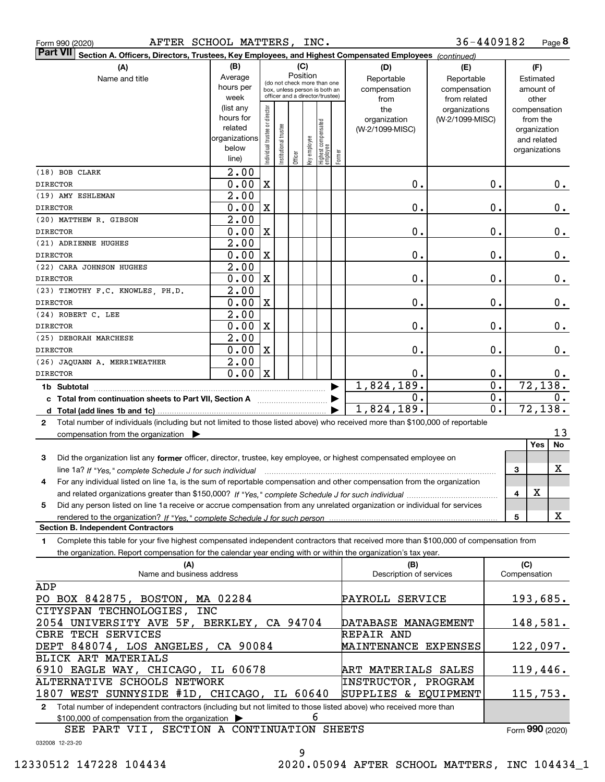|  | Form 990 (2020) |
|--|-----------------|
|  |                 |

|                                                                                                                                              | Part VII Section A. Officers, Directors, Trustees, Key Employees, and Highest Compensated Employees (continued) |                                |                       |          |              |                                 |        |                                 |                 |                  |              |                          |       |
|----------------------------------------------------------------------------------------------------------------------------------------------|-----------------------------------------------------------------------------------------------------------------|--------------------------------|-----------------------|----------|--------------|---------------------------------|--------|---------------------------------|-----------------|------------------|--------------|--------------------------|-------|
| (A)                                                                                                                                          | (B)                                                                                                             |                                |                       | (C)      |              |                                 |        | (D)                             | (E)             | (F)              |              |                          |       |
| Name and title                                                                                                                               | Average                                                                                                         |                                |                       | Position |              | (do not check more than one     |        | Reportable                      | Reportable      |                  |              | Estimated                |       |
|                                                                                                                                              | hours per                                                                                                       |                                |                       |          |              | box, unless person is both an   |        | compensation                    | compensation    |                  |              | amount of                |       |
|                                                                                                                                              | week                                                                                                            |                                |                       |          |              | officer and a director/trustee) |        | from                            | from related    |                  |              | other                    |       |
|                                                                                                                                              | (list any<br>hours for                                                                                          |                                |                       |          |              |                                 |        | the                             | organizations   |                  |              | compensation             |       |
|                                                                                                                                              | related                                                                                                         |                                |                       |          |              |                                 |        | organization<br>(W-2/1099-MISC) | (W-2/1099-MISC) |                  |              | from the<br>organization |       |
|                                                                                                                                              | organizations                                                                                                   |                                |                       |          |              |                                 |        |                                 |                 |                  |              | and related              |       |
|                                                                                                                                              | below                                                                                                           | Individual trustee or director | Institutional trustee |          | Key employee |                                 |        |                                 |                 |                  |              | organizations            |       |
|                                                                                                                                              | line)                                                                                                           |                                |                       | Officer  |              | Highest compensated<br>employee | Former |                                 |                 |                  |              |                          |       |
| (18) BOB CLARK                                                                                                                               | 2.00                                                                                                            |                                |                       |          |              |                                 |        |                                 |                 |                  |              |                          |       |
| <b>DIRECTOR</b>                                                                                                                              | 0.00                                                                                                            | $\mathbf x$                    |                       |          |              |                                 |        | 0.                              |                 | 0.               |              |                          | 0.    |
| (19) AMY ESHLEMAN                                                                                                                            | $\overline{2.00}$                                                                                               |                                |                       |          |              |                                 |        |                                 |                 |                  |              |                          |       |
| <b>DIRECTOR</b>                                                                                                                              | 0.00                                                                                                            | $\mathbf X$                    |                       |          |              |                                 |        | 0.                              |                 | 0.               |              |                          | 0.    |
| (20) MATTHEW R. GIBSON                                                                                                                       | 2.00                                                                                                            |                                |                       |          |              |                                 |        |                                 |                 |                  |              |                          |       |
| <b>DIRECTOR</b>                                                                                                                              | 0.00                                                                                                            | $\mathbf X$                    |                       |          |              |                                 |        | 0.                              |                 | 0.               |              |                          | 0.    |
| (21) ADRIENNE HUGHES                                                                                                                         | 2.00                                                                                                            |                                |                       |          |              |                                 |        |                                 |                 |                  |              |                          |       |
| <b>DIRECTOR</b>                                                                                                                              | 0.00                                                                                                            | $\mathbf X$                    |                       |          |              |                                 |        | 0.                              |                 | 0.               |              |                          | 0.    |
| (22) CARA JOHNSON HUGHES                                                                                                                     | 2.00                                                                                                            |                                |                       |          |              |                                 |        |                                 |                 |                  |              |                          |       |
| <b>DIRECTOR</b>                                                                                                                              | 0.00                                                                                                            | $\mathbf X$                    |                       |          |              |                                 |        | 0.                              |                 | 0.               |              |                          | 0.    |
| (23) TIMOTHY F.C. KNOWLES, PH.D.                                                                                                             | 2.00                                                                                                            |                                |                       |          |              |                                 |        |                                 |                 |                  |              |                          |       |
| <b>DIRECTOR</b>                                                                                                                              | 0.00                                                                                                            | $\mathbf x$                    |                       |          |              |                                 |        | 0.                              |                 | 0.               |              |                          | 0.    |
| (24) ROBERT C. LEE                                                                                                                           | $\overline{2.00}$                                                                                               |                                |                       |          |              |                                 |        |                                 |                 |                  |              |                          |       |
| <b>DIRECTOR</b>                                                                                                                              | 0.00                                                                                                            | $\mathbf X$                    |                       |          |              |                                 |        | 0.                              |                 | 0.               |              |                          | 0.    |
| (25) DEBORAH MARCHESE                                                                                                                        | 2.00                                                                                                            |                                |                       |          |              |                                 |        |                                 |                 |                  |              |                          |       |
| <b>DIRECTOR</b>                                                                                                                              | 0.00                                                                                                            | $\mathbf X$                    |                       |          |              |                                 |        | 0.                              |                 | 0.               |              |                          | 0.    |
| (26) JAQUANN A. MERRIWEATHER                                                                                                                 | 2.00                                                                                                            |                                |                       |          |              |                                 |        |                                 |                 |                  |              |                          |       |
| <b>DIRECTOR</b>                                                                                                                              | 0.00                                                                                                            | $\mathbf X$                    |                       |          |              |                                 |        | 0.                              |                 | 0.               |              |                          | $0$ . |
| 1b Subtotal                                                                                                                                  |                                                                                                                 |                                |                       |          |              |                                 |        | 1,824,189.                      |                 | $\overline{0}$ . |              | 72, 138.                 |       |
| c Total from continuation sheets to Part VII, Section A manufactor continues                                                                 |                                                                                                                 |                                |                       |          |              |                                 |        | 0.                              |                 | $0$ .            |              |                          | 0.    |
| d Total (add lines 1b and 1c).                                                                                                               |                                                                                                                 |                                |                       |          |              |                                 |        | 1,824,189.                      |                 | $\overline{0}$ . |              | 72, 138.                 |       |
| Total number of individuals (including but not limited to those listed above) who received more than \$100,000 of reportable<br>$\mathbf{2}$ |                                                                                                                 |                                |                       |          |              |                                 |        |                                 |                 |                  |              |                          |       |
| compensation from the organization $\blacktriangleright$                                                                                     |                                                                                                                 |                                |                       |          |              |                                 |        |                                 |                 |                  |              |                          | 13    |
|                                                                                                                                              |                                                                                                                 |                                |                       |          |              |                                 |        |                                 |                 |                  |              | Yes                      | No    |
| 3<br>Did the organization list any former officer, director, trustee, key employee, or highest compensated employee on                       |                                                                                                                 |                                |                       |          |              |                                 |        |                                 |                 |                  |              |                          |       |
| line 1a? If "Yes," complete Schedule J for such individual                                                                                   |                                                                                                                 |                                |                       |          |              |                                 |        |                                 |                 |                  | 3            |                          | х     |
| For any individual listed on line 1a, is the sum of reportable compensation and other compensation from the organization<br>4                |                                                                                                                 |                                |                       |          |              |                                 |        |                                 |                 |                  |              |                          |       |
|                                                                                                                                              |                                                                                                                 |                                |                       |          |              |                                 |        |                                 |                 |                  | 4            | X                        |       |
| Did any person listed on line 1a receive or accrue compensation from any unrelated organization or individual for services<br>5              |                                                                                                                 |                                |                       |          |              |                                 |        |                                 |                 |                  |              |                          |       |
|                                                                                                                                              |                                                                                                                 |                                |                       |          |              |                                 |        |                                 |                 |                  | 5            |                          | x     |
| <b>Section B. Independent Contractors</b>                                                                                                    |                                                                                                                 |                                |                       |          |              |                                 |        |                                 |                 |                  |              |                          |       |
| Complete this table for your five highest compensated independent contractors that received more than \$100,000 of compensation from<br>1    |                                                                                                                 |                                |                       |          |              |                                 |        |                                 |                 |                  |              |                          |       |
| the organization. Report compensation for the calendar year ending with or within the organization's tax year.                               |                                                                                                                 |                                |                       |          |              |                                 |        |                                 |                 |                  |              |                          |       |
| (A)                                                                                                                                          |                                                                                                                 |                                |                       |          |              |                                 |        | (B)                             |                 |                  | (C)          |                          |       |
| Name and business address                                                                                                                    |                                                                                                                 |                                |                       |          |              |                                 |        | Description of services         |                 |                  | Compensation |                          |       |

| ADP                                                                                                                |                      |                 |
|--------------------------------------------------------------------------------------------------------------------|----------------------|-----------------|
| PO BOX 842875, BOSTON, MA 02284                                                                                    | PAYROLL SERVICE      | 193,685.        |
| CITYSPAN TECHNOLOGIES, INC                                                                                         |                      |                 |
| 2054 UNIVERSITY AVE 5F, BERKLEY, CA 94704                                                                          | DATABASE MANAGEMENT  | 148,581.        |
| CBRE TECH SERVICES                                                                                                 | REPAIR AND           |                 |
| DEPT 848074, LOS ANGELES, CA 90084                                                                                 | MAINTENANCE EXPENSES | 122,097.        |
| BLICK ART MATERIALS                                                                                                |                      |                 |
| 6910 EAGLE WAY, CHICAGO, IL 60678                                                                                  | ART MATERIALS SALES  | 119,446.        |
| ALTERNATIVE SCHOOLS NETWORK                                                                                        | INSTRUCTOR, PROGRAM  |                 |
| 1807 WEST SUNNYSIDE #1D, CHICAGO, IL 60640                                                                         | SUPPLIES & EQUIPMENT | 115,753.        |
| 2 Total number of independent contractors (including but not limited to those listed above) who received more than |                      |                 |
| b<br>$$100,000$ of compensation from the organization $\triangleright$                                             |                      |                 |
| SEE PART VII, SECTION A CONTINUATION SHEETS                                                                        |                      | Form 990 (2020) |
| 032008 12-23-20                                                                                                    |                      |                 |

9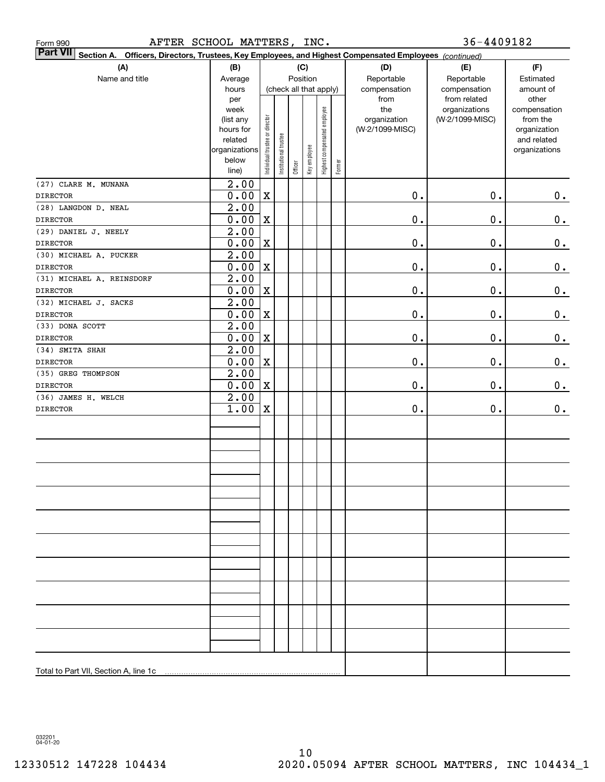| $36 - 4409182$<br>AFTER SCHOOL MATTERS, INC.<br>Form 990                                                                  |                           |                                |                        |          |              |                              |           |                                 |                 |                          |
|---------------------------------------------------------------------------------------------------------------------------|---------------------------|--------------------------------|------------------------|----------|--------------|------------------------------|-----------|---------------------------------|-----------------|--------------------------|
| <b>Part VII</b><br>Section A. Officers, Directors, Trustees, Key Employees, and Highest Compensated Employees (continued) |                           |                                |                        |          |              |                              |           |                                 |                 |                          |
| (A)                                                                                                                       | (D)                       | (E)                            | (F)                    |          |              |                              |           |                                 |                 |                          |
| Name and title                                                                                                            | (B)<br>Average            |                                |                        | Position | (C)          |                              |           | Reportable                      | Reportable      | Estimated                |
|                                                                                                                           | hours                     |                                | (check all that apply) |          | compensation | compensation                 | amount of |                                 |                 |                          |
|                                                                                                                           | per                       |                                |                        |          |              |                              |           | from                            | from related    | other                    |
|                                                                                                                           | week                      |                                |                        |          |              |                              |           | the                             | organizations   | compensation             |
|                                                                                                                           | (list any<br>hours for    |                                |                        |          |              |                              |           | organization<br>(W-2/1099-MISC) | (W-2/1099-MISC) | from the<br>organization |
|                                                                                                                           | related                   |                                |                        |          |              |                              |           |                                 |                 | and related              |
|                                                                                                                           | organizations             | Individual trustee or director | Institutional trustee  |          | Key employee | Highest compensated employee |           |                                 |                 | organizations            |
|                                                                                                                           | below                     |                                |                        |          |              |                              |           |                                 |                 |                          |
|                                                                                                                           | line)                     |                                |                        | Officer  |              |                              | Former    |                                 |                 |                          |
| (27) CLARE M. MUNANA                                                                                                      | $\overline{2.00}$         |                                |                        |          |              |                              |           |                                 |                 |                          |
| <b>DIRECTOR</b>                                                                                                           | 0.00                      | $\mathbf X$                    |                        |          |              |                              |           | 0.                              | 0.              | 0.                       |
| (28) LANGDON D. NEAL                                                                                                      | $\overline{2.00}$         |                                |                        |          |              |                              |           |                                 |                 |                          |
| <b>DIRECTOR</b>                                                                                                           | 0.00                      | $\mathbf X$                    |                        |          |              |                              |           | 0.                              | 0.              | $\mathbf 0$ .            |
| (29) DANIEL J. NEELY                                                                                                      | $\overline{2.00}$         |                                |                        |          |              |                              |           |                                 |                 |                          |
| <b>DIRECTOR</b>                                                                                                           | 0.00                      | $\mathbf X$                    |                        |          |              |                              |           | 0.                              | 0.              | $\mathbf 0$ .            |
| (30) MICHAEL A. PUCKER                                                                                                    | $\overline{2.00}$         |                                |                        |          |              |                              |           |                                 |                 |                          |
| <b>DIRECTOR</b>                                                                                                           | 0.00                      | $\mathbf X$                    |                        |          |              |                              |           | 0.                              | 0.              | $\mathbf 0$ .            |
| (31) MICHAEL A. REINSDORF                                                                                                 | $\overline{2.00}$         |                                |                        |          |              |                              |           |                                 |                 |                          |
| <b>DIRECTOR</b>                                                                                                           | 0.00                      | $\mathbf X$                    |                        |          |              |                              |           | 0.                              | 0.              | $0_{.}$                  |
| (32) MICHAEL J. SACKS                                                                                                     | $\overline{2.00}$         |                                |                        |          |              |                              |           |                                 |                 |                          |
| <b>DIRECTOR</b>                                                                                                           | 0.00                      | $\mathbf X$                    |                        |          |              |                              |           | 0.                              | 0.              | $\mathbf 0$ .            |
| (33) DONA SCOTT                                                                                                           | $\overline{2.00}$         |                                |                        |          |              |                              |           |                                 |                 |                          |
| <b>DIRECTOR</b>                                                                                                           | 0.00                      | $\mathbf X$                    |                        |          |              |                              |           | 0.                              | 0.              | $0_{.}$                  |
| (34) SMITA SHAH                                                                                                           | $\overline{2.00}$         |                                |                        |          |              |                              |           |                                 |                 |                          |
| <b>DIRECTOR</b>                                                                                                           | 0.00                      | $\mathbf X$                    |                        |          |              |                              |           | 0.                              | 0.              | $0_{.}$                  |
| (35) GREG THOMPSON                                                                                                        | $\overline{2.00}$         |                                |                        |          |              |                              |           |                                 |                 |                          |
| <b>DIRECTOR</b>                                                                                                           | 0.00                      | $\mathbf X$                    |                        |          |              |                              |           | 0.                              | 0.              | $0_{.}$                  |
| (36) JAMES H. WELCH                                                                                                       | $\overline{2.00}$<br>1.00 | $\mathbf X$                    |                        |          |              |                              |           |                                 | 0.              |                          |
| <b>DIRECTOR</b>                                                                                                           |                           |                                |                        |          |              |                              |           | $\mathbf 0$ .                   |                 | 0.                       |
|                                                                                                                           |                           |                                |                        |          |              |                              |           |                                 |                 |                          |
|                                                                                                                           |                           |                                |                        |          |              |                              |           |                                 |                 |                          |
|                                                                                                                           |                           |                                |                        |          |              |                              |           |                                 |                 |                          |
|                                                                                                                           |                           |                                |                        |          |              |                              |           |                                 |                 |                          |
|                                                                                                                           |                           |                                |                        |          |              |                              |           |                                 |                 |                          |
|                                                                                                                           |                           |                                |                        |          |              |                              |           |                                 |                 |                          |
|                                                                                                                           |                           |                                |                        |          |              |                              |           |                                 |                 |                          |
|                                                                                                                           |                           |                                |                        |          |              |                              |           |                                 |                 |                          |
|                                                                                                                           |                           |                                |                        |          |              |                              |           |                                 |                 |                          |
|                                                                                                                           |                           |                                |                        |          |              |                              |           |                                 |                 |                          |
|                                                                                                                           |                           |                                |                        |          |              |                              |           |                                 |                 |                          |
|                                                                                                                           |                           |                                |                        |          |              |                              |           |                                 |                 |                          |
|                                                                                                                           |                           |                                |                        |          |              |                              |           |                                 |                 |                          |
|                                                                                                                           |                           |                                |                        |          |              |                              |           |                                 |                 |                          |
|                                                                                                                           |                           |                                |                        |          |              |                              |           |                                 |                 |                          |
|                                                                                                                           |                           |                                |                        |          |              |                              |           |                                 |                 |                          |
|                                                                                                                           |                           |                                |                        |          |              |                              |           |                                 |                 |                          |
|                                                                                                                           |                           |                                |                        |          |              |                              |           |                                 |                 |                          |
|                                                                                                                           |                           |                                |                        |          |              |                              |           |                                 |                 |                          |
|                                                                                                                           |                           |                                |                        |          |              |                              |           |                                 |                 |                          |
|                                                                                                                           |                           |                                |                        |          |              |                              |           |                                 |                 |                          |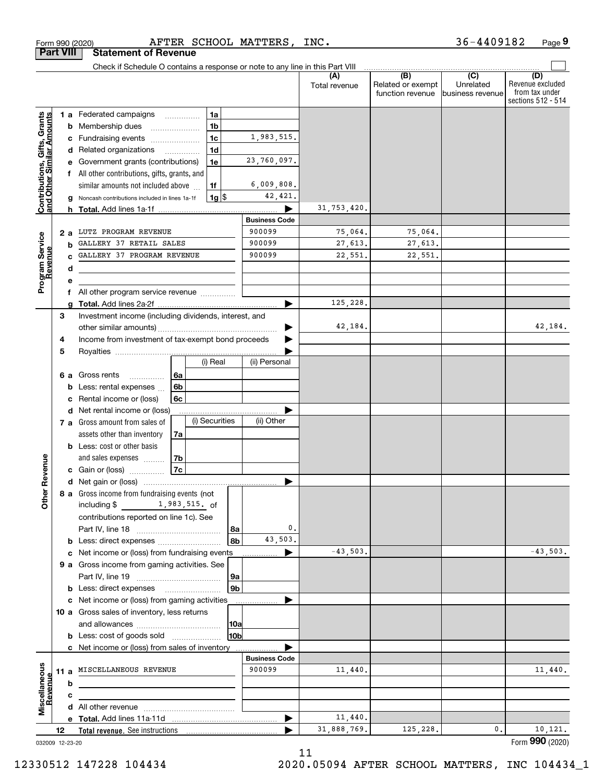|                                                                  | Form 990 (2020)  | AFTER SCHOOL MATTERS, INC.                                                    |                                |                      |                                                           | 36-4409182                                        | Page 9                                                          |
|------------------------------------------------------------------|------------------|-------------------------------------------------------------------------------|--------------------------------|----------------------|-----------------------------------------------------------|---------------------------------------------------|-----------------------------------------------------------------|
|                                                                  | <b>Part VIII</b> | <b>Statement of Revenue</b>                                                   |                                |                      |                                                           |                                                   |                                                                 |
|                                                                  |                  | Check if Schedule O contains a response or note to any line in this Part VIII |                                |                      |                                                           |                                                   |                                                                 |
|                                                                  |                  |                                                                               |                                | (A)<br>Total revenue | $\overline{(B)}$<br>Related or exempt<br>function revenue | $\overline{(C)}$<br>Unrelated<br>business revenue | (D)<br>Revenue excluded<br>from tax under<br>sections 512 - 514 |
|                                                                  |                  | 1a<br><b>1 a</b> Federated campaigns                                          |                                |                      |                                                           |                                                   |                                                                 |
| <b>Contributions, Gifts, Grants</b><br>and Other Similar Amounts | b                | 1 <sub>b</sub><br>Membership dues                                             |                                |                      |                                                           |                                                   |                                                                 |
|                                                                  | с                | 1 <sub>c</sub><br>Fundraising events                                          | 1,983,515.                     |                      |                                                           |                                                   |                                                                 |
|                                                                  | d                | 1 <sub>d</sub><br>Related organizations<br>$\overline{\phantom{a}}$           |                                |                      |                                                           |                                                   |                                                                 |
|                                                                  |                  | 1e<br>Government grants (contributions)                                       | 23,760,097.                    |                      |                                                           |                                                   |                                                                 |
|                                                                  |                  | All other contributions, gifts, grants, and                                   |                                |                      |                                                           |                                                   |                                                                 |
|                                                                  |                  | similar amounts not included above<br>1f                                      | 6,009,808.                     |                      |                                                           |                                                   |                                                                 |
|                                                                  | g                | $1g$ \$<br>Noncash contributions included in lines 1a-1f                      | 42,421.                        | 31, 753, 420.        |                                                           |                                                   |                                                                 |
|                                                                  |                  | h Total. Add lines 1a-1f                                                      | <b>Business Code</b>           |                      |                                                           |                                                   |                                                                 |
|                                                                  | 2 a              | LUTZ PROGRAM REVENUE                                                          | 900099                         | 75,064.              | 75,064.                                                   |                                                   |                                                                 |
| Program Service<br>Revenue                                       | b                | GALLERY 37 RETAIL SALES                                                       | 900099                         | 27,613.              | 27,613.                                                   |                                                   |                                                                 |
|                                                                  |                  | GALLERY 37 PROGRAM REVENUE                                                    | 900099                         | 22,551.              | 22,551.                                                   |                                                   |                                                                 |
| evenue                                                           | d                |                                                                               |                                |                      |                                                           |                                                   |                                                                 |
|                                                                  | е                |                                                                               |                                |                      |                                                           |                                                   |                                                                 |
|                                                                  | f                | All other program service revenue                                             |                                |                      |                                                           |                                                   |                                                                 |
|                                                                  |                  |                                                                               |                                | 125,228.             |                                                           |                                                   |                                                                 |
|                                                                  | 3                | Investment income (including dividends, interest, and                         |                                |                      |                                                           |                                                   |                                                                 |
|                                                                  |                  |                                                                               |                                | 42,184.              |                                                           |                                                   | 42,184.                                                         |
|                                                                  | 4                | Income from investment of tax-exempt bond proceeds                            |                                |                      |                                                           |                                                   |                                                                 |
|                                                                  | 5                | (i) Real                                                                      | (ii) Personal                  |                      |                                                           |                                                   |                                                                 |
|                                                                  | 6а               | Gross rents<br>6a                                                             |                                |                      |                                                           |                                                   |                                                                 |
|                                                                  | b                | 6 <sub>b</sub><br>Less: rental expenses                                       |                                |                      |                                                           |                                                   |                                                                 |
|                                                                  | с                | Rental income or (loss)<br>6c                                                 |                                |                      |                                                           |                                                   |                                                                 |
|                                                                  | d                | Net rental income or (loss)                                                   |                                |                      |                                                           |                                                   |                                                                 |
|                                                                  |                  | (i) Securities<br>7 a Gross amount from sales of                              | (ii) Other                     |                      |                                                           |                                                   |                                                                 |
|                                                                  |                  | assets other than inventory<br>7a                                             |                                |                      |                                                           |                                                   |                                                                 |
|                                                                  |                  | <b>b</b> Less: cost or other basis                                            |                                |                      |                                                           |                                                   |                                                                 |
|                                                                  |                  | and sales expenses<br>7b                                                      |                                |                      |                                                           |                                                   |                                                                 |
| enue                                                             |                  | 7c<br>c Gain or (loss)                                                        |                                |                      |                                                           |                                                   |                                                                 |
| Other Re                                                         |                  |                                                                               |                                |                      |                                                           |                                                   |                                                                 |
|                                                                  |                  | 8 a Gross income from fundraising events (not                                 |                                |                      |                                                           |                                                   |                                                                 |
|                                                                  |                  | including $$1, 983, 515$ . of                                                 |                                |                      |                                                           |                                                   |                                                                 |
|                                                                  |                  | contributions reported on line 1c). See<br>8a                                 | 0.                             |                      |                                                           |                                                   |                                                                 |
|                                                                  |                  | 8b                                                                            | 43,503.                        |                      |                                                           |                                                   |                                                                 |
|                                                                  | с                | Net income or (loss) from fundraising events                                  | ▶                              | $-43,503.$           |                                                           |                                                   | $-43,503.$                                                      |
|                                                                  |                  | 9 a Gross income from gaming activities. See                                  |                                |                      |                                                           |                                                   |                                                                 |
|                                                                  |                  | 9a                                                                            |                                |                      |                                                           |                                                   |                                                                 |
|                                                                  |                  | 9 <sub>b</sub>                                                                |                                |                      |                                                           |                                                   |                                                                 |
|                                                                  |                  | c Net income or (loss) from gaming activities                                 |                                |                      |                                                           |                                                   |                                                                 |
|                                                                  |                  | 10 a Gross sales of inventory, less returns                                   |                                |                      |                                                           |                                                   |                                                                 |
|                                                                  |                  | 10a                                                                           |                                |                      |                                                           |                                                   |                                                                 |
|                                                                  |                  | 10bl<br><b>b</b> Less: cost of goods sold                                     |                                |                      |                                                           |                                                   |                                                                 |
|                                                                  |                  | c Net income or (loss) from sales of inventory                                |                                |                      |                                                           |                                                   |                                                                 |
|                                                                  |                  | MISCELLANEOUS REVENUE                                                         | <b>Business Code</b><br>900099 | 11,440.              |                                                           |                                                   | 11,440.                                                         |
|                                                                  | 11 a<br>b        |                                                                               |                                |                      |                                                           |                                                   |                                                                 |
| <u>evenue</u>                                                    | c                |                                                                               |                                |                      |                                                           |                                                   |                                                                 |
|                                                                  |                  |                                                                               |                                |                      |                                                           |                                                   |                                                                 |
| Miscellaneous                                                    |                  |                                                                               | ▶                              | 11,440.              |                                                           |                                                   |                                                                 |
|                                                                  | 12               |                                                                               |                                | 31,888,769.          | 125,228.                                                  | 0.                                                | 10, 121.                                                        |
|                                                                  | 032009 12-23-20  |                                                                               |                                |                      |                                                           |                                                   | Form 990 (2020)                                                 |

11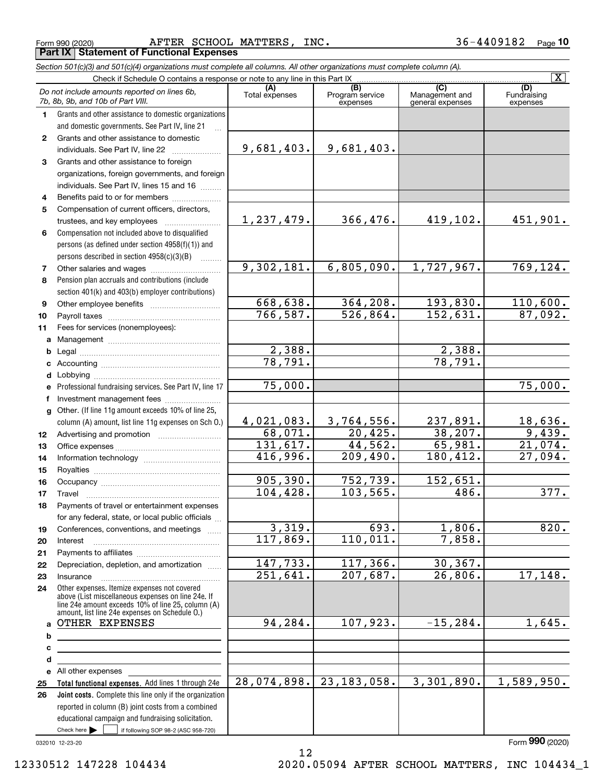Form 990 (2020) Page **Part IX Statement of Functional Expenses** AFTER SCHOOL MATTERS, INC. 36-4409182

*Section 501(c)(3) and 501(c)(4) organizations must complete all columns. All other organizations must complete column (A).*

|              | $\overline{\mathbf{x}}$                                                                                             |                        |                                                 |                                           |                         |  |  |  |  |  |  |
|--------------|---------------------------------------------------------------------------------------------------------------------|------------------------|-------------------------------------------------|-------------------------------------------|-------------------------|--|--|--|--|--|--|
|              | Do not include amounts reported on lines 6b,<br>7b, 8b, 9b, and 10b of Part VIII.                                   | (A)<br>Total expenses  | $\overline{(B)}$<br>Program service<br>expenses | (C)<br>Management and<br>general expenses | Fundraising<br>expenses |  |  |  |  |  |  |
| 1.           | Grants and other assistance to domestic organizations                                                               |                        |                                                 |                                           |                         |  |  |  |  |  |  |
|              | and domestic governments. See Part IV, line 21                                                                      |                        |                                                 |                                           |                         |  |  |  |  |  |  |
| $\mathbf{2}$ | Grants and other assistance to domestic                                                                             |                        |                                                 |                                           |                         |  |  |  |  |  |  |
|              | individuals. See Part IV, line 22                                                                                   | 9,681,403.             | 9,681,403.                                      |                                           |                         |  |  |  |  |  |  |
| 3            | Grants and other assistance to foreign                                                                              |                        |                                                 |                                           |                         |  |  |  |  |  |  |
|              | organizations, foreign governments, and foreign                                                                     |                        |                                                 |                                           |                         |  |  |  |  |  |  |
|              | individuals. See Part IV, lines 15 and 16                                                                           |                        |                                                 |                                           |                         |  |  |  |  |  |  |
| 4            | Benefits paid to or for members                                                                                     |                        |                                                 |                                           |                         |  |  |  |  |  |  |
| 5            | Compensation of current officers, directors,                                                                        |                        |                                                 |                                           |                         |  |  |  |  |  |  |
|              | trustees, and key employees                                                                                         | 1,237,479.             | 366,476.                                        | 419,102.                                  | 451,901.                |  |  |  |  |  |  |
| 6            | Compensation not included above to disqualified                                                                     |                        |                                                 |                                           |                         |  |  |  |  |  |  |
|              | persons (as defined under section 4958(f)(1)) and                                                                   |                        |                                                 |                                           |                         |  |  |  |  |  |  |
|              | persons described in section $4958(c)(3)(B)$                                                                        |                        |                                                 |                                           |                         |  |  |  |  |  |  |
| 7            |                                                                                                                     | 9,302,181.             | 6,805,090.                                      | 1,727,967.                                | 769, 124.               |  |  |  |  |  |  |
| 8            | Pension plan accruals and contributions (include                                                                    |                        |                                                 |                                           |                         |  |  |  |  |  |  |
|              | section 401(k) and 403(b) employer contributions)                                                                   |                        |                                                 |                                           |                         |  |  |  |  |  |  |
| 9            |                                                                                                                     | 668,638.               | 364, 208.                                       | 193,830.                                  | 110,600.                |  |  |  |  |  |  |
| 10           |                                                                                                                     | 766, 587.              | 526,864.                                        | 152,631.                                  | 87,092.                 |  |  |  |  |  |  |
| 11           | Fees for services (nonemployees):                                                                                   |                        |                                                 |                                           |                         |  |  |  |  |  |  |
|              |                                                                                                                     |                        |                                                 |                                           |                         |  |  |  |  |  |  |
| b            |                                                                                                                     | 2,388.                 |                                                 | 2,388.                                    |                         |  |  |  |  |  |  |
|              |                                                                                                                     | 78,791.                |                                                 | 78,791.                                   |                         |  |  |  |  |  |  |
| d            |                                                                                                                     |                        |                                                 |                                           |                         |  |  |  |  |  |  |
|              | e Professional fundraising services. See Part IV, line 17                                                           | 75,000.                |                                                 |                                           | 75,000.                 |  |  |  |  |  |  |
| f            | Investment management fees                                                                                          |                        |                                                 |                                           |                         |  |  |  |  |  |  |
|              | g Other. (If line 11g amount exceeds 10% of line 25,                                                                |                        |                                                 |                                           |                         |  |  |  |  |  |  |
|              | column (A) amount, list line 11g expenses on Sch O.)                                                                | 4,021,083.             | 3,764,556.                                      | 237,891.                                  | 18,636.                 |  |  |  |  |  |  |
| 12           |                                                                                                                     | 68,071.                | 20,425.                                         | 38, 207.                                  | 9,439.                  |  |  |  |  |  |  |
| 13           |                                                                                                                     | 131,617.               | 44,562.                                         | 65,981.                                   | 21,074.                 |  |  |  |  |  |  |
| 14           |                                                                                                                     | 416,996.               | 209,490.                                        | 180,412.                                  | 27,094.                 |  |  |  |  |  |  |
| 15           |                                                                                                                     |                        |                                                 |                                           |                         |  |  |  |  |  |  |
| 16           |                                                                                                                     | 905, 390.              | 752,739.                                        | 152,651.                                  |                         |  |  |  |  |  |  |
| 17           | Travel                                                                                                              | 104,428.               | 103, 565.                                       | 486.                                      | 377.                    |  |  |  |  |  |  |
| 18           | Payments of travel or entertainment expenses                                                                        |                        |                                                 |                                           |                         |  |  |  |  |  |  |
|              | for any federal, state, or local public officials                                                                   |                        |                                                 |                                           |                         |  |  |  |  |  |  |
| 19           | Conferences, conventions, and meetings                                                                              | 3,319.                 | 693.                                            | 1,806.                                    | 820.                    |  |  |  |  |  |  |
| 20           | Interest                                                                                                            | 117,869.               | 110,011.                                        | 7,858.                                    |                         |  |  |  |  |  |  |
| 21           |                                                                                                                     |                        |                                                 |                                           |                         |  |  |  |  |  |  |
| 22           | Depreciation, depletion, and amortization                                                                           | 147,733.               | 117,366.                                        | 30, 367.                                  |                         |  |  |  |  |  |  |
| 23           | Insurance                                                                                                           | $\overline{251,641}$ . | 207,687.                                        | $\overline{26,806}$ .                     | 17,148.                 |  |  |  |  |  |  |
| 24           | Other expenses. Itemize expenses not covered<br>above (List miscellaneous expenses on line 24e. If                  |                        |                                                 |                                           |                         |  |  |  |  |  |  |
|              | line 24e amount exceeds 10% of line 25, column (A)<br>amount, list line 24e expenses on Schedule O.)                |                        |                                                 |                                           |                         |  |  |  |  |  |  |
|              | a OTHER EXPENSES                                                                                                    | 94,284.                | 107,923.                                        | $-15, 284.$                               | 1,645.                  |  |  |  |  |  |  |
| b            |                                                                                                                     |                        |                                                 |                                           |                         |  |  |  |  |  |  |
| с            | <u> 1989 - Johann Barn, mars ann an t-Amhain an t-Amhain an t-Amhain an t-Amhain an t-Amhain an t-Amhain an t-A</u> |                        |                                                 |                                           |                         |  |  |  |  |  |  |
| d            |                                                                                                                     |                        |                                                 |                                           |                         |  |  |  |  |  |  |
|              | e All other expenses                                                                                                |                        |                                                 |                                           |                         |  |  |  |  |  |  |
| 25           | Total functional expenses. Add lines 1 through 24e                                                                  | 28,074,898.            | 23, 183, 058.                                   | 3,301,890.                                | 1,589,950.              |  |  |  |  |  |  |
| 26           | Joint costs. Complete this line only if the organization                                                            |                        |                                                 |                                           |                         |  |  |  |  |  |  |
|              | reported in column (B) joint costs from a combined                                                                  |                        |                                                 |                                           |                         |  |  |  |  |  |  |
|              | educational campaign and fundraising solicitation.                                                                  |                        |                                                 |                                           |                         |  |  |  |  |  |  |
|              | Check here $\blacktriangleright$<br>if following SOP 98-2 (ASC 958-720)                                             |                        |                                                 |                                           |                         |  |  |  |  |  |  |

032010 12-23-20

12

Form (2020) **990**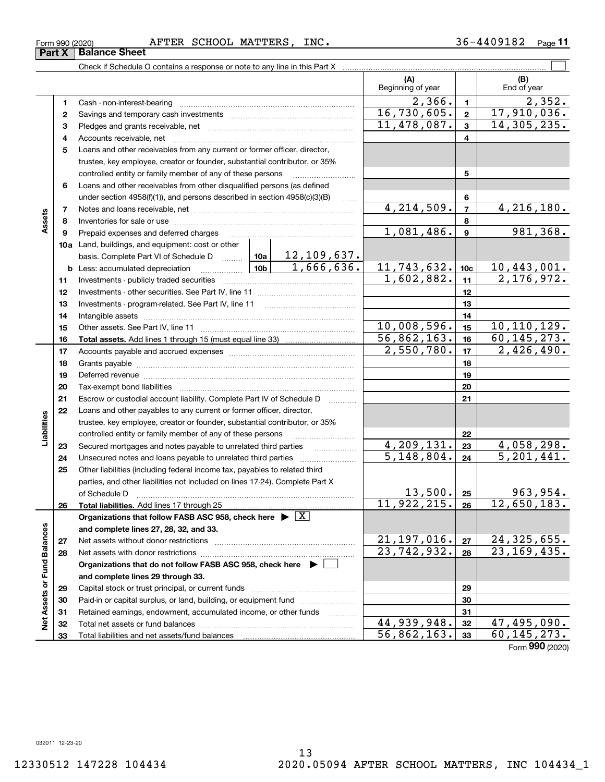### Form 990 (2020) Page AFTER SCHOOL MATTERS, INC. 36-4409182

Retained earnings, endowment, accumulated income, or other funds we have all the Total net assets or fund balances ~~~~~~~~~~~~~~~~~~~~~~

Total liabilities and net assets/fund balances

|                                                                                       | Beginning of year         |                         | End of year              |                 |                         |
|---------------------------------------------------------------------------------------|---------------------------|-------------------------|--------------------------|-----------------|-------------------------|
| Cash - non-interest-bearing                                                           |                           |                         | 2,366.                   | $\mathbf{1}$    | 2,352.                  |
|                                                                                       |                           |                         | 16,730,605.              | $\mathbf{2}$    | 17,910,036.             |
|                                                                                       | 11,478,087.               | $\overline{\mathbf{3}}$ | 14,305,235.              |                 |                         |
|                                                                                       |                           |                         |                          | 4               |                         |
| Loans and other receivables from any current or former officer, director,             |                           |                         |                          |                 |                         |
| trustee, key employee, creator or founder, substantial contributor, or 35%            |                           |                         |                          |                 |                         |
| controlled entity or family member of any of these persons                            |                           |                         |                          | 5               |                         |
| Loans and other receivables from other disqualified persons (as defined               |                           |                         |                          |                 |                         |
| under section $4958(f)(1)$ , and persons described in section $4958(c)(3)(B)$         |                           |                         |                          | 6               |                         |
|                                                                                       |                           |                         | 4, 214, 509.             | $\overline{7}$  | 4,216,180.              |
|                                                                                       |                           |                         |                          | 8               |                         |
| Prepaid expenses and deferred charges                                                 |                           |                         | 1,081,486.               | 9               | 981, 368.               |
| Land, buildings, and equipment: cost or other                                         |                           |                         |                          |                 |                         |
| basis. Complete Part VI of Schedule D                                                 | 10a                       | <u>12,109,637.</u>      |                          |                 |                         |
| Less: accumulated depreciation                                                        | 10 <sub>b</sub>           | 1,666,636.              | 11,743,632.              | 10 <sub>c</sub> | 10,443,001.             |
|                                                                                       |                           |                         | 1,602,882.               | 11              | 2,176,972.              |
|                                                                                       |                           |                         |                          | 12              |                         |
|                                                                                       |                           |                         |                          | 13              |                         |
|                                                                                       |                           |                         |                          | 14              |                         |
|                                                                                       |                           |                         | 10,008,596.              | 15              | 10, 110, 129.           |
|                                                                                       |                           |                         | 56,862,163.              | 16              | 60, 145, 273.           |
|                                                                                       |                           |                         | 2,550,780.               | 17              | 2,426,490.              |
|                                                                                       |                           |                         |                          | 18              |                         |
|                                                                                       |                           |                         |                          | 19              |                         |
|                                                                                       |                           |                         |                          | 20              |                         |
| Escrow or custodial account liability. Complete Part IV of Schedule D                 |                           |                         |                          | 21              |                         |
| Loans and other payables to any current or former officer, director,                  |                           |                         |                          |                 |                         |
| trustee, key employee, creator or founder, substantial contributor, or 35%            |                           |                         |                          |                 |                         |
| controlled entity or family member of any of these persons                            |                           |                         |                          | 22              |                         |
| Secured mortgages and notes payable to unrelated third parties                        |                           |                         | 4,209,131.               | 23              | $\overline{4,058,298.}$ |
| Unsecured notes and loans payable to unrelated third parties                          |                           |                         | $\overline{5,148,804}$ . | 24              | 5, 201, 441.            |
| Other liabilities (including federal income tax, payables to related third            |                           |                         |                          |                 |                         |
| parties, and other liabilities not included on lines 17-24). Complete Part X          |                           |                         |                          |                 |                         |
| of Schedule D                                                                         |                           |                         | 13,500.                  | 25              | 963,954.                |
| Total liabilities. Add lines 17 through 25                                            |                           |                         | 11,922,215.              | 26              | 12,650,183.             |
| Organizations that follow FASB ASC 958, check here $\triangleright \lfloor X \rfloor$ |                           |                         |                          |                 |                         |
| and complete lines 27, 28, 32, and 33.                                                |                           |                         |                          |                 |                         |
| Net assets without donor restrictions                                                 | 21,197,016.               | 27                      | 24,325,655.              |                 |                         |
|                                                                                       | $\overline{23,742,932}$ . | 28                      | 23, 169, 435.            |                 |                         |
| Organizations that do not follow FASB ASC 958, check here $\blacktriangleright$       |                           |                         |                          |                 |                         |
| and complete lines 29 through 33.                                                     |                           |                         |                          |                 |                         |
|                                                                                       |                           |                         |                          | 29              |                         |
| Paid-in or capital surplus, or land, building, or equipment fund                      |                           |                         |                          | 30              |                         |

 $\mathcal{L}^{\text{max}}$ 

**(B)**

**(A)**

Form (2020) **990**

**313233**

 $44,939,948. |32| 47,495,090.$ 56,862,163. 60,145,273.

Check if Schedule O contains a response or note to any line in this Part X

**Part X** | Balance Sheet

**6**

**Assets**

**b**

**232425**

**Liabilities**

Liabilities

**26**

**2728**

**Net Assets or Fund Balances**

Net Assets or Fund Balances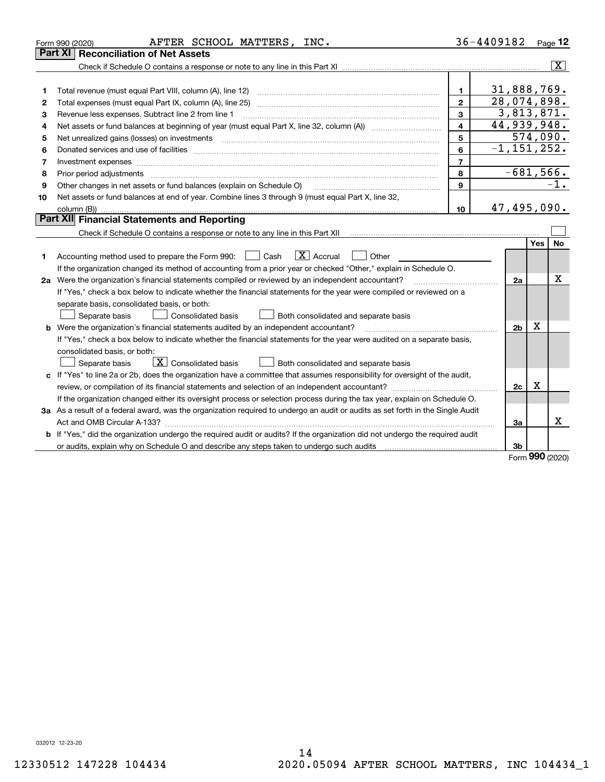|    | AFTER SCHOOL MATTERS, INC.<br>Form 990 (2020)                                                                                   |                         | 36-4409182      |         | Page $12$      |
|----|---------------------------------------------------------------------------------------------------------------------------------|-------------------------|-----------------|---------|----------------|
|    | <b>Reconciliation of Net Assets</b><br>Part XI                                                                                  |                         |                 |         |                |
|    |                                                                                                                                 |                         |                 |         | $ \mathbf{X} $ |
|    |                                                                                                                                 |                         |                 |         |                |
| 1  | Total revenue (must equal Part VIII, column (A), line 12)                                                                       | 1.                      | 31,888,769.     |         |                |
| 2  |                                                                                                                                 | $\mathbf{2}$            | 28,074,898.     |         |                |
| 3  | Revenue less expenses. Subtract line 2 from line 1                                                                              | 3                       | 3,813,871.      |         |                |
| 4  |                                                                                                                                 | $\overline{\mathbf{4}}$ | 44,939,948.     |         |                |
| 5  | Net unrealized gains (losses) on investments                                                                                    | 5                       |                 |         | 574,090.       |
| 6  |                                                                                                                                 | 6                       | $-1, 151, 252.$ |         |                |
| 7  | Investment expenses www.communication.com/www.communication.com/www.communication.com/www.com                                   | $\overline{7}$          |                 |         |                |
| 8  |                                                                                                                                 | 8                       | $-681,566.$     |         |                |
| 9  | Other changes in net assets or fund balances (explain on Schedule O)                                                            | 9                       |                 |         | $-1$ .         |
| 10 | Net assets or fund balances at end of year. Combine lines 3 through 9 (must equal Part X, line 32,                              |                         |                 |         |                |
|    |                                                                                                                                 | 10                      | 47,495,090.     |         |                |
|    | Part XII Financial Statements and Reporting                                                                                     |                         |                 |         |                |
|    |                                                                                                                                 |                         |                 |         |                |
|    |                                                                                                                                 |                         |                 | Yes     | No             |
| 1  | $\boxed{\mathbf{X}}$ Accrual<br>Accounting method used to prepare the Form 990: <u>I</u> Cash<br>Other                          |                         |                 |         |                |
|    | If the organization changed its method of accounting from a prior year or checked "Other," explain in Schedule O.               |                         |                 |         |                |
|    | 2a Were the organization's financial statements compiled or reviewed by an independent accountant?                              |                         | 2a              |         | Х              |
|    | If "Yes," check a box below to indicate whether the financial statements for the year were compiled or reviewed on a            |                         |                 |         |                |
|    | separate basis, consolidated basis, or both:                                                                                    |                         |                 |         |                |
|    | Separate basis<br><b>Consolidated basis</b><br>Both consolidated and separate basis                                             |                         |                 |         |                |
|    | <b>b</b> Were the organization's financial statements audited by an independent accountant?                                     |                         | 2 <sub>b</sub>  | X       |                |
|    | If "Yes," check a box below to indicate whether the financial statements for the year were audited on a separate basis,         |                         |                 |         |                |
|    | consolidated basis, or both:                                                                                                    |                         |                 |         |                |
|    | $\boxed{\textbf{X}}$ Consolidated basis<br>Separate basis<br>Both consolidated and separate basis                               |                         |                 |         |                |
|    | c If "Yes" to line 2a or 2b, does the organization have a committee that assumes responsibility for oversight of the audit,     |                         |                 |         |                |
|    |                                                                                                                                 |                         | 2c              | х       |                |
|    | If the organization changed either its oversight process or selection process during the tax year, explain on Schedule O.       |                         |                 |         |                |
|    | 3a As a result of a federal award, was the organization required to undergo an audit or audits as set forth in the Single Audit |                         |                 |         |                |
|    |                                                                                                                                 |                         | За              |         | x              |
|    | b If "Yes," did the organization undergo the required audit or audits? If the organization did not undergo the required audit   |                         |                 |         |                |
|    |                                                                                                                                 |                         | 3 <sub>b</sub>  | <b></b> |                |

Form (2020) **990**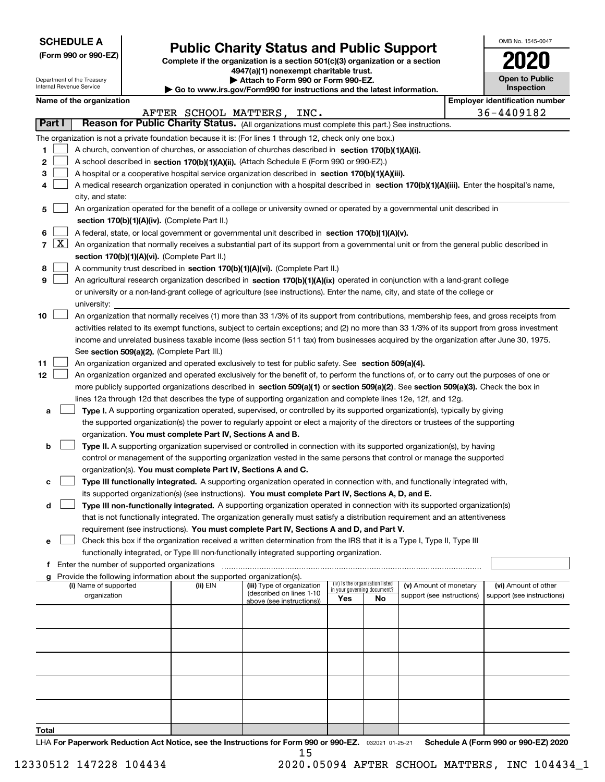| <b>SCHEDULE A</b> |
|-------------------|
|-------------------|

Department of the Treasury Internal Revenue Service

**(Form 990 or 990-EZ)**

## **Public Charity Status and Public Support**

**Complete if the organization is a section 501(c)(3) organization or a section 4947(a)(1) nonexempt charitable trust.**

|  |  |  | Attach to Form 990 or Form 990-EZ. |  |
|--|--|--|------------------------------------|--|
|  |  |  |                                    |  |

**| Go to www.irs.gov/Form990 for instructions and the latest information.**

| OMB No. 1545-0047                   |
|-------------------------------------|
| 020                                 |
| <b>Open to Public</b><br>Inspection |

### **Name of the organization Employer identification number**

|       |                     |                                                                                                                                                                                                                                 |          | AFTER SCHOOL MATTERS, INC.                             |                                                                |    |                                                      |  | 36-4409182                                         |  |  |  |
|-------|---------------------|---------------------------------------------------------------------------------------------------------------------------------------------------------------------------------------------------------------------------------|----------|--------------------------------------------------------|----------------------------------------------------------------|----|------------------------------------------------------|--|----------------------------------------------------|--|--|--|
|       | Part I              | Reason for Public Charity Status. (All organizations must complete this part.) See instructions.                                                                                                                                |          |                                                        |                                                                |    |                                                      |  |                                                    |  |  |  |
|       |                     | The organization is not a private foundation because it is: (For lines 1 through 12, check only one box.)                                                                                                                       |          |                                                        |                                                                |    |                                                      |  |                                                    |  |  |  |
| 1     |                     | A church, convention of churches, or association of churches described in section 170(b)(1)(A)(i).                                                                                                                              |          |                                                        |                                                                |    |                                                      |  |                                                    |  |  |  |
| 2     |                     | A school described in section 170(b)(1)(A)(ii). (Attach Schedule E (Form 990 or 990-EZ).)                                                                                                                                       |          |                                                        |                                                                |    |                                                      |  |                                                    |  |  |  |
| з     |                     | A hospital or a cooperative hospital service organization described in section 170(b)(1)(A)(iii).                                                                                                                               |          |                                                        |                                                                |    |                                                      |  |                                                    |  |  |  |
| 4     |                     | A medical research organization operated in conjunction with a hospital described in section 170(b)(1)(A)(iii). Enter the hospital's name,                                                                                      |          |                                                        |                                                                |    |                                                      |  |                                                    |  |  |  |
|       |                     | city, and state:                                                                                                                                                                                                                |          |                                                        |                                                                |    |                                                      |  |                                                    |  |  |  |
| 5     |                     | An organization operated for the benefit of a college or university owned or operated by a governmental unit described in                                                                                                       |          |                                                        |                                                                |    |                                                      |  |                                                    |  |  |  |
|       |                     | section 170(b)(1)(A)(iv). (Complete Part II.)                                                                                                                                                                                   |          |                                                        |                                                                |    |                                                      |  |                                                    |  |  |  |
| 6     |                     | A federal, state, or local government or governmental unit described in section 170(b)(1)(A)(v).                                                                                                                                |          |                                                        |                                                                |    |                                                      |  |                                                    |  |  |  |
| 7     | $\lfloor x \rfloor$ | An organization that normally receives a substantial part of its support from a governmental unit or from the general public described in                                                                                       |          |                                                        |                                                                |    |                                                      |  |                                                    |  |  |  |
|       |                     | section 170(b)(1)(A)(vi). (Complete Part II.)                                                                                                                                                                                   |          |                                                        |                                                                |    |                                                      |  |                                                    |  |  |  |
| 8     |                     | A community trust described in section 170(b)(1)(A)(vi). (Complete Part II.)                                                                                                                                                    |          |                                                        |                                                                |    |                                                      |  |                                                    |  |  |  |
| 9     |                     | An agricultural research organization described in section 170(b)(1)(A)(ix) operated in conjunction with a land-grant college                                                                                                   |          |                                                        |                                                                |    |                                                      |  |                                                    |  |  |  |
|       |                     | or university or a non-land-grant college of agriculture (see instructions). Enter the name, city, and state of the college or                                                                                                  |          |                                                        |                                                                |    |                                                      |  |                                                    |  |  |  |
| 10    |                     | university:<br>An organization that normally receives (1) more than 33 1/3% of its support from contributions, membership fees, and gross receipts from                                                                         |          |                                                        |                                                                |    |                                                      |  |                                                    |  |  |  |
|       |                     | activities related to its exempt functions, subject to certain exceptions; and (2) no more than 33 1/3% of its support from gross investment                                                                                    |          |                                                        |                                                                |    |                                                      |  |                                                    |  |  |  |
|       |                     | income and unrelated business taxable income (less section 511 tax) from businesses acquired by the organization after June 30, 1975.                                                                                           |          |                                                        |                                                                |    |                                                      |  |                                                    |  |  |  |
|       |                     | See section 509(a)(2). (Complete Part III.)                                                                                                                                                                                     |          |                                                        |                                                                |    |                                                      |  |                                                    |  |  |  |
| 11    |                     | An organization organized and operated exclusively to test for public safety. See section 509(a)(4).                                                                                                                            |          |                                                        |                                                                |    |                                                      |  |                                                    |  |  |  |
| 12    |                     | An organization organized and operated exclusively for the benefit of, to perform the functions of, or to carry out the purposes of one or                                                                                      |          |                                                        |                                                                |    |                                                      |  |                                                    |  |  |  |
|       |                     | more publicly supported organizations described in section 509(a)(1) or section 509(a)(2). See section 509(a)(3). Check the box in                                                                                              |          |                                                        |                                                                |    |                                                      |  |                                                    |  |  |  |
|       |                     | lines 12a through 12d that describes the type of supporting organization and complete lines 12e, 12f, and 12g.                                                                                                                  |          |                                                        |                                                                |    |                                                      |  |                                                    |  |  |  |
| a     |                     | Type I. A supporting organization operated, supervised, or controlled by its supported organization(s), typically by giving                                                                                                     |          |                                                        |                                                                |    |                                                      |  |                                                    |  |  |  |
|       |                     | the supported organization(s) the power to regularly appoint or elect a majority of the directors or trustees of the supporting                                                                                                 |          |                                                        |                                                                |    |                                                      |  |                                                    |  |  |  |
|       |                     | organization. You must complete Part IV, Sections A and B.                                                                                                                                                                      |          |                                                        |                                                                |    |                                                      |  |                                                    |  |  |  |
| b     |                     | Type II. A supporting organization supervised or controlled in connection with its supported organization(s), by having                                                                                                         |          |                                                        |                                                                |    |                                                      |  |                                                    |  |  |  |
|       |                     | control or management of the supporting organization vested in the same persons that control or manage the supported                                                                                                            |          |                                                        |                                                                |    |                                                      |  |                                                    |  |  |  |
|       |                     | organization(s). You must complete Part IV, Sections A and C.                                                                                                                                                                   |          |                                                        |                                                                |    |                                                      |  |                                                    |  |  |  |
| c     |                     | Type III functionally integrated. A supporting organization operated in connection with, and functionally integrated with,                                                                                                      |          |                                                        |                                                                |    |                                                      |  |                                                    |  |  |  |
| d     |                     | its supported organization(s) (see instructions). You must complete Part IV, Sections A, D, and E.<br>Type III non-functionally integrated. A supporting organization operated in connection with its supported organization(s) |          |                                                        |                                                                |    |                                                      |  |                                                    |  |  |  |
|       |                     | that is not functionally integrated. The organization generally must satisfy a distribution requirement and an attentiveness                                                                                                    |          |                                                        |                                                                |    |                                                      |  |                                                    |  |  |  |
|       |                     | requirement (see instructions). You must complete Part IV, Sections A and D, and Part V.                                                                                                                                        |          |                                                        |                                                                |    |                                                      |  |                                                    |  |  |  |
| е     |                     | Check this box if the organization received a written determination from the IRS that it is a Type I, Type II, Type III                                                                                                         |          |                                                        |                                                                |    |                                                      |  |                                                    |  |  |  |
|       |                     | functionally integrated, or Type III non-functionally integrated supporting organization.                                                                                                                                       |          |                                                        |                                                                |    |                                                      |  |                                                    |  |  |  |
|       |                     | Enter the number of supported organizations                                                                                                                                                                                     |          |                                                        |                                                                |    |                                                      |  |                                                    |  |  |  |
| a     |                     | Provide the following information about the supported organization(s).                                                                                                                                                          |          |                                                        |                                                                |    |                                                      |  |                                                    |  |  |  |
|       |                     | (i) Name of supported<br>organization                                                                                                                                                                                           | (ii) EIN | (iii) Type of organization<br>(described on lines 1-10 | (iv) Is the organization listed<br>in your governing document? |    | (v) Amount of monetary<br>support (see instructions) |  | (vi) Amount of other<br>support (see instructions) |  |  |  |
|       |                     |                                                                                                                                                                                                                                 |          | above (see instructions))                              | Yes                                                            | No |                                                      |  |                                                    |  |  |  |
|       |                     |                                                                                                                                                                                                                                 |          |                                                        |                                                                |    |                                                      |  |                                                    |  |  |  |
|       |                     |                                                                                                                                                                                                                                 |          |                                                        |                                                                |    |                                                      |  |                                                    |  |  |  |
|       |                     |                                                                                                                                                                                                                                 |          |                                                        |                                                                |    |                                                      |  |                                                    |  |  |  |
|       |                     |                                                                                                                                                                                                                                 |          |                                                        |                                                                |    |                                                      |  |                                                    |  |  |  |
|       |                     |                                                                                                                                                                                                                                 |          |                                                        |                                                                |    |                                                      |  |                                                    |  |  |  |
|       |                     |                                                                                                                                                                                                                                 |          |                                                        |                                                                |    |                                                      |  |                                                    |  |  |  |
|       |                     |                                                                                                                                                                                                                                 |          |                                                        |                                                                |    |                                                      |  |                                                    |  |  |  |
|       |                     |                                                                                                                                                                                                                                 |          |                                                        |                                                                |    |                                                      |  |                                                    |  |  |  |
| Total |                     |                                                                                                                                                                                                                                 |          |                                                        |                                                                |    |                                                      |  |                                                    |  |  |  |

LHA For Paperwork Reduction Act Notice, see the Instructions for Form 990 or 990-EZ. <sub>032021</sub> o1-25-21 Schedule A (Form 990 or 990-EZ) 2020 15

12330512 147228 104434 2020.05094 AFTER SCHOOL MATTERS, INC 104434\_1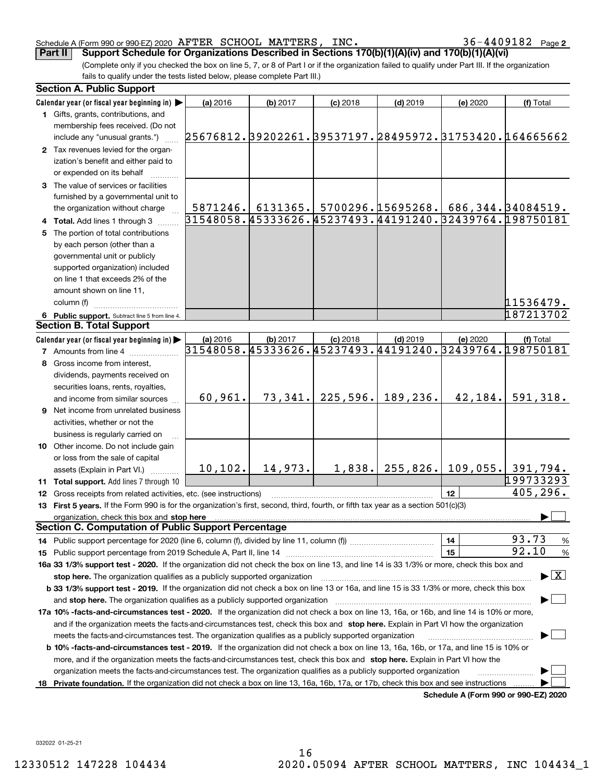### Schedule A (Form 990 or 990-EZ) 2020  $\> {\rm AFTER} \>$   $\rm SCHOOL$   $\>$   $\rm MATTERS$  ,  $\>$   $\rm INC$   $\,$   $\rm s$   $\,$   $\rm 36-4409182$   $\>$   $\rm Page$

36-4409182 Page 2

(Complete only if you checked the box on line 5, 7, or 8 of Part I or if the organization failed to qualify under Part III. If the organization fails to qualify under the tests listed below, please complete Part III.) **Part II** Support Schedule for Organizations Described in Sections 170(b)(1)(A)(iv) and 170(b)(1)(A)(vi)

|    | <b>Section A. Public Support</b>                                                                                                               |          |                     |            |                                         |                                      |                                                        |
|----|------------------------------------------------------------------------------------------------------------------------------------------------|----------|---------------------|------------|-----------------------------------------|--------------------------------------|--------------------------------------------------------|
|    | Calendar year (or fiscal year beginning in)                                                                                                    | (a) 2016 | (b) 2017            | $(c)$ 2018 | $(d)$ 2019                              | (e) 2020                             | (f) Total                                              |
|    | 1 Gifts, grants, contributions, and                                                                                                            |          |                     |            |                                         |                                      |                                                        |
|    | membership fees received. (Do not                                                                                                              |          |                     |            |                                         |                                      |                                                        |
|    | include any "unusual grants.")                                                                                                                 |          |                     |            |                                         |                                      | 25676812.39202261.39537197.28495972.31753420.164665662 |
|    | 2 Tax revenues levied for the organ-                                                                                                           |          |                     |            |                                         |                                      |                                                        |
|    | ization's benefit and either paid to                                                                                                           |          |                     |            |                                         |                                      |                                                        |
|    | or expended on its behalf                                                                                                                      |          |                     |            |                                         |                                      |                                                        |
|    | 3 The value of services or facilities                                                                                                          |          |                     |            |                                         |                                      |                                                        |
|    | furnished by a governmental unit to                                                                                                            |          |                     |            |                                         |                                      |                                                        |
|    | the organization without charge                                                                                                                |          | 5871246.   6131365. |            | $5700296.15695268.$ 686, 344. 34084519. |                                      |                                                        |
|    | 4 Total. Add lines 1 through 3                                                                                                                 |          |                     |            |                                         |                                      | 31548058.45333626.45237493.44191240.32439764.198750181 |
|    | 5 The portion of total contributions                                                                                                           |          |                     |            |                                         |                                      |                                                        |
|    | by each person (other than a                                                                                                                   |          |                     |            |                                         |                                      |                                                        |
|    | governmental unit or publicly                                                                                                                  |          |                     |            |                                         |                                      |                                                        |
|    | supported organization) included                                                                                                               |          |                     |            |                                         |                                      |                                                        |
|    | on line 1 that exceeds 2% of the                                                                                                               |          |                     |            |                                         |                                      |                                                        |
|    | amount shown on line 11,                                                                                                                       |          |                     |            |                                         |                                      |                                                        |
|    | column (f)                                                                                                                                     |          |                     |            |                                         |                                      | 11536479.                                              |
|    | 6 Public support. Subtract line 5 from line 4.                                                                                                 |          |                     |            |                                         |                                      | 187213702                                              |
|    | <b>Section B. Total Support</b>                                                                                                                |          |                     |            |                                         |                                      |                                                        |
|    | Calendar year (or fiscal year beginning in)                                                                                                    | (a) 2016 | (b) 2017            | $(c)$ 2018 | $(d)$ 2019                              | (e) 2020                             | (f) Total                                              |
|    | <b>7</b> Amounts from line 4                                                                                                                   |          |                     |            |                                         |                                      | 31548058.45333626.45237493.44191240.32439764.198750181 |
|    | 8 Gross income from interest,                                                                                                                  |          |                     |            |                                         |                                      |                                                        |
|    | dividends, payments received on                                                                                                                |          |                     |            |                                         |                                      |                                                        |
|    | securities loans, rents, royalties,                                                                                                            |          |                     |            |                                         |                                      |                                                        |
|    | and income from similar sources                                                                                                                | 60,961.  | 73,341.             | 225,596.   | 189,236.                                | 42,184.                              | 591,318.                                               |
|    | 9 Net income from unrelated business                                                                                                           |          |                     |            |                                         |                                      |                                                        |
|    | activities, whether or not the                                                                                                                 |          |                     |            |                                         |                                      |                                                        |
|    | business is regularly carried on                                                                                                               |          |                     |            |                                         |                                      |                                                        |
|    | 10 Other income. Do not include gain                                                                                                           |          |                     |            |                                         |                                      |                                                        |
|    | or loss from the sale of capital                                                                                                               |          |                     |            |                                         |                                      |                                                        |
|    | assets (Explain in Part VI.)                                                                                                                   | 10, 102. | 14,973.             | 1,838.     | 255,826.                                | 109,055.                             | 391,794.                                               |
|    | 11 Total support. Add lines 7 through 10                                                                                                       |          |                     |            |                                         |                                      | 199733293                                              |
|    | <b>12</b> Gross receipts from related activities, etc. (see instructions)                                                                      |          |                     |            |                                         | 12                                   | 405,296.                                               |
|    | 13 First 5 years. If the Form 990 is for the organization's first, second, third, fourth, or fifth tax year as a section 501(c)(3)             |          |                     |            |                                         |                                      |                                                        |
|    | organization, check this box and stop here                                                                                                     |          |                     |            |                                         |                                      |                                                        |
|    | <b>Section C. Computation of Public Support Percentage</b>                                                                                     |          |                     |            |                                         |                                      |                                                        |
|    |                                                                                                                                                |          |                     |            |                                         | 14                                   | 93.73<br>$\frac{9}{6}$                                 |
|    |                                                                                                                                                |          |                     |            |                                         | 15                                   | 92.10<br>%                                             |
|    | 16a 33 1/3% support test - 2020. If the organization did not check the box on line 13, and line 14 is 33 1/3% or more, check this box and      |          |                     |            |                                         |                                      |                                                        |
|    | stop here. The organization qualifies as a publicly supported organization                                                                     |          |                     |            |                                         |                                      | $\blacktriangleright$ $\vert$ X                        |
|    | b 33 1/3% support test - 2019. If the organization did not check a box on line 13 or 16a, and line 15 is 33 1/3% or more, check this box       |          |                     |            |                                         |                                      |                                                        |
|    | and stop here. The organization qualifies as a publicly supported organization                                                                 |          |                     |            |                                         |                                      |                                                        |
|    | 17a 10% -facts-and-circumstances test - 2020. If the organization did not check a box on line 13, 16a, or 16b, and line 14 is 10% or more,     |          |                     |            |                                         |                                      |                                                        |
|    | and if the organization meets the facts-and-circumstances test, check this box and stop here. Explain in Part VI how the organization          |          |                     |            |                                         |                                      |                                                        |
|    | meets the facts-and-circumstances test. The organization qualifies as a publicly supported organization                                        |          |                     |            |                                         |                                      |                                                        |
|    | <b>b 10% -facts-and-circumstances test - 2019.</b> If the organization did not check a box on line 13, 16a, 16b, or 17a, and line 15 is 10% or |          |                     |            |                                         |                                      |                                                        |
|    | more, and if the organization meets the facts-and-circumstances test, check this box and stop here. Explain in Part VI how the                 |          |                     |            |                                         |                                      |                                                        |
|    | organization meets the facts-and-circumstances test. The organization qualifies as a publicly supported organization                           |          |                     |            |                                         |                                      |                                                        |
| 18 | Private foundation. If the organization did not check a box on line 13, 16a, 16b, 17a, or 17b, check this box and see instructions             |          |                     |            |                                         | Schedule A (Form 990 or 990-F7) 2020 |                                                        |

**Schedule A (Form 990 or 990-EZ) 2020**

032022 01-25-21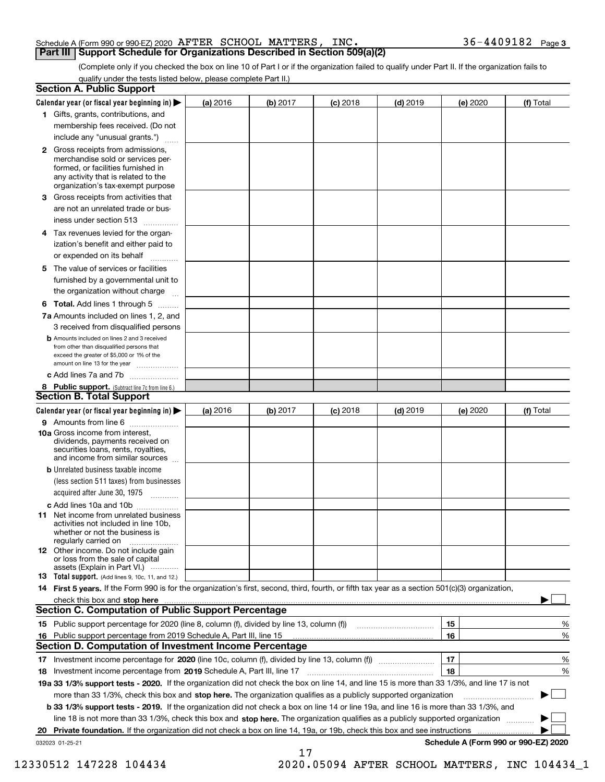### Schedule A (Form 990 or 990-EZ) 2020  $\> {\rm AFTER} \>$   $\rm SCHOOL$   $\>$   $\rm MATTERS$  ,  $\>$   $\rm INC$   $\,$   $\rm s$   $\,$   $\rm 36-4409182$   $\>$   $\rm Page$ **Part III Support Schedule for Organizations Described in Section 509(a)(2)**

(Complete only if you checked the box on line 10 of Part I or if the organization failed to qualify under Part II. If the organization fails to qualify under the tests listed below, please complete Part II.)

|    | <b>Section A. Public Support</b>                                                                                                                                                                                               |          |          |            |            |          |                                      |
|----|--------------------------------------------------------------------------------------------------------------------------------------------------------------------------------------------------------------------------------|----------|----------|------------|------------|----------|--------------------------------------|
|    | Calendar year (or fiscal year beginning in) $\blacktriangleright$                                                                                                                                                              | (a) 2016 | (b) 2017 | $(c)$ 2018 | $(d)$ 2019 | (e) 2020 | (f) Total                            |
|    | 1 Gifts, grants, contributions, and                                                                                                                                                                                            |          |          |            |            |          |                                      |
|    | membership fees received. (Do not                                                                                                                                                                                              |          |          |            |            |          |                                      |
|    | include any "unusual grants.")                                                                                                                                                                                                 |          |          |            |            |          |                                      |
|    | 2 Gross receipts from admissions,<br>merchandise sold or services per-<br>formed, or facilities furnished in<br>any activity that is related to the<br>organization's tax-exempt purpose                                       |          |          |            |            |          |                                      |
|    | 3 Gross receipts from activities that<br>are not an unrelated trade or bus-                                                                                                                                                    |          |          |            |            |          |                                      |
|    | iness under section 513                                                                                                                                                                                                        |          |          |            |            |          |                                      |
|    | 4 Tax revenues levied for the organ-                                                                                                                                                                                           |          |          |            |            |          |                                      |
|    | ization's benefit and either paid to<br>or expended on its behalf<br>.                                                                                                                                                         |          |          |            |            |          |                                      |
|    | 5 The value of services or facilities                                                                                                                                                                                          |          |          |            |            |          |                                      |
|    | furnished by a governmental unit to                                                                                                                                                                                            |          |          |            |            |          |                                      |
|    | the organization without charge                                                                                                                                                                                                |          |          |            |            |          |                                      |
|    | <b>6 Total.</b> Add lines 1 through 5                                                                                                                                                                                          |          |          |            |            |          |                                      |
|    | 7a Amounts included on lines 1, 2, and<br>3 received from disqualified persons                                                                                                                                                 |          |          |            |            |          |                                      |
|    | <b>b</b> Amounts included on lines 2 and 3 received<br>from other than disqualified persons that<br>exceed the greater of \$5,000 or 1% of the<br>amount on line 13 for the year                                               |          |          |            |            |          |                                      |
|    | c Add lines 7a and 7b                                                                                                                                                                                                          |          |          |            |            |          |                                      |
|    | 8 Public support. (Subtract line 7c from line 6.)                                                                                                                                                                              |          |          |            |            |          |                                      |
|    | <b>Section B. Total Support</b>                                                                                                                                                                                                |          |          |            |            |          |                                      |
|    | Calendar year (or fiscal year beginning in) $\blacktriangleright$                                                                                                                                                              | (a) 2016 | (b) 2017 | $(c)$ 2018 | $(d)$ 2019 | (e) 2020 | (f) Total                            |
|    | 9 Amounts from line 6                                                                                                                                                                                                          |          |          |            |            |          |                                      |
|    | 10a Gross income from interest,<br>dividends, payments received on<br>securities loans, rents, royalties,<br>and income from similar sources                                                                                   |          |          |            |            |          |                                      |
|    | <b>b</b> Unrelated business taxable income<br>(less section 511 taxes) from businesses                                                                                                                                         |          |          |            |            |          |                                      |
|    | acquired after June 30, 1975                                                                                                                                                                                                   |          |          |            |            |          |                                      |
|    | c Add lines 10a and 10b<br>11 Net income from unrelated business<br>activities not included in line 10b,<br>whether or not the business is                                                                                     |          |          |            |            |          |                                      |
|    | regularly carried on<br>12 Other income. Do not include gain<br>or loss from the sale of capital                                                                                                                               |          |          |            |            |          |                                      |
|    | assets (Explain in Part VI.)<br><b>13</b> Total support. (Add lines 9, 10c, 11, and 12.)                                                                                                                                       |          |          |            |            |          |                                      |
|    | 14 First 5 years. If the Form 990 is for the organization's first, second, third, fourth, or fifth tax year as a section 501(c)(3) organization,                                                                               |          |          |            |            |          |                                      |
|    | check this box and stop here measured and contained a state of the state of the state of the state of the state of the state of the state of the state of the state of the state of the state of the state of the state of the |          |          |            |            |          |                                      |
|    | Section C. Computation of Public Support Percentage                                                                                                                                                                            |          |          |            |            |          |                                      |
|    | 15 Public support percentage for 2020 (line 8, column (f), divided by line 13, column (f))                                                                                                                                     |          |          |            |            | 15       | %                                    |
|    | 16 Public support percentage from 2019 Schedule A, Part III, line 15                                                                                                                                                           |          |          |            |            | 16       | %                                    |
|    | <b>Section D. Computation of Investment Income Percentage</b>                                                                                                                                                                  |          |          |            |            |          |                                      |
|    | 17 Investment income percentage for 2020 (line 10c, column (f), divided by line 13, column (f))                                                                                                                                |          |          |            |            | 17       | %                                    |
|    | <b>18</b> Investment income percentage from <b>2019</b> Schedule A, Part III, line 17                                                                                                                                          |          |          |            |            | 18       | %                                    |
|    | 19a 33 1/3% support tests - 2020. If the organization did not check the box on line 14, and line 15 is more than 33 1/3%, and line 17 is not                                                                                   |          |          |            |            |          |                                      |
|    | more than 33 1/3%, check this box and stop here. The organization qualifies as a publicly supported organization                                                                                                               |          |          |            |            |          | ▶                                    |
|    | b 33 1/3% support tests - 2019. If the organization did not check a box on line 14 or line 19a, and line 16 is more than 33 1/3%, and                                                                                          |          |          |            |            |          |                                      |
|    | line 18 is not more than 33 1/3%, check this box and stop here. The organization qualifies as a publicly supported organization                                                                                                |          |          |            |            |          |                                      |
| 20 | <b>Private foundation.</b> If the organization did not check a box on line 14, 19a, or 19b, check this box and see instructions                                                                                                |          |          |            |            |          |                                      |
|    | 032023 01-25-21                                                                                                                                                                                                                |          | 17       |            |            |          | Schedule A (Form 990 or 990-EZ) 2020 |

12330512 147228 104434 2020.05094 AFTER SCHOOL MATTERS, INC 104434\_1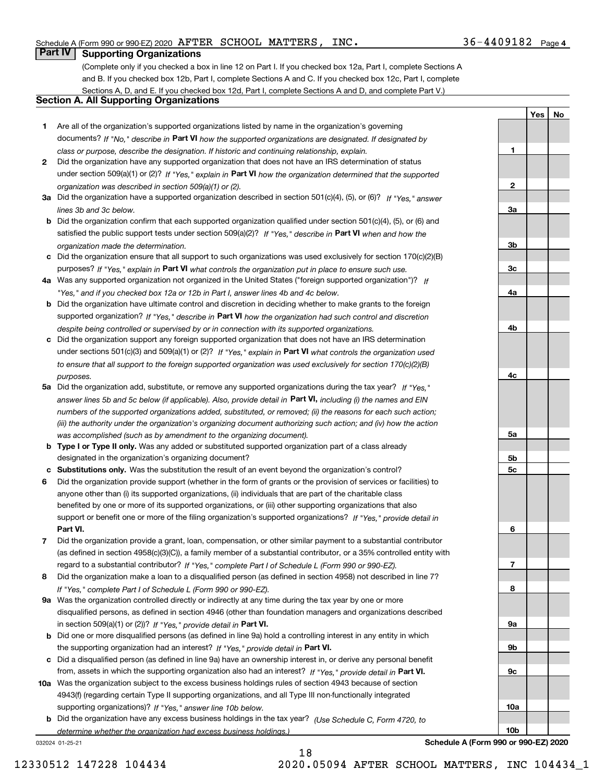**1**

**2**

**3a**

**YesNo**

### **Part IV Supporting Organizations**

(Complete only if you checked a box in line 12 on Part I. If you checked box 12a, Part I, complete Sections A and B. If you checked box 12b, Part I, complete Sections A and C. If you checked box 12c, Part I, complete Sections A, D, and E. If you checked box 12d, Part I, complete Sections A and D, and complete Part V.)

### **Section A. All Supporting Organizations**

- **1** Are all of the organization's supported organizations listed by name in the organization's governing documents? If "No," describe in **Part VI** how the supported organizations are designated. If designated by *class or purpose, describe the designation. If historic and continuing relationship, explain.*
- **2** Did the organization have any supported organization that does not have an IRS determination of status under section 509(a)(1) or (2)? If "Yes," explain in Part VI how the organization determined that the supported *organization was described in section 509(a)(1) or (2).*
- **3a** Did the organization have a supported organization described in section 501(c)(4), (5), or (6)? If "Yes," answer *lines 3b and 3c below.*
- **b** Did the organization confirm that each supported organization qualified under section 501(c)(4), (5), or (6) and satisfied the public support tests under section 509(a)(2)? If "Yes," describe in **Part VI** when and how the *organization made the determination.*
- **c**Did the organization ensure that all support to such organizations was used exclusively for section 170(c)(2)(B) purposes? If "Yes," explain in **Part VI** what controls the organization put in place to ensure such use.
- **4a***If* Was any supported organization not organized in the United States ("foreign supported organization")? *"Yes," and if you checked box 12a or 12b in Part I, answer lines 4b and 4c below.*
- **b** Did the organization have ultimate control and discretion in deciding whether to make grants to the foreign supported organization? If "Yes," describe in **Part VI** how the organization had such control and discretion *despite being controlled or supervised by or in connection with its supported organizations.*
- **c** Did the organization support any foreign supported organization that does not have an IRS determination under sections 501(c)(3) and 509(a)(1) or (2)? If "Yes," explain in **Part VI** what controls the organization used *to ensure that all support to the foreign supported organization was used exclusively for section 170(c)(2)(B) purposes.*
- **5a** Did the organization add, substitute, or remove any supported organizations during the tax year? If "Yes," answer lines 5b and 5c below (if applicable). Also, provide detail in **Part VI,** including (i) the names and EIN *numbers of the supported organizations added, substituted, or removed; (ii) the reasons for each such action; (iii) the authority under the organization's organizing document authorizing such action; and (iv) how the action was accomplished (such as by amendment to the organizing document).*
- **b** Type I or Type II only. Was any added or substituted supported organization part of a class already designated in the organization's organizing document?
- **cSubstitutions only.**  Was the substitution the result of an event beyond the organization's control?
- **6** Did the organization provide support (whether in the form of grants or the provision of services or facilities) to **Part VI.** *If "Yes," provide detail in* support or benefit one or more of the filing organization's supported organizations? anyone other than (i) its supported organizations, (ii) individuals that are part of the charitable class benefited by one or more of its supported organizations, or (iii) other supporting organizations that also
- **7**Did the organization provide a grant, loan, compensation, or other similar payment to a substantial contributor *If "Yes," complete Part I of Schedule L (Form 990 or 990-EZ).* regard to a substantial contributor? (as defined in section 4958(c)(3)(C)), a family member of a substantial contributor, or a 35% controlled entity with
- **8** Did the organization make a loan to a disqualified person (as defined in section 4958) not described in line 7? *If "Yes," complete Part I of Schedule L (Form 990 or 990-EZ).*
- **9a** Was the organization controlled directly or indirectly at any time during the tax year by one or more in section 509(a)(1) or (2))? If "Yes," *provide detail in* <code>Part VI.</code> disqualified persons, as defined in section 4946 (other than foundation managers and organizations described
- **b** Did one or more disqualified persons (as defined in line 9a) hold a controlling interest in any entity in which the supporting organization had an interest? If "Yes," provide detail in P**art VI**.
- **c**Did a disqualified person (as defined in line 9a) have an ownership interest in, or derive any personal benefit from, assets in which the supporting organization also had an interest? If "Yes," provide detail in P**art VI.**
- **10a** Was the organization subject to the excess business holdings rules of section 4943 because of section supporting organizations)? If "Yes," answer line 10b below. 4943(f) (regarding certain Type II supporting organizations, and all Type III non-functionally integrated
- **b** Did the organization have any excess business holdings in the tax year? (Use Schedule C, Form 4720, to *determine whether the organization had excess business holdings.)*

18

032024 01-25-21

**3b3c4a4b4c5a 5b5c6789a 9b9c10a10b**

**Schedule A (Form 990 or 990-EZ) 2020**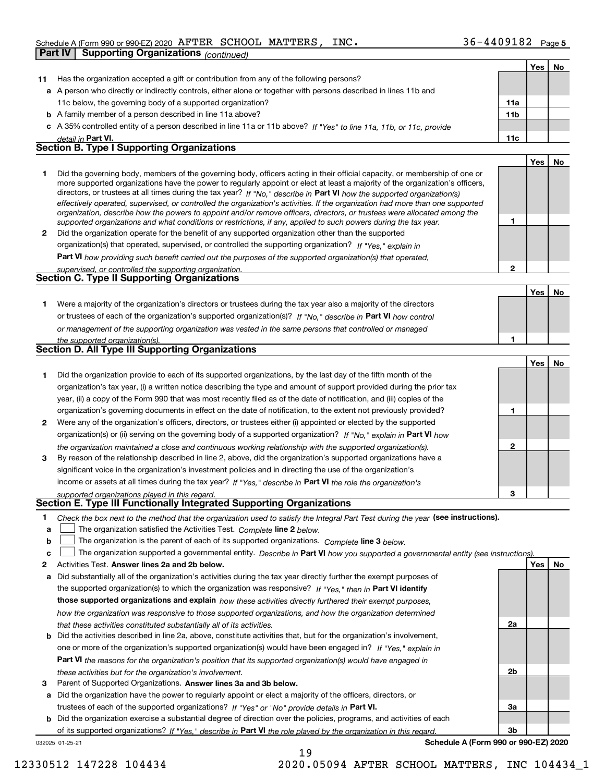|    |                                                                                                                                                                                                                                                            |                 | Yes | No |
|----|------------------------------------------------------------------------------------------------------------------------------------------------------------------------------------------------------------------------------------------------------------|-----------------|-----|----|
| 11 | Has the organization accepted a gift or contribution from any of the following persons?                                                                                                                                                                    |                 |     |    |
|    | a A person who directly or indirectly controls, either alone or together with persons described in lines 11b and                                                                                                                                           |                 |     |    |
|    | 11c below, the governing body of a supported organization?                                                                                                                                                                                                 | 11a             |     |    |
|    | <b>b</b> A family member of a person described in line 11a above?                                                                                                                                                                                          | 11 <sub>b</sub> |     |    |
|    | c A 35% controlled entity of a person described in line 11a or 11b above? If "Yes" to line 11a, 11b, or 11c, provide                                                                                                                                       |                 |     |    |
|    | detail in Part VI.                                                                                                                                                                                                                                         | 11c             |     |    |
|    | <b>Section B. Type I Supporting Organizations</b>                                                                                                                                                                                                          |                 |     |    |
|    |                                                                                                                                                                                                                                                            |                 | Yes | No |
| 1  | Did the governing body, members of the governing body, officers acting in their official capacity, or membership of one or                                                                                                                                 |                 |     |    |
|    | more supported organizations have the power to regularly appoint or elect at least a majority of the organization's officers,                                                                                                                              |                 |     |    |
|    | directors, or trustees at all times during the tax year? If "No," describe in Part VI how the supported organization(s)                                                                                                                                    |                 |     |    |
|    | effectively operated, supervised, or controlled the organization's activities. If the organization had more than one supported<br>organization, describe how the powers to appoint and/or remove officers, directors, or trustees were allocated among the |                 |     |    |
|    | supported organizations and what conditions or restrictions, if any, applied to such powers during the tax year.                                                                                                                                           | 1               |     |    |
| 2  | Did the organization operate for the benefit of any supported organization other than the supported                                                                                                                                                        |                 |     |    |
|    | organization(s) that operated, supervised, or controlled the supporting organization? If "Yes," explain in                                                                                                                                                 |                 |     |    |
|    | Part VI how providing such benefit carried out the purposes of the supported organization(s) that operated,                                                                                                                                                |                 |     |    |
|    | supervised, or controlled the supporting organization.                                                                                                                                                                                                     | $\overline{2}$  |     |    |
|    | <b>Section C. Type II Supporting Organizations</b>                                                                                                                                                                                                         |                 |     |    |
|    |                                                                                                                                                                                                                                                            |                 | Yes | No |
| 1  | Were a majority of the organization's directors or trustees during the tax year also a majority of the directors                                                                                                                                           |                 |     |    |
|    | or trustees of each of the organization's supported organization(s)? If "No," describe in Part VI how control                                                                                                                                              |                 |     |    |
|    | or management of the supporting organization was vested in the same persons that controlled or managed                                                                                                                                                     |                 |     |    |
|    | the supported organization(s).                                                                                                                                                                                                                             | 1               |     |    |
|    | <b>Section D. All Type III Supporting Organizations</b>                                                                                                                                                                                                    |                 |     |    |
|    |                                                                                                                                                                                                                                                            |                 | Yes | No |
| 1  | Did the organization provide to each of its supported organizations, by the last day of the fifth month of the                                                                                                                                             |                 |     |    |
|    | organization's tax year, (i) a written notice describing the type and amount of support provided during the prior tax                                                                                                                                      |                 |     |    |
|    | year, (ii) a copy of the Form 990 that was most recently filed as of the date of notification, and (iii) copies of the                                                                                                                                     |                 |     |    |
|    | organization's governing documents in effect on the date of notification, to the extent not previously provided?                                                                                                                                           | 1               |     |    |
| 2  | Were any of the organization's officers, directors, or trustees either (i) appointed or elected by the supported                                                                                                                                           |                 |     |    |
|    | organization(s) or (ii) serving on the governing body of a supported organization? If "No," explain in Part VI how                                                                                                                                         |                 |     |    |
|    | the organization maintained a close and continuous working relationship with the supported organization(s).                                                                                                                                                | 2               |     |    |
| 3  | By reason of the relationship described in line 2, above, did the organization's supported organizations have a                                                                                                                                            |                 |     |    |
|    | significant voice in the organization's investment policies and in directing the use of the organization's                                                                                                                                                 |                 |     |    |
|    | income or assets at all times during the tax year? If "Yes," describe in Part VI the role the organization's                                                                                                                                               |                 |     |    |
|    | supported organizations played in this regard.                                                                                                                                                                                                             | 3               |     |    |
|    | Section E. Type III Functionally Integrated Supporting Organizations                                                                                                                                                                                       |                 |     |    |
| 1  | Check the box next to the method that the organization used to satisfy the Integral Part Test during the year (see instructions).                                                                                                                          |                 |     |    |
| a  | The organization satisfied the Activities Test. Complete line 2 below.                                                                                                                                                                                     |                 |     |    |
| b  | The organization is the parent of each of its supported organizations. Complete line 3 below.                                                                                                                                                              |                 |     |    |
| c  | The organization supported a governmental entity. Describe in Part VI how you supported a governmental entity (see instructions).                                                                                                                          |                 |     |    |
| 2  | Activities Test. Answer lines 2a and 2b below.                                                                                                                                                                                                             |                 | Yes | No |
| а  | Did substantially all of the organization's activities during the tax year directly further the exempt purposes of                                                                                                                                         |                 |     |    |
|    | the supported organization(s) to which the organization was responsive? If "Yes," then in Part VI identify                                                                                                                                                 |                 |     |    |
|    | those supported organizations and explain how these activities directly furthered their exempt purposes,                                                                                                                                                   |                 |     |    |
|    | how the organization was responsive to those supported organizations, and how the organization determined                                                                                                                                                  |                 |     |    |
|    | that these activities constituted substantially all of its activities.<br>Did the activities described in line 2a, above, constitute activities that, but for the organization's involvement,                                                              | 2a              |     |    |
| b  | one or more of the organization's supported organization(s) would have been engaged in? If "Yes," explain in                                                                                                                                               |                 |     |    |
|    |                                                                                                                                                                                                                                                            |                 |     |    |
|    | <b>Part VI</b> the reasons for the organization's position that its supported organization(s) would have engaged in                                                                                                                                        | 2b              |     |    |
| з  | these activities but for the organization's involvement.<br>Parent of Supported Organizations. Answer lines 3a and 3b below.                                                                                                                               |                 |     |    |
| а  | Did the organization have the power to regularly appoint or elect a majority of the officers, directors, or                                                                                                                                                |                 |     |    |
|    | trustees of each of the supported organizations? If "Yes" or "No" provide details in Part VI.                                                                                                                                                              | За              |     |    |
|    | <b>b</b> Did the organization exercise a substantial degree of direction over the policies, programs, and activities of each                                                                                                                               |                 |     |    |
|    |                                                                                                                                                                                                                                                            |                 |     |    |

032025 01-25-21 of its supported organizations? If "Yes," describe in Part VI the role played by the organization in this regard.

**Schedule A (Form 990 or 990-EZ) 2020**

**3b**

19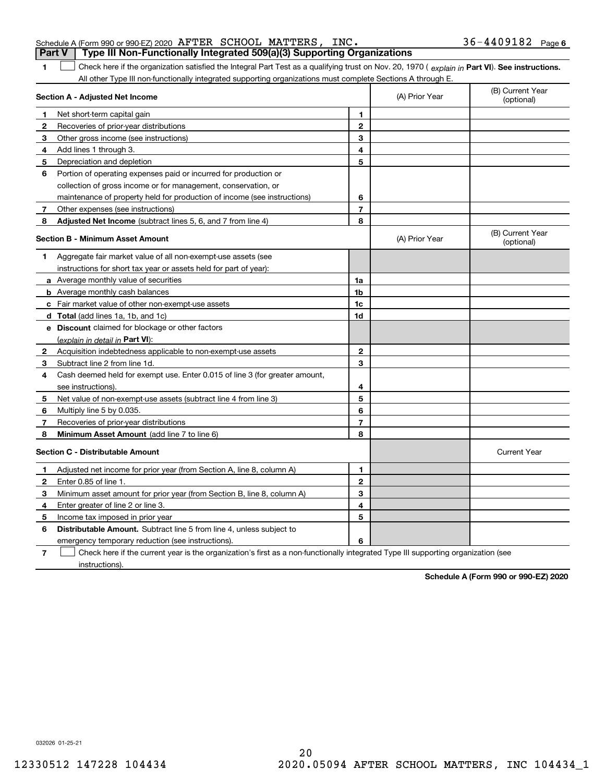|  | Schedule A (Form 990 or 990-EZ) 2020 AFTER SCHOOL MATTERS, INC.                                             |  |  | $36 - 4409182$ Page 6                                                                                                                                    |  |
|--|-------------------------------------------------------------------------------------------------------------|--|--|----------------------------------------------------------------------------------------------------------------------------------------------------------|--|
|  | <b>Part V</b> Type III Non-Functionally Integrated 509(a)(3) Supporting Organizations                       |  |  |                                                                                                                                                          |  |
|  |                                                                                                             |  |  | $\rfloor$ Check here if the organization satisfied the Integral Part Test as a qualifying trust on Nov. 20, 1970 (explain in Part VI). See instructions. |  |
|  | All other Type III non-functionally integrated supporting organizations must complete Sections A through F. |  |  |                                                                                                                                                          |  |

**Part VI** Check here if the organization satisfied the Integral Part Test as a qualifying trust on Nov. 20, 1970 ( explain in Part **VI**). See instructions. **Section A - Adjusted Net Income 12 12**All other Type III non-functionally integrated supporting organizations must complete Sections A through E. (B) Current Year (optional) (A) Prior Year Net short-term capital gain Recoveries of prior-year distributions

| З            | Other gross income (see instructions)                                       | 3              |                |                                |
|--------------|-----------------------------------------------------------------------------|----------------|----------------|--------------------------------|
| 4            | Add lines 1 through 3.                                                      | 4              |                |                                |
| 5            | Depreciation and depletion                                                  | 5              |                |                                |
| 6            | Portion of operating expenses paid or incurred for production or            |                |                |                                |
|              | collection of gross income or for management, conservation, or              |                |                |                                |
|              | maintenance of property held for production of income (see instructions)    | 6              |                |                                |
| 7            | Other expenses (see instructions)                                           | $\overline{7}$ |                |                                |
| 8            | Adjusted Net Income (subtract lines 5, 6, and 7 from line 4)                | 8              |                |                                |
|              | <b>Section B - Minimum Asset Amount</b>                                     |                | (A) Prior Year | (B) Current Year<br>(optional) |
| 1            | Aggregate fair market value of all non-exempt-use assets (see               |                |                |                                |
|              | instructions for short tax year or assets held for part of year):           |                |                |                                |
|              | a Average monthly value of securities                                       | 1a             |                |                                |
|              | <b>b</b> Average monthly cash balances                                      | 1b             |                |                                |
|              | c Fair market value of other non-exempt-use assets                          | 1c             |                |                                |
|              | d Total (add lines 1a, 1b, and 1c)                                          | 1d             |                |                                |
|              | e Discount claimed for blockage or other factors                            |                |                |                                |
|              | (explain in detail in Part VI):                                             |                |                |                                |
| 2            | Acquisition indebtedness applicable to non-exempt-use assets                | $\mathbf{2}$   |                |                                |
| 3            | Subtract line 2 from line 1d.                                               | 3              |                |                                |
| 4            | Cash deemed held for exempt use. Enter 0.015 of line 3 (for greater amount, |                |                |                                |
|              | see instructions).                                                          | 4              |                |                                |
| 5            | Net value of non-exempt-use assets (subtract line 4 from line 3)            | 5              |                |                                |
| 6            | Multiply line 5 by 0.035.                                                   | 6              |                |                                |
| 7            | Recoveries of prior-year distributions                                      | $\overline{7}$ |                |                                |
| 8            | Minimum Asset Amount (add line 7 to line 6)                                 | 8              |                |                                |
|              | <b>Section C - Distributable Amount</b>                                     |                |                | <b>Current Year</b>            |
| 1.           | Adjusted net income for prior year (from Section A, line 8, column A)       | 1              |                |                                |
| $\mathbf{2}$ | Enter 0.85 of line 1.                                                       | $\mathbf{2}$   |                |                                |
| 3            | Minimum asset amount for prior year (from Section B, line 8, column A)      | 3              |                |                                |
| 4            | Enter greater of line 2 or line 3.                                          | 4              |                |                                |
| 5            | Income tax imposed in prior year                                            | 5              |                |                                |
| 6            | <b>Distributable Amount.</b> Subtract line 5 from line 4, unless subject to |                |                |                                |
|              | emergency temporary reduction (see instructions).                           | 6              |                |                                |
|              |                                                                             |                |                |                                |

**7**Check here if the current year is the organization's first as a non-functionally integrated Type III supporting organization (see instructions).

**Schedule A (Form 990 or 990-EZ) 2020**

032026 01-25-21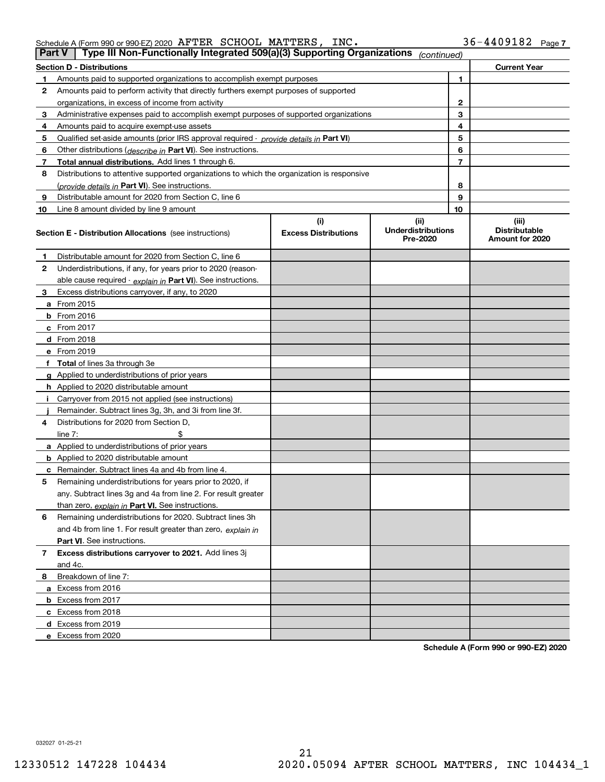| Schedule A (Form 990 or 990-EZ) 2020 $\rm \,AFTER \,$ $\rm \,SCHOOL \,$ $\rm \,MATTERS$ , |  | INC. | $36 - 4409182$ Page 7 |  |
|-------------------------------------------------------------------------------------------|--|------|-----------------------|--|
|                                                                                           |  |      |                       |  |

|    | Type III Non-Functionally Integrated 509(a)(3) Supporting Organizations<br><b>Part V</b><br>(continued) |                                    |                                               |    |                                                  |  |  |  |  |  |
|----|---------------------------------------------------------------------------------------------------------|------------------------------------|-----------------------------------------------|----|--------------------------------------------------|--|--|--|--|--|
|    | <b>Section D - Distributions</b><br><b>Current Year</b>                                                 |                                    |                                               |    |                                                  |  |  |  |  |  |
| 1  | Amounts paid to supported organizations to accomplish exempt purposes                                   |                                    | 1                                             |    |                                                  |  |  |  |  |  |
| 2  | Amounts paid to perform activity that directly furthers exempt purposes of supported                    |                                    |                                               |    |                                                  |  |  |  |  |  |
|    | organizations, in excess of income from activity                                                        |                                    |                                               | 2  |                                                  |  |  |  |  |  |
| 3  | Administrative expenses paid to accomplish exempt purposes of supported organizations                   |                                    |                                               | 3  |                                                  |  |  |  |  |  |
| 4  | Amounts paid to acquire exempt-use assets                                                               |                                    |                                               | 4  |                                                  |  |  |  |  |  |
| 5  | Qualified set-aside amounts (prior IRS approval required - provide details in Part VI)                  |                                    |                                               | 5  |                                                  |  |  |  |  |  |
| 6  | Other distributions ( <i>describe in</i> Part VI). See instructions.                                    |                                    |                                               | 6  |                                                  |  |  |  |  |  |
| 7  | Total annual distributions. Add lines 1 through 6.                                                      |                                    |                                               | 7  |                                                  |  |  |  |  |  |
| 8  | Distributions to attentive supported organizations to which the organization is responsive              |                                    |                                               |    |                                                  |  |  |  |  |  |
|    | (provide details in Part VI). See instructions.                                                         |                                    |                                               | 8  |                                                  |  |  |  |  |  |
| 9  | Distributable amount for 2020 from Section C, line 6                                                    |                                    |                                               | 9  |                                                  |  |  |  |  |  |
| 10 | Line 8 amount divided by line 9 amount                                                                  |                                    |                                               | 10 |                                                  |  |  |  |  |  |
|    | <b>Section E - Distribution Allocations</b> (see instructions)                                          | (i)<br><b>Excess Distributions</b> | (ii)<br><b>Underdistributions</b><br>Pre-2020 |    | (iii)<br><b>Distributable</b><br>Amount for 2020 |  |  |  |  |  |
| 1  | Distributable amount for 2020 from Section C, line 6                                                    |                                    |                                               |    |                                                  |  |  |  |  |  |
| 2  | Underdistributions, if any, for years prior to 2020 (reason-                                            |                                    |                                               |    |                                                  |  |  |  |  |  |
|    | able cause required - explain in Part VI). See instructions.                                            |                                    |                                               |    |                                                  |  |  |  |  |  |
| 3  | Excess distributions carryover, if any, to 2020                                                         |                                    |                                               |    |                                                  |  |  |  |  |  |
|    | a From 2015                                                                                             |                                    |                                               |    |                                                  |  |  |  |  |  |
|    | <b>b</b> From 2016                                                                                      |                                    |                                               |    |                                                  |  |  |  |  |  |
|    | $c$ From 2017                                                                                           |                                    |                                               |    |                                                  |  |  |  |  |  |
|    | d From 2018                                                                                             |                                    |                                               |    |                                                  |  |  |  |  |  |
|    | e From 2019                                                                                             |                                    |                                               |    |                                                  |  |  |  |  |  |
|    | f Total of lines 3a through 3e                                                                          |                                    |                                               |    |                                                  |  |  |  |  |  |
|    | g Applied to underdistributions of prior years                                                          |                                    |                                               |    |                                                  |  |  |  |  |  |
|    | <b>h</b> Applied to 2020 distributable amount                                                           |                                    |                                               |    |                                                  |  |  |  |  |  |
|    | Carryover from 2015 not applied (see instructions)                                                      |                                    |                                               |    |                                                  |  |  |  |  |  |
|    | Remainder. Subtract lines 3g, 3h, and 3i from line 3f.                                                  |                                    |                                               |    |                                                  |  |  |  |  |  |
| 4  | Distributions for 2020 from Section D,                                                                  |                                    |                                               |    |                                                  |  |  |  |  |  |
|    | line $7:$                                                                                               |                                    |                                               |    |                                                  |  |  |  |  |  |
|    | a Applied to underdistributions of prior years                                                          |                                    |                                               |    |                                                  |  |  |  |  |  |
|    | <b>b</b> Applied to 2020 distributable amount                                                           |                                    |                                               |    |                                                  |  |  |  |  |  |
|    | c Remainder. Subtract lines 4a and 4b from line 4.                                                      |                                    |                                               |    |                                                  |  |  |  |  |  |
| 5. | Remaining underdistributions for years prior to 2020, if                                                |                                    |                                               |    |                                                  |  |  |  |  |  |
|    | any. Subtract lines 3g and 4a from line 2. For result greater                                           |                                    |                                               |    |                                                  |  |  |  |  |  |
|    | than zero, explain in Part VI. See instructions.                                                        |                                    |                                               |    |                                                  |  |  |  |  |  |
| 6  | Remaining underdistributions for 2020. Subtract lines 3h                                                |                                    |                                               |    |                                                  |  |  |  |  |  |
|    | and 4b from line 1. For result greater than zero, explain in                                            |                                    |                                               |    |                                                  |  |  |  |  |  |
|    | Part VI. See instructions.                                                                              |                                    |                                               |    |                                                  |  |  |  |  |  |
| 7  | Excess distributions carryover to 2021. Add lines 3j                                                    |                                    |                                               |    |                                                  |  |  |  |  |  |
|    | and 4c.                                                                                                 |                                    |                                               |    |                                                  |  |  |  |  |  |
| 8  | Breakdown of line 7:                                                                                    |                                    |                                               |    |                                                  |  |  |  |  |  |
|    | a Excess from 2016                                                                                      |                                    |                                               |    |                                                  |  |  |  |  |  |
|    | <b>b</b> Excess from 2017                                                                               |                                    |                                               |    |                                                  |  |  |  |  |  |
|    | c Excess from 2018                                                                                      |                                    |                                               |    |                                                  |  |  |  |  |  |
|    | d Excess from 2019                                                                                      |                                    |                                               |    |                                                  |  |  |  |  |  |
|    | e Excess from 2020                                                                                      |                                    |                                               |    |                                                  |  |  |  |  |  |

**Schedule A (Form 990 or 990-EZ) 2020**

032027 01-25-21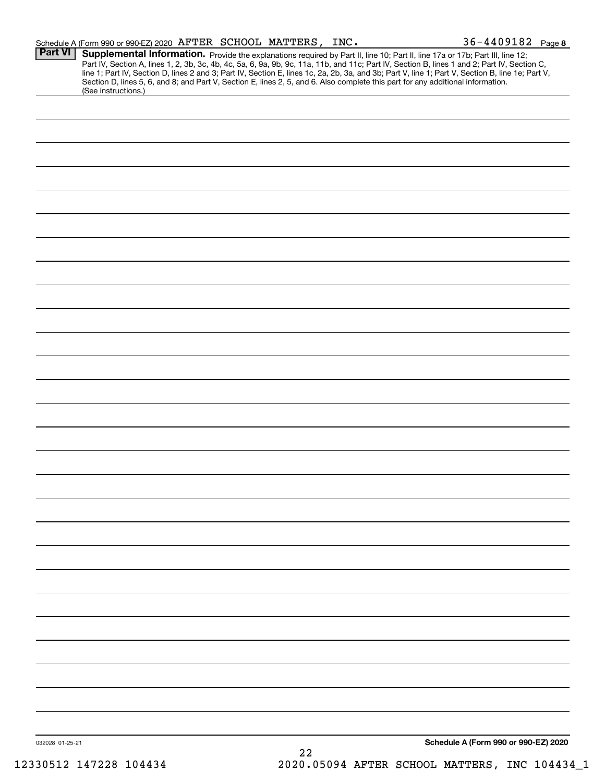|                 | Schedule A (Form 990 or 990-EZ) 2020 AFTER SCHOOL MATTERS, INC. |  |    | 36-4409182 Page 8                                                                                                                                                                                                                                                                                                                                                                                                                                                                                                                                                    |  |
|-----------------|-----------------------------------------------------------------|--|----|----------------------------------------------------------------------------------------------------------------------------------------------------------------------------------------------------------------------------------------------------------------------------------------------------------------------------------------------------------------------------------------------------------------------------------------------------------------------------------------------------------------------------------------------------------------------|--|
| <b>Part VI</b>  |                                                                 |  |    | Supplemental Information. Provide the explanations required by Part II, line 10; Part II, line 17a or 17b; Part III, line 12;<br>Part IV, Section A, lines 1, 2, 3b, 3c, 4b, 4c, 5a, 6, 9a, 9b, 9c, 11a, 11b, and 11c; Part IV, Section B, lines 1 and 2; Part IV, Section C,<br>line 1; Part IV, Section D, lines 2 and 3; Part IV, Section E, lines 1c, 2a, 2b, 3a, and 3b; Part V, line 1; Part V, Section B, line 1e; Part V,<br>Section D, lines 5, 6, and 8; and Part V, Section E, lines 2, 5, and 6. Also complete this part for any additional information. |  |
|                 | (See instructions.)                                             |  |    |                                                                                                                                                                                                                                                                                                                                                                                                                                                                                                                                                                      |  |
|                 |                                                                 |  |    |                                                                                                                                                                                                                                                                                                                                                                                                                                                                                                                                                                      |  |
|                 |                                                                 |  |    |                                                                                                                                                                                                                                                                                                                                                                                                                                                                                                                                                                      |  |
|                 |                                                                 |  |    |                                                                                                                                                                                                                                                                                                                                                                                                                                                                                                                                                                      |  |
|                 |                                                                 |  |    |                                                                                                                                                                                                                                                                                                                                                                                                                                                                                                                                                                      |  |
|                 |                                                                 |  |    |                                                                                                                                                                                                                                                                                                                                                                                                                                                                                                                                                                      |  |
|                 |                                                                 |  |    |                                                                                                                                                                                                                                                                                                                                                                                                                                                                                                                                                                      |  |
|                 |                                                                 |  |    |                                                                                                                                                                                                                                                                                                                                                                                                                                                                                                                                                                      |  |
|                 |                                                                 |  |    |                                                                                                                                                                                                                                                                                                                                                                                                                                                                                                                                                                      |  |
|                 |                                                                 |  |    |                                                                                                                                                                                                                                                                                                                                                                                                                                                                                                                                                                      |  |
|                 |                                                                 |  |    |                                                                                                                                                                                                                                                                                                                                                                                                                                                                                                                                                                      |  |
|                 |                                                                 |  |    |                                                                                                                                                                                                                                                                                                                                                                                                                                                                                                                                                                      |  |
|                 |                                                                 |  |    |                                                                                                                                                                                                                                                                                                                                                                                                                                                                                                                                                                      |  |
|                 |                                                                 |  |    |                                                                                                                                                                                                                                                                                                                                                                                                                                                                                                                                                                      |  |
|                 |                                                                 |  |    |                                                                                                                                                                                                                                                                                                                                                                                                                                                                                                                                                                      |  |
|                 |                                                                 |  |    |                                                                                                                                                                                                                                                                                                                                                                                                                                                                                                                                                                      |  |
|                 |                                                                 |  |    |                                                                                                                                                                                                                                                                                                                                                                                                                                                                                                                                                                      |  |
|                 |                                                                 |  |    |                                                                                                                                                                                                                                                                                                                                                                                                                                                                                                                                                                      |  |
|                 |                                                                 |  |    |                                                                                                                                                                                                                                                                                                                                                                                                                                                                                                                                                                      |  |
|                 |                                                                 |  |    |                                                                                                                                                                                                                                                                                                                                                                                                                                                                                                                                                                      |  |
|                 |                                                                 |  |    |                                                                                                                                                                                                                                                                                                                                                                                                                                                                                                                                                                      |  |
|                 |                                                                 |  |    |                                                                                                                                                                                                                                                                                                                                                                                                                                                                                                                                                                      |  |
|                 |                                                                 |  |    |                                                                                                                                                                                                                                                                                                                                                                                                                                                                                                                                                                      |  |
|                 |                                                                 |  |    |                                                                                                                                                                                                                                                                                                                                                                                                                                                                                                                                                                      |  |
|                 |                                                                 |  |    |                                                                                                                                                                                                                                                                                                                                                                                                                                                                                                                                                                      |  |
|                 |                                                                 |  |    |                                                                                                                                                                                                                                                                                                                                                                                                                                                                                                                                                                      |  |
|                 |                                                                 |  |    |                                                                                                                                                                                                                                                                                                                                                                                                                                                                                                                                                                      |  |
|                 |                                                                 |  |    |                                                                                                                                                                                                                                                                                                                                                                                                                                                                                                                                                                      |  |
|                 |                                                                 |  |    |                                                                                                                                                                                                                                                                                                                                                                                                                                                                                                                                                                      |  |
|                 |                                                                 |  |    |                                                                                                                                                                                                                                                                                                                                                                                                                                                                                                                                                                      |  |
|                 |                                                                 |  |    |                                                                                                                                                                                                                                                                                                                                                                                                                                                                                                                                                                      |  |
|                 |                                                                 |  |    |                                                                                                                                                                                                                                                                                                                                                                                                                                                                                                                                                                      |  |
|                 |                                                                 |  |    |                                                                                                                                                                                                                                                                                                                                                                                                                                                                                                                                                                      |  |
|                 |                                                                 |  |    |                                                                                                                                                                                                                                                                                                                                                                                                                                                                                                                                                                      |  |
|                 |                                                                 |  |    |                                                                                                                                                                                                                                                                                                                                                                                                                                                                                                                                                                      |  |
|                 |                                                                 |  |    |                                                                                                                                                                                                                                                                                                                                                                                                                                                                                                                                                                      |  |
| 032028 01-25-21 |                                                                 |  | 22 | Schedule A (Form 990 or 990-EZ) 2020                                                                                                                                                                                                                                                                                                                                                                                                                                                                                                                                 |  |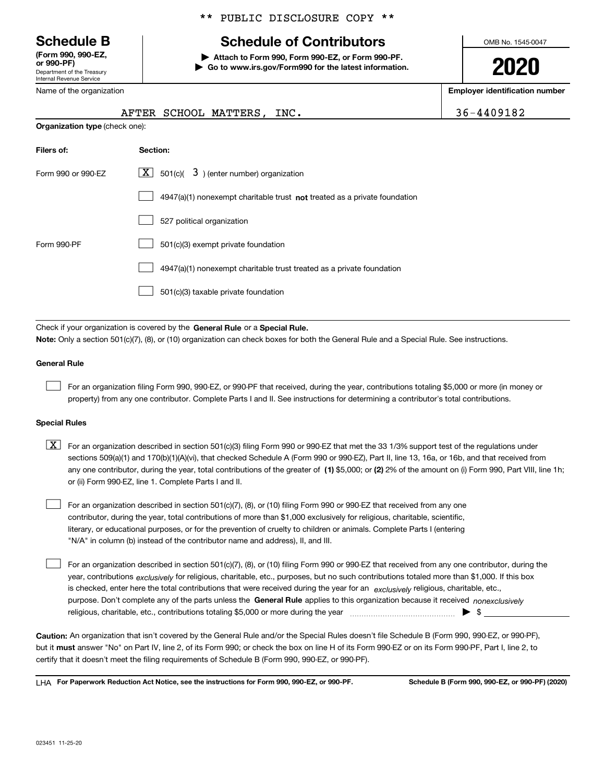Department of the Treasury Internal Revenue Service **(Form 990, 990-EZ, or 990-PF)**

Name of the organization

### \*\* PUBLIC DISCLOSURE COPY \*\*

# **Schedule B Schedule of Contributors**

**| Attach to Form 990, Form 990-EZ, or Form 990-PF. | Go to www.irs.gov/Form990 for the latest information.** OMB No. 1545-0047

**2020**

**Employer identification number**

|                                       | AFTER SCHOOL MATTERS, INC.                                                  | 36-4409182 |
|---------------------------------------|-----------------------------------------------------------------------------|------------|
| <b>Organization type (check one):</b> |                                                                             |            |
| Filers of:                            | Section:                                                                    |            |
| Form 990 or 990-EZ                    | $\lfloor \mathbf{X} \rfloor$ 501(c)( 3) (enter number) organization         |            |
|                                       | $4947(a)(1)$ nonexempt charitable trust not treated as a private foundation |            |
|                                       | 527 political organization                                                  |            |
| Form 990-PF                           | 501(c)(3) exempt private foundation                                         |            |
|                                       | 4947(a)(1) nonexempt charitable trust treated as a private foundation       |            |
|                                       | 501(c)(3) taxable private foundation                                        |            |

Check if your organization is covered by the **General Rule** or a **Special Rule. Note:**  Only a section 501(c)(7), (8), or (10) organization can check boxes for both the General Rule and a Special Rule. See instructions.

### **General Rule**

 $\mathcal{L}^{\text{max}}$ 

For an organization filing Form 990, 990-EZ, or 990-PF that received, during the year, contributions totaling \$5,000 or more (in money or property) from any one contributor. Complete Parts I and II. See instructions for determining a contributor's total contributions.

#### **Special Rules**

any one contributor, during the year, total contributions of the greater of  $\,$  (1) \$5,000; or **(2)** 2% of the amount on (i) Form 990, Part VIII, line 1h;  $\boxed{\textbf{X}}$  For an organization described in section 501(c)(3) filing Form 990 or 990-EZ that met the 33 1/3% support test of the regulations under sections 509(a)(1) and 170(b)(1)(A)(vi), that checked Schedule A (Form 990 or 990-EZ), Part II, line 13, 16a, or 16b, and that received from or (ii) Form 990-EZ, line 1. Complete Parts I and II.

For an organization described in section 501(c)(7), (8), or (10) filing Form 990 or 990-EZ that received from any one contributor, during the year, total contributions of more than \$1,000 exclusively for religious, charitable, scientific, literary, or educational purposes, or for the prevention of cruelty to children or animals. Complete Parts I (entering "N/A" in column (b) instead of the contributor name and address), II, and III.  $\mathcal{L}^{\text{max}}$ 

purpose. Don't complete any of the parts unless the **General Rule** applies to this organization because it received *nonexclusively* year, contributions <sub>exclusively</sub> for religious, charitable, etc., purposes, but no such contributions totaled more than \$1,000. If this box is checked, enter here the total contributions that were received during the year for an  $\;$ exclusively religious, charitable, etc., For an organization described in section 501(c)(7), (8), or (10) filing Form 990 or 990-EZ that received from any one contributor, during the religious, charitable, etc., contributions totaling \$5,000 or more during the year  $\Box$ — $\Box$  =  $\Box$  $\mathcal{L}^{\text{max}}$ 

**Caution:**  An organization that isn't covered by the General Rule and/or the Special Rules doesn't file Schedule B (Form 990, 990-EZ, or 990-PF),  **must** but it answer "No" on Part IV, line 2, of its Form 990; or check the box on line H of its Form 990-EZ or on its Form 990-PF, Part I, line 2, to certify that it doesn't meet the filing requirements of Schedule B (Form 990, 990-EZ, or 990-PF).

**For Paperwork Reduction Act Notice, see the instructions for Form 990, 990-EZ, or 990-PF. Schedule B (Form 990, 990-EZ, or 990-PF) (2020)** LHA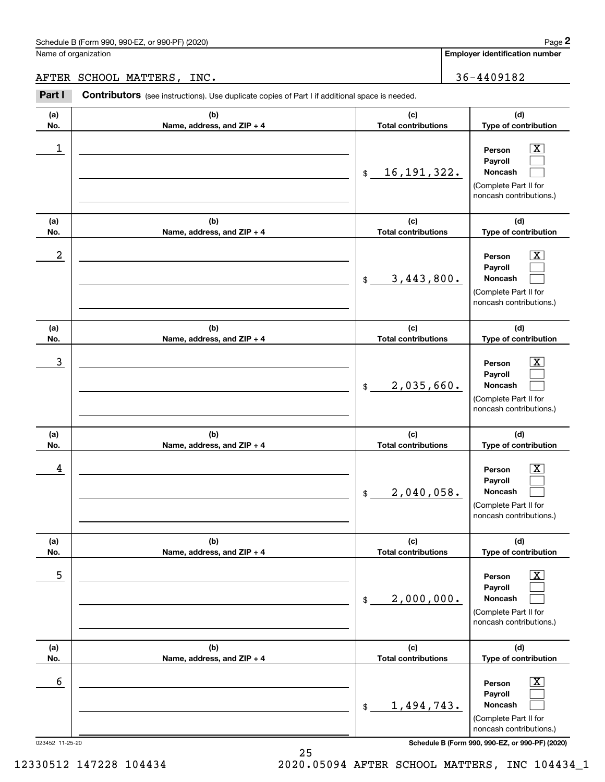Name of organization

**Employer identification number**

AFTER SCHOOL MATTERS, INC. **36-4409182** 

**(a)No.(b)Name, address, and ZIP + 4 (c)Total contributions (d)Type of contribution PersonPayrollNoncash (a)No.(b)Name, address, and ZIP + 4 (c)Total contributions (d)Type of contribution PersonPayrollNoncash (a)No.(b)Name, address, and ZIP + 4 (c)Total contributions (d)Type of contribution PersonPayrollNoncash (a) No.(b) Name, address, and ZIP + 4 (c) Total contributions (d) Type of contribution PersonPayrollNoncash(a) No.(b) Name, address, and ZIP + 4 (c) Total contributions (d) Type of contribution PersonPayrollNoncash(a) No.(b)Name, address, and ZIP + 4 (c) Total contributions (d)Type of contribution PersonPayrollNoncash Contributors** (see instructions). Use duplicate copies of Part I if additional space is needed. \$(Complete Part II for noncash contributions.) \$(Complete Part II for noncash contributions.) \$(Complete Part II for noncash contributions.) \$(Complete Part II for noncash contributions.) \$(Complete Part II for noncash contributions.)  $$$ (Complete Part II for noncash contributions.) Employer identification Page 2<br>
Iame of organization<br> **2PART SCHOOL MATTERS, INC.**<br> **2PART I** Contributors (see instructions). Use duplicate copies of Part I if additional space is needed.  $|X|$  $\mathcal{L}^{\text{max}}$  $\mathcal{L}^{\text{max}}$  $\boxed{\text{X}}$  $\mathcal{L}^{\text{max}}$  $\mathcal{L}^{\text{max}}$  $|X|$  $\mathcal{L}^{\text{max}}$  $\mathcal{L}^{\text{max}}$  $\boxed{\text{X}}$  $\mathcal{L}^{\text{max}}$  $\mathcal{L}^{\text{max}}$  $\boxed{\text{X}}$  $\mathcal{L}^{\text{max}}$  $\mathcal{L}^{\text{max}}$  $\boxed{\text{X}}$  $\mathcal{L}^{\text{max}}$  $\mathcal{L}^{\text{max}}$  $\begin{array}{c|c|c|c|c|c} 1 & \hspace{1.5cm} & \hspace{1.5cm} & \hspace{1.5cm} & \hspace{1.5cm} & \hspace{1.5cm} & \hspace{1.5cm} & \hspace{1.5cm} & \hspace{1.5cm} & \hspace{1.5cm} & \hspace{1.5cm} & \hspace{1.5cm} & \hspace{1.5cm} & \hspace{1.5cm} & \hspace{1.5cm} & \hspace{1.5cm} & \hspace{1.5cm} & \hspace{1.5cm} & \hspace{1.5cm} & \hspace{1.5cm} & \hspace{1.5cm} &$ 16,191,322.  $2$  | Person  $\overline{\text{X}}$ 3,443,800.  $\overline{3}$  | Person  $\overline{X}$ 2,035,660.  $4$  | Person  $\overline{\text{X}}$ 2,040,058.  $\sim$  5 | Person X 2,000,000.  $\sim$  6 | Person X 1,494,743.

023452 11-25-20 **Schedule B (Form 990, 990-EZ, or 990-PF) (2020)**

12330512 147228 104434 2020.05094 AFTER SCHOOL MATTERS, INC 104434\_1

25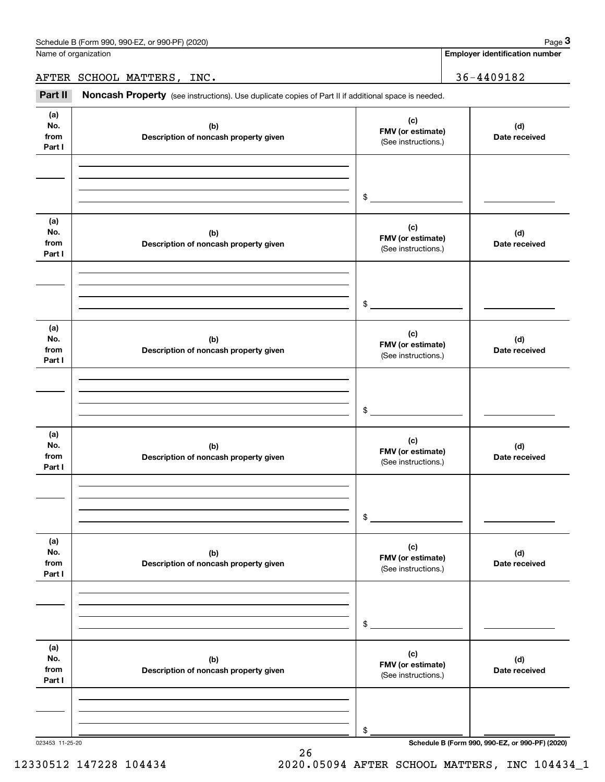Name of organization

**Employer identification number**

AFTER SCHOOL MATTERS, INC. 2010 2020 2021 2022

Chedule B (Form 990, 990-EZ, or 990-PF) (2020)<br> **2** Iame of organization<br> **IFTER SCHOOL MATTERS, INC.**<br> **Part II Noncash Property** (see instructions). Use duplicate copies of Part II if additional space is needed.

| (a)<br>No.<br>from<br>Part I | (b)<br>Description of noncash property given | (c)<br>FMV (or estimate)<br>(See instructions.) | (d)<br>Date received |
|------------------------------|----------------------------------------------|-------------------------------------------------|----------------------|
|                              |                                              |                                                 |                      |
|                              |                                              |                                                 |                      |
|                              |                                              | \$                                              |                      |
| (a)<br>No.<br>from<br>Part I | (b)<br>Description of noncash property given | (c)<br>FMV (or estimate)<br>(See instructions.) | (d)<br>Date received |
|                              |                                              |                                                 |                      |
|                              |                                              |                                                 |                      |
|                              |                                              | \$                                              |                      |
| (a)<br>No.<br>from<br>Part I | (b)<br>Description of noncash property given | (c)<br>FMV (or estimate)<br>(See instructions.) | (d)<br>Date received |
|                              |                                              |                                                 |                      |
|                              |                                              |                                                 |                      |
|                              |                                              | \$                                              |                      |
| (a)<br>No.<br>from<br>Part I | (b)<br>Description of noncash property given | (c)<br>FMV (or estimate)<br>(See instructions.) | (d)<br>Date received |
|                              |                                              |                                                 |                      |
|                              |                                              |                                                 |                      |
|                              |                                              | \$                                              |                      |
| (a)<br>No.<br>from<br>Part I | (b)<br>Description of noncash property given | (c)<br>FMV (or estimate)<br>(See instructions.) | (d)<br>Date received |
|                              |                                              |                                                 |                      |
|                              |                                              |                                                 |                      |
|                              |                                              | \$                                              |                      |
| (a)<br>No.<br>from<br>Part I | (b)<br>Description of noncash property given | (c)<br>FMV (or estimate)<br>(See instructions.) | (d)<br>Date received |
|                              |                                              |                                                 |                      |
|                              |                                              |                                                 |                      |
|                              |                                              | \$                                              |                      |

26

023453 11-25-20 **Schedule B (Form 990, 990-EZ, or 990-PF) (2020)**

12330512 147228 104434 2020.05094 AFTER SCHOOL MATTERS, INC 104434\_1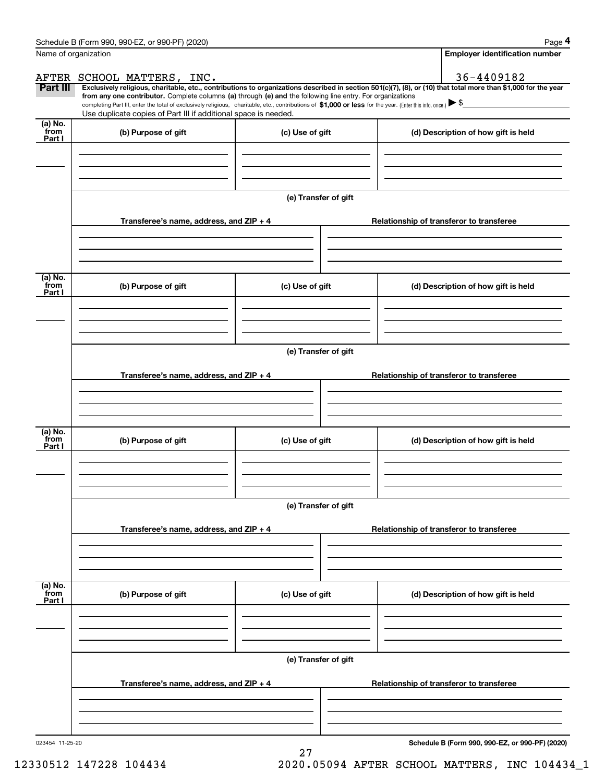|                           | Schedule B (Form 990, 990-EZ, or 990-PF) (2020)                                                                                                                                                                                                                              |                      |                                          | Page 4                                          |  |  |  |  |
|---------------------------|------------------------------------------------------------------------------------------------------------------------------------------------------------------------------------------------------------------------------------------------------------------------------|----------------------|------------------------------------------|-------------------------------------------------|--|--|--|--|
| Name of organization      |                                                                                                                                                                                                                                                                              |                      |                                          | Employer identification number                  |  |  |  |  |
|                           | AFTER SCHOOL MATTERS, INC.                                                                                                                                                                                                                                                   |                      |                                          | 36-4409182                                      |  |  |  |  |
| Part III                  | Exclusively religious, charitable, etc., contributions to organizations described in section 501(c)(7), (8), or (10) that total more than \$1,000 for the year<br>from any one contributor. Complete columns (a) through (e) and the following line entry. For organizations |                      |                                          |                                                 |  |  |  |  |
|                           | completing Part III, enter the total of exclusively religious, charitable, etc., contributions of \$1,000 or less for the year. (Enter this info. once.) \\$                                                                                                                 |                      |                                          |                                                 |  |  |  |  |
| (a) No.                   | Use duplicate copies of Part III if additional space is needed.                                                                                                                                                                                                              |                      |                                          |                                                 |  |  |  |  |
| from<br>Part I            | (b) Purpose of gift                                                                                                                                                                                                                                                          | (c) Use of gift      |                                          | (d) Description of how gift is held             |  |  |  |  |
|                           |                                                                                                                                                                                                                                                                              |                      |                                          |                                                 |  |  |  |  |
|                           |                                                                                                                                                                                                                                                                              | (e) Transfer of gift |                                          |                                                 |  |  |  |  |
|                           | Transferee's name, address, and ZIP + 4                                                                                                                                                                                                                                      |                      |                                          | Relationship of transferor to transferee        |  |  |  |  |
|                           |                                                                                                                                                                                                                                                                              |                      |                                          |                                                 |  |  |  |  |
| (a) No.<br>from           | (b) Purpose of gift<br>(c) Use of gift                                                                                                                                                                                                                                       |                      |                                          | (d) Description of how gift is held             |  |  |  |  |
| Part I                    |                                                                                                                                                                                                                                                                              |                      |                                          |                                                 |  |  |  |  |
|                           |                                                                                                                                                                                                                                                                              |                      |                                          |                                                 |  |  |  |  |
|                           | (e) Transfer of gift                                                                                                                                                                                                                                                         |                      |                                          |                                                 |  |  |  |  |
|                           | Transferee's name, address, and $ZIP + 4$                                                                                                                                                                                                                                    |                      |                                          | Relationship of transferor to transferee        |  |  |  |  |
|                           |                                                                                                                                                                                                                                                                              |                      |                                          |                                                 |  |  |  |  |
| (a) No.<br>from<br>Part I | (b) Purpose of gift                                                                                                                                                                                                                                                          | (c) Use of gift      |                                          | (d) Description of how gift is held             |  |  |  |  |
|                           |                                                                                                                                                                                                                                                                              |                      |                                          |                                                 |  |  |  |  |
|                           |                                                                                                                                                                                                                                                                              | (e) Transfer of gift |                                          |                                                 |  |  |  |  |
|                           | Transferee's name, address, and ZIP + 4                                                                                                                                                                                                                                      |                      | Relationship of transferor to transferee |                                                 |  |  |  |  |
|                           |                                                                                                                                                                                                                                                                              |                      |                                          |                                                 |  |  |  |  |
| (a) No.<br>from           | (b) Purpose of gift                                                                                                                                                                                                                                                          | (c) Use of gift      |                                          | (d) Description of how gift is held             |  |  |  |  |
| Part I                    |                                                                                                                                                                                                                                                                              |                      |                                          |                                                 |  |  |  |  |
|                           |                                                                                                                                                                                                                                                                              |                      |                                          |                                                 |  |  |  |  |
|                           |                                                                                                                                                                                                                                                                              | (e) Transfer of gift |                                          |                                                 |  |  |  |  |
|                           | Transferee's name, address, and $ZIP + 4$                                                                                                                                                                                                                                    |                      |                                          | Relationship of transferor to transferee        |  |  |  |  |
|                           |                                                                                                                                                                                                                                                                              |                      |                                          |                                                 |  |  |  |  |
| 023454 11-25-20           |                                                                                                                                                                                                                                                                              |                      |                                          | Schedule B (Form 990, 990-EZ, or 990-PF) (2020) |  |  |  |  |

27

**Schedule B (Form 990, 990-EZ, or 990-PF) (2020)**

12330512 147228 104434 2020.05094 AFTER SCHOOL MATTERS, INC 104434\_1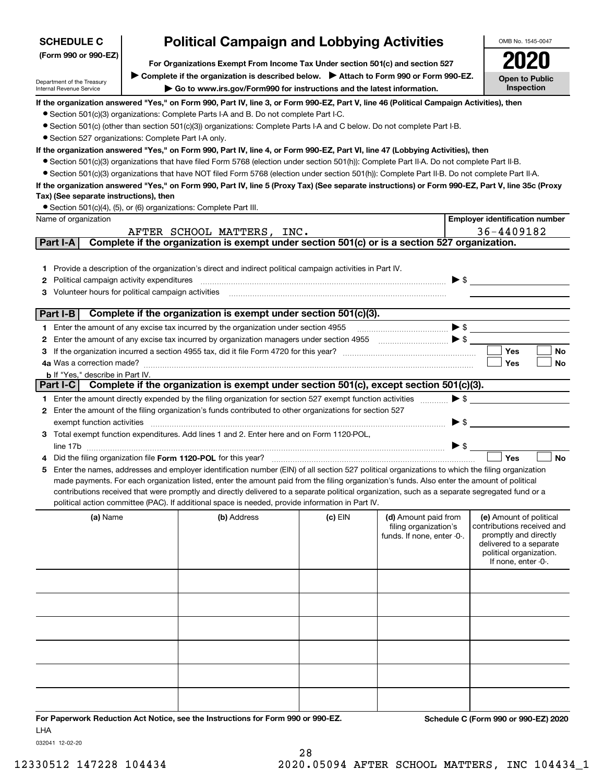| <b>Political Campaign and Lobbying Activities</b><br><b>SCHEDULE C</b>                                |                                                                                       |                                                                                                                                                                                                                                                                                                     |           |                            |                          | OMB No. 1545-0047                                   |  |
|-------------------------------------------------------------------------------------------------------|---------------------------------------------------------------------------------------|-----------------------------------------------------------------------------------------------------------------------------------------------------------------------------------------------------------------------------------------------------------------------------------------------------|-----------|----------------------------|--------------------------|-----------------------------------------------------|--|
| (Form 990 or 990-EZ)<br>For Organizations Exempt From Income Tax Under section 501(c) and section 527 |                                                                                       |                                                                                                                                                                                                                                                                                                     |           |                            |                          |                                                     |  |
|                                                                                                       | Complete if the organization is described below. > Attach to Form 990 or Form 990-EZ. |                                                                                                                                                                                                                                                                                                     |           |                            |                          |                                                     |  |
| Department of the Treasury<br>Internal Revenue Service                                                | Go to www.irs.gov/Form990 for instructions and the latest information.                |                                                                                                                                                                                                                                                                                                     |           |                            |                          |                                                     |  |
|                                                                                                       |                                                                                       | If the organization answered "Yes," on Form 990, Part IV, line 3, or Form 990-EZ, Part V, line 46 (Political Campaign Activities), then                                                                                                                                                             |           |                            |                          |                                                     |  |
|                                                                                                       |                                                                                       | • Section 501(c)(3) organizations: Complete Parts I-A and B. Do not complete Part I-C.                                                                                                                                                                                                              |           |                            |                          |                                                     |  |
|                                                                                                       |                                                                                       | • Section 501(c) (other than section 501(c)(3)) organizations: Complete Parts I-A and C below. Do not complete Part I-B.                                                                                                                                                                            |           |                            |                          |                                                     |  |
| • Section 527 organizations: Complete Part I-A only.                                                  |                                                                                       |                                                                                                                                                                                                                                                                                                     |           |                            |                          |                                                     |  |
|                                                                                                       |                                                                                       | If the organization answered "Yes," on Form 990, Part IV, line 4, or Form 990-EZ, Part VI, line 47 (Lobbying Activities), then                                                                                                                                                                      |           |                            |                          |                                                     |  |
|                                                                                                       |                                                                                       | • Section 501(c)(3) organizations that have filed Form 5768 (election under section 501(h)): Complete Part II-A. Do not complete Part II-B.                                                                                                                                                         |           |                            |                          |                                                     |  |
|                                                                                                       |                                                                                       | • Section 501(c)(3) organizations that have NOT filed Form 5768 (election under section 501(h)): Complete Part II-B. Do not complete Part II-A.<br>If the organization answered "Yes," on Form 990, Part IV, line 5 (Proxy Tax) (See separate instructions) or Form 990-EZ, Part V, line 35c (Proxy |           |                            |                          |                                                     |  |
| Tax) (See separate instructions), then                                                                |                                                                                       |                                                                                                                                                                                                                                                                                                     |           |                            |                          |                                                     |  |
|                                                                                                       |                                                                                       | • Section 501(c)(4), (5), or (6) organizations: Complete Part III.                                                                                                                                                                                                                                  |           |                            |                          |                                                     |  |
| Name of organization                                                                                  |                                                                                       |                                                                                                                                                                                                                                                                                                     |           |                            |                          | <b>Employer identification number</b>               |  |
|                                                                                                       |                                                                                       | AFTER SCHOOL MATTERS, INC.                                                                                                                                                                                                                                                                          |           |                            |                          | 36-4409182                                          |  |
| Part I-A                                                                                              |                                                                                       | Complete if the organization is exempt under section 501(c) or is a section 527 organization.                                                                                                                                                                                                       |           |                            |                          |                                                     |  |
|                                                                                                       |                                                                                       |                                                                                                                                                                                                                                                                                                     |           |                            |                          |                                                     |  |
| 1.                                                                                                    |                                                                                       | Provide a description of the organization's direct and indirect political campaign activities in Part IV.                                                                                                                                                                                           |           |                            |                          |                                                     |  |
| Political campaign activity expenditures<br>2                                                         |                                                                                       |                                                                                                                                                                                                                                                                                                     |           |                            |                          | $\blacktriangleright$ \$                            |  |
| Volunteer hours for political campaign activities<br>3                                                |                                                                                       |                                                                                                                                                                                                                                                                                                     |           |                            |                          |                                                     |  |
| Part I-B                                                                                              |                                                                                       | Complete if the organization is exempt under section 501(c)(3).                                                                                                                                                                                                                                     |           |                            |                          |                                                     |  |
|                                                                                                       |                                                                                       | 1 Enter the amount of any excise tax incurred by the organization under section 4955                                                                                                                                                                                                                |           |                            |                          |                                                     |  |
| 2                                                                                                     |                                                                                       |                                                                                                                                                                                                                                                                                                     |           |                            |                          |                                                     |  |
| 3                                                                                                     |                                                                                       |                                                                                                                                                                                                                                                                                                     |           |                            |                          | <b>Yes</b><br>No                                    |  |
| 4a Was a correction made?                                                                             |                                                                                       |                                                                                                                                                                                                                                                                                                     |           |                            |                          | Yes<br>No                                           |  |
| <b>b</b> If "Yes," describe in Part IV.                                                               |                                                                                       |                                                                                                                                                                                                                                                                                                     |           |                            |                          |                                                     |  |
| Part I-C $\vert$                                                                                      |                                                                                       | Complete if the organization is exempt under section 501(c), except section 501(c)(3).                                                                                                                                                                                                              |           |                            |                          |                                                     |  |
|                                                                                                       |                                                                                       | 1 Enter the amount directly expended by the filing organization for section 527 exempt function activities                                                                                                                                                                                          |           |                            | $\blacktriangleright$ \$ |                                                     |  |
|                                                                                                       |                                                                                       | 2 Enter the amount of the filing organization's funds contributed to other organizations for section 527                                                                                                                                                                                            |           |                            |                          |                                                     |  |
| exempt function activities                                                                            |                                                                                       |                                                                                                                                                                                                                                                                                                     |           |                            | ▶ \$                     |                                                     |  |
|                                                                                                       |                                                                                       | Total exempt function expenditures. Add lines 1 and 2. Enter here and on Form 1120-POL,                                                                                                                                                                                                             |           |                            | $\blacktriangleright$ \$ |                                                     |  |
|                                                                                                       |                                                                                       | Did the filing organization file Form 1120-POL for this year?                                                                                                                                                                                                                                       |           |                            |                          | Yes<br><b>No</b>                                    |  |
| 5                                                                                                     |                                                                                       | Enter the names, addresses and employer identification number (EIN) of all section 527 political organizations to which the filing organization                                                                                                                                                     |           |                            |                          |                                                     |  |
|                                                                                                       |                                                                                       | made payments. For each organization listed, enter the amount paid from the filing organization's funds. Also enter the amount of political                                                                                                                                                         |           |                            |                          |                                                     |  |
|                                                                                                       |                                                                                       | contributions received that were promptly and directly delivered to a separate political organization, such as a separate segregated fund or a                                                                                                                                                      |           |                            |                          |                                                     |  |
|                                                                                                       |                                                                                       | political action committee (PAC). If additional space is needed, provide information in Part IV.                                                                                                                                                                                                    |           |                            |                          |                                                     |  |
| (a) Name                                                                                              |                                                                                       | (b) Address                                                                                                                                                                                                                                                                                         | $(c)$ EIN | (d) Amount paid from       |                          | (e) Amount of political                             |  |
|                                                                                                       |                                                                                       |                                                                                                                                                                                                                                                                                                     |           | filing organization's      |                          | contributions received and<br>promptly and directly |  |
|                                                                                                       |                                                                                       |                                                                                                                                                                                                                                                                                                     |           | funds. If none, enter -0-. |                          | delivered to a separate                             |  |
|                                                                                                       |                                                                                       |                                                                                                                                                                                                                                                                                                     |           |                            |                          | political organization.                             |  |
|                                                                                                       |                                                                                       |                                                                                                                                                                                                                                                                                                     |           |                            |                          | If none, enter -0-.                                 |  |
|                                                                                                       |                                                                                       |                                                                                                                                                                                                                                                                                                     |           |                            |                          |                                                     |  |
|                                                                                                       |                                                                                       |                                                                                                                                                                                                                                                                                                     |           |                            |                          |                                                     |  |
|                                                                                                       |                                                                                       |                                                                                                                                                                                                                                                                                                     |           |                            |                          |                                                     |  |
|                                                                                                       |                                                                                       |                                                                                                                                                                                                                                                                                                     |           |                            |                          |                                                     |  |
|                                                                                                       |                                                                                       |                                                                                                                                                                                                                                                                                                     |           |                            |                          |                                                     |  |
|                                                                                                       |                                                                                       |                                                                                                                                                                                                                                                                                                     |           |                            |                          |                                                     |  |
|                                                                                                       |                                                                                       |                                                                                                                                                                                                                                                                                                     |           |                            |                          |                                                     |  |
|                                                                                                       |                                                                                       |                                                                                                                                                                                                                                                                                                     |           |                            |                          |                                                     |  |
|                                                                                                       |                                                                                       |                                                                                                                                                                                                                                                                                                     |           |                            |                          |                                                     |  |
|                                                                                                       |                                                                                       |                                                                                                                                                                                                                                                                                                     |           |                            |                          |                                                     |  |
|                                                                                                       |                                                                                       |                                                                                                                                                                                                                                                                                                     |           |                            |                          |                                                     |  |
|                                                                                                       |                                                                                       | For Paperwork Reduction Act Notice, see the Instructions for Form 990 or 990-EZ.                                                                                                                                                                                                                    |           |                            |                          | Schedule C (Form 990 or 990-EZ) 2020                |  |

032041 12-02-20

LHA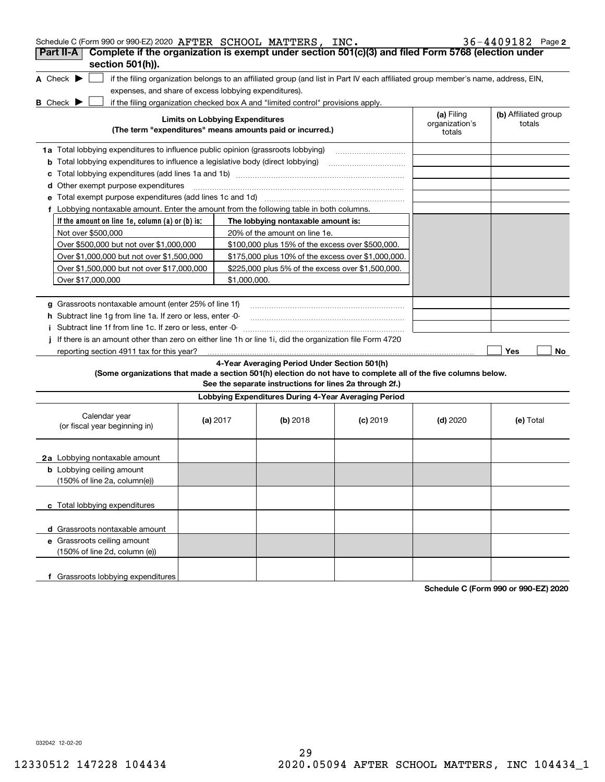| Schedule C (Form 990 or 990-EZ) 2020 AFTER SCHOOL MATTERS, INC.                                                                     |                                        |              |                                                                                  |                                                                                                                                   |                                        | $36 - 4409182$ Page 2          |
|-------------------------------------------------------------------------------------------------------------------------------------|----------------------------------------|--------------|----------------------------------------------------------------------------------|-----------------------------------------------------------------------------------------------------------------------------------|----------------------------------------|--------------------------------|
| Complete if the organization is exempt under section 501(c)(3) and filed Form 5768 (election under<br>Part II-A<br>section 501(h)). |                                        |              |                                                                                  |                                                                                                                                   |                                        |                                |
| A Check $\blacktriangleright$                                                                                                       |                                        |              |                                                                                  | if the filing organization belongs to an affiliated group (and list in Part IV each affiliated group member's name, address, EIN, |                                        |                                |
| expenses, and share of excess lobbying expenditures).                                                                               |                                        |              |                                                                                  |                                                                                                                                   |                                        |                                |
| <b>B</b> Check $\blacktriangleright$                                                                                                |                                        |              | if the filing organization checked box A and "limited control" provisions apply. |                                                                                                                                   |                                        |                                |
|                                                                                                                                     | <b>Limits on Lobbying Expenditures</b> |              | (The term "expenditures" means amounts paid or incurred.)                        |                                                                                                                                   | (a) Filing<br>organization's<br>totals | (b) Affiliated group<br>totals |
|                                                                                                                                     |                                        |              |                                                                                  |                                                                                                                                   |                                        |                                |
| 1a Total lobbying expenditures to influence public opinion (grassroots lobbying)                                                    |                                        |              |                                                                                  |                                                                                                                                   |                                        |                                |
| <b>b</b> Total lobbying expenditures to influence a legislative body (direct lobbying)                                              |                                        |              |                                                                                  |                                                                                                                                   |                                        |                                |
| c                                                                                                                                   |                                        |              |                                                                                  |                                                                                                                                   |                                        |                                |
| <b>d</b> Other exempt purpose expenditures                                                                                          |                                        |              |                                                                                  |                                                                                                                                   |                                        |                                |
|                                                                                                                                     |                                        |              |                                                                                  |                                                                                                                                   |                                        |                                |
| f Lobbying nontaxable amount. Enter the amount from the following table in both columns.                                            |                                        |              |                                                                                  |                                                                                                                                   |                                        |                                |
| If the amount on line 1e, column $(a)$ or $(b)$ is:                                                                                 |                                        |              | The lobbying nontaxable amount is:                                               |                                                                                                                                   |                                        |                                |
| Not over \$500,000                                                                                                                  |                                        |              | 20% of the amount on line 1e.                                                    |                                                                                                                                   |                                        |                                |
| Over \$500,000 but not over \$1,000,000                                                                                             |                                        |              | \$100,000 plus 15% of the excess over \$500,000.                                 |                                                                                                                                   |                                        |                                |
| Over \$1,000,000 but not over \$1,500,000                                                                                           |                                        |              | \$175,000 plus 10% of the excess over \$1,000,000.                               |                                                                                                                                   |                                        |                                |
| Over \$1,500,000 but not over \$17,000,000                                                                                          |                                        |              | \$225,000 plus 5% of the excess over \$1,500,000.                                |                                                                                                                                   |                                        |                                |
| Over \$17,000,000                                                                                                                   |                                        | \$1,000,000. |                                                                                  |                                                                                                                                   |                                        |                                |
|                                                                                                                                     |                                        |              |                                                                                  |                                                                                                                                   |                                        |                                |
| g Grassroots nontaxable amount (enter 25% of line 1f)                                                                               |                                        |              |                                                                                  |                                                                                                                                   |                                        |                                |
| h Subtract line 1g from line 1a. If zero or less, enter -0-                                                                         |                                        |              |                                                                                  |                                                                                                                                   |                                        |                                |
| Subtract line 1f from line 1c. If zero or less, enter -0-                                                                           |                                        |              |                                                                                  |                                                                                                                                   |                                        |                                |
| If there is an amount other than zero on either line 1h or line 1i, did the organization file Form 4720                             |                                        |              |                                                                                  |                                                                                                                                   |                                        |                                |
| reporting section 4911 tax for this year?                                                                                           |                                        |              |                                                                                  |                                                                                                                                   |                                        | Yes<br>No                      |
|                                                                                                                                     |                                        |              | 4-Year Averaging Period Under Section 501(h)                                     |                                                                                                                                   |                                        |                                |
| (Some organizations that made a section 501(h) election do not have to complete all of the five columns below.                      |                                        |              | See the separate instructions for lines 2a through 2f.)                          |                                                                                                                                   |                                        |                                |
|                                                                                                                                     |                                        |              | Lobbying Expenditures During 4-Year Averaging Period                             |                                                                                                                                   |                                        |                                |
| Calendar year<br>(or fiscal year beginning in)                                                                                      | (a) $2017$                             |              | (b) 2018                                                                         | $(c)$ 2019                                                                                                                        | $(d)$ 2020                             | (e) Total                      |
| 2a Lobbying nontaxable amount                                                                                                       |                                        |              |                                                                                  |                                                                                                                                   |                                        |                                |
| <b>b</b> Lobbying ceiling amount<br>(150% of line 2a, column(e))                                                                    |                                        |              |                                                                                  |                                                                                                                                   |                                        |                                |
| c Total lobbying expenditures                                                                                                       |                                        |              |                                                                                  |                                                                                                                                   |                                        |                                |
| d Grassroots nontaxable amount                                                                                                      |                                        |              |                                                                                  |                                                                                                                                   |                                        |                                |
| e Grassroots ceiling amount                                                                                                         |                                        |              |                                                                                  |                                                                                                                                   |                                        |                                |
| (150% of line 2d, column (e))                                                                                                       |                                        |              |                                                                                  |                                                                                                                                   |                                        |                                |
| f Grassroots lobbying expenditures                                                                                                  |                                        |              |                                                                                  |                                                                                                                                   |                                        |                                |

**Schedule C (Form 990 or 990-EZ) 2020**

032042 12-02-20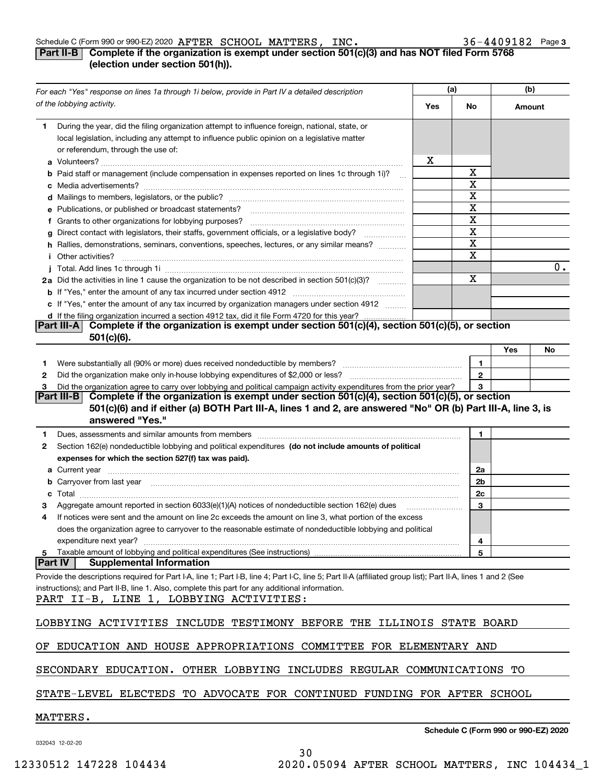#### Schedule C (Form 990 or 990-EZ) 2020 Page AFTER SCHOOL MATTERS, INC. 36-4409182

### **3**

### **Part II-B** Complete if the organization is exempt under section 501(c)(3) and has NOT filed Form 5768 **(election under section 501(h)).**

|                     | For each "Yes" response on lines 1a through 1i below, provide in Part IV a detailed description                                                                                                                                      |     | (a)          | (b)    |    |
|---------------------|--------------------------------------------------------------------------------------------------------------------------------------------------------------------------------------------------------------------------------------|-----|--------------|--------|----|
|                     | of the lobbying activity.                                                                                                                                                                                                            | Yes | No           | Amount |    |
| 1.                  | During the year, did the filing organization attempt to influence foreign, national, state, or<br>local legislation, including any attempt to influence public opinion on a legislative matter<br>or referendum, through the use of: | х   |              |        |    |
|                     | b Paid staff or management (include compensation in expenses reported on lines 1c through 1i)?                                                                                                                                       |     | х            |        |    |
|                     |                                                                                                                                                                                                                                      |     | X            |        |    |
|                     |                                                                                                                                                                                                                                      |     | х            |        |    |
|                     | e Publications, or published or broadcast statements?                                                                                                                                                                                |     | X            |        |    |
|                     | f Grants to other organizations for lobbying purposes?                                                                                                                                                                               |     | х            |        |    |
|                     | g Direct contact with legislators, their staffs, government officials, or a legislative body?                                                                                                                                        |     | X            |        |    |
|                     | h Rallies, demonstrations, seminars, conventions, speeches, lectures, or any similar means?                                                                                                                                          |     | X            |        |    |
|                     | <i>i</i> Other activities?                                                                                                                                                                                                           |     | X            |        |    |
|                     |                                                                                                                                                                                                                                      |     |              |        | 0. |
|                     | 2a Did the activities in line 1 cause the organization to be not described in section 501(c)(3)?                                                                                                                                     |     | X            |        |    |
|                     |                                                                                                                                                                                                                                      |     |              |        |    |
|                     | c If "Yes," enter the amount of any tax incurred by organization managers under section 4912                                                                                                                                         |     |              |        |    |
|                     | d If the filing organization incurred a section 4912 tax, did it file Form 4720 for this year?<br>Complete if the organization is exempt under section 501(c)(4), section 501(c)(5), or section<br><b>Part III-A</b>                 |     |              |        |    |
|                     | $501(c)(6)$ .                                                                                                                                                                                                                        |     |              |        |    |
|                     |                                                                                                                                                                                                                                      |     |              | Yes    | No |
| 1.                  | Were substantially all (90% or more) dues received nondeductible by members? [111] was uncontracted with the substantially all (90% or more) dues received nondeductible by members? [11] was uncontracted with the substantia       |     | 1            |        |    |
| 2                   |                                                                                                                                                                                                                                      |     | $\mathbf{2}$ |        |    |
| з                   | Did the organization agree to carry over lobbying and political campaign activity expenditures from the prior year?                                                                                                                  |     | 3            |        |    |
|                     | Complete if the organization is exempt under section 501(c)(4), section 501(c)(5), or section<br>Part III-B I                                                                                                                        |     |              |        |    |
|                     | 501(c)(6) and if either (a) BOTH Part III-A, lines 1 and 2, are answered "No" OR (b) Part III-A, line 3, is                                                                                                                          |     |              |        |    |
|                     | answered "Yes."                                                                                                                                                                                                                      |     |              |        |    |
| 1.                  | Dues, assessments and similar amounts from members [11] matter contracts and similar amounts from members [11] matter and similar amounts from members [11] matter and similar amounts from members [11] matter and state and        |     | 1            |        |    |
| 2                   | Section 162(e) nondeductible lobbying and political expenditures (do not include amounts of political                                                                                                                                |     |              |        |    |
|                     | expenses for which the section 527(f) tax was paid).                                                                                                                                                                                 |     |              |        |    |
|                     |                                                                                                                                                                                                                                      |     | 2a           |        |    |
|                     | b Carryover from last year manufactured and content to content the content of the content of the content of the content of the content of the content of the content of the content of the content of the content of the conte       |     | 2b           |        |    |
| c                   |                                                                                                                                                                                                                                      |     | 2c           |        |    |
|                     | Aggregate amount reported in section 6033(e)(1)(A) notices of nondeductible section 162(e) dues                                                                                                                                      |     | 3            |        |    |
| 4                   | If notices were sent and the amount on line 2c exceeds the amount on line 3, what portion of the excess                                                                                                                              |     |              |        |    |
|                     | does the organization agree to carryover to the reasonable estimate of nondeductible lobbying and political                                                                                                                          |     |              |        |    |
|                     | expenditure next year?                                                                                                                                                                                                               |     | 4            |        |    |
| 5<br><b>Part IV</b> | <b>Supplemental Information</b>                                                                                                                                                                                                      |     | 5            |        |    |
|                     |                                                                                                                                                                                                                                      |     |              |        |    |
|                     | Provide the descriptions required for Part I-A, line 1; Part I-B, line 4; Part I-C, line 5; Part II-A (affiliated group list); Part II-A, lines 1 and 2 (See                                                                         |     |              |        |    |
|                     | instructions); and Part II-B, line 1. Also, complete this part for any additional information.<br>PART II-B, LINE 1, LOBBYING ACTIVITIES:                                                                                            |     |              |        |    |
|                     |                                                                                                                                                                                                                                      |     |              |        |    |
|                     | LOBBYING ACTIVITIES INCLUDE TESTIMONY BEFORE THE ILLINOIS STATE BOARD                                                                                                                                                                |     |              |        |    |
|                     | OF EDUCATION AND HOUSE APPROPRIATIONS COMMITTEE FOR ELEMENTARY AND                                                                                                                                                                   |     |              |        |    |
|                     | SECONDARY EDUCATION. OTHER LOBBYING INCLUDES REGULAR COMMUNICATIONS TO                                                                                                                                                               |     |              |        |    |
|                     | STATE-LEVEL ELECTEDS TO ADVOCATE FOR CONTINUED FUNDING FOR AFTER SCHOOL                                                                                                                                                              |     |              |        |    |
|                     | MATTERS.                                                                                                                                                                                                                             |     |              |        |    |

032043 12-02-20

**Schedule C (Form 990 or 990-EZ) 2020**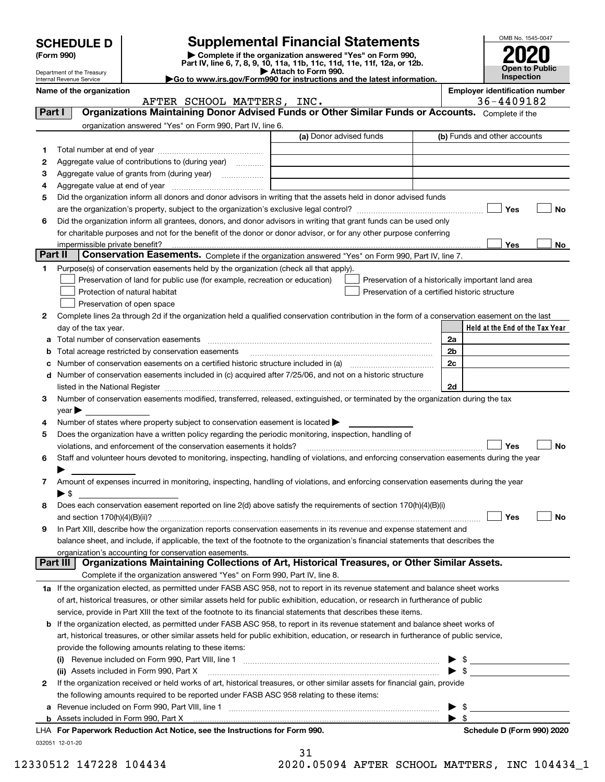|         | <b>SCHEDULE D</b>              |                                                                                                        | <b>Supplemental Financial Statements</b>                                                                                                                                                                                       | OMB No. 1545-0047                                   |
|---------|--------------------------------|--------------------------------------------------------------------------------------------------------|--------------------------------------------------------------------------------------------------------------------------------------------------------------------------------------------------------------------------------|-----------------------------------------------------|
|         | (Form 990)                     |                                                                                                        | Complete if the organization answered "Yes" on Form 990,                                                                                                                                                                       |                                                     |
|         | Department of the Treasury     |                                                                                                        | Part IV, line 6, 7, 8, 9, 10, 11a, 11b, 11c, 11d, 11e, 11f, 12a, or 12b.<br>Attach to Form 990.                                                                                                                                | <b>Open to Public</b>                               |
|         | Internal Revenue Service       |                                                                                                        | Go to www.irs.gov/Form990 for instructions and the latest information.                                                                                                                                                         | Inspection                                          |
|         | Name of the organization       | AFTER SCHOOL MATTERS, INC.                                                                             |                                                                                                                                                                                                                                | <b>Employer identification number</b><br>36-4409182 |
| Part I  |                                |                                                                                                        | Organizations Maintaining Donor Advised Funds or Other Similar Funds or Accounts. Complete if the                                                                                                                              |                                                     |
|         |                                | organization answered "Yes" on Form 990, Part IV, line 6.                                              |                                                                                                                                                                                                                                |                                                     |
|         |                                |                                                                                                        | (a) Donor advised funds                                                                                                                                                                                                        | (b) Funds and other accounts                        |
| 1.      |                                |                                                                                                        |                                                                                                                                                                                                                                |                                                     |
| 2       |                                | Aggregate value of contributions to (during year)                                                      |                                                                                                                                                                                                                                |                                                     |
| 3       |                                |                                                                                                        |                                                                                                                                                                                                                                |                                                     |
| 4       |                                |                                                                                                        |                                                                                                                                                                                                                                |                                                     |
| 5       |                                |                                                                                                        | Did the organization inform all donors and donor advisors in writing that the assets held in donor advised funds                                                                                                               | Yes<br>No                                           |
| 6       |                                |                                                                                                        | Did the organization inform all grantees, donors, and donor advisors in writing that grant funds can be used only                                                                                                              |                                                     |
|         |                                |                                                                                                        | for charitable purposes and not for the benefit of the donor or donor advisor, or for any other purpose conferring                                                                                                             |                                                     |
|         | impermissible private benefit? |                                                                                                        |                                                                                                                                                                                                                                | Yes<br>No                                           |
| Part II |                                |                                                                                                        | Conservation Easements. Complete if the organization answered "Yes" on Form 990, Part IV, line 7.                                                                                                                              |                                                     |
| 1.      |                                | Purpose(s) of conservation easements held by the organization (check all that apply).                  |                                                                                                                                                                                                                                |                                                     |
|         |                                | Preservation of land for public use (for example, recreation or education)                             |                                                                                                                                                                                                                                | Preservation of a historically important land area  |
|         |                                | Protection of natural habitat                                                                          | Preservation of a certified historic structure                                                                                                                                                                                 |                                                     |
|         |                                | Preservation of open space                                                                             |                                                                                                                                                                                                                                |                                                     |
| 2       |                                |                                                                                                        | Complete lines 2a through 2d if the organization held a qualified conservation contribution in the form of a conservation easement on the last                                                                                 |                                                     |
|         | day of the tax year.           |                                                                                                        |                                                                                                                                                                                                                                | Held at the End of the Tax Year<br>2a               |
| a<br>b  |                                | Total number of conservation easements<br>Total acreage restricted by conservation easements           |                                                                                                                                                                                                                                | 2b                                                  |
| с       |                                |                                                                                                        |                                                                                                                                                                                                                                | 2c                                                  |
|         |                                |                                                                                                        | d Number of conservation easements included in (c) acquired after 7/25/06, and not on a historic structure                                                                                                                     |                                                     |
|         |                                |                                                                                                        | listed in the National Register [11, 1200] [12] The National Register [11, 1200] [12] The National Register [11, 1200] [12] The National Register [11, 1200] [12] The National Register [11, 1200] [12] The National Register  | 2d                                                  |
| 3       |                                |                                                                                                        | Number of conservation easements modified, transferred, released, extinguished, or terminated by the organization during the tax                                                                                               |                                                     |
|         | $\vee$ ear                     |                                                                                                        |                                                                                                                                                                                                                                |                                                     |
| 4       |                                | Number of states where property subject to conservation easement is located >                          |                                                                                                                                                                                                                                |                                                     |
| 5       |                                | Does the organization have a written policy regarding the periodic monitoring, inspection, handling of |                                                                                                                                                                                                                                |                                                     |
|         |                                | violations, and enforcement of the conservation easements it holds?                                    |                                                                                                                                                                                                                                | Yes<br>No                                           |
|         |                                |                                                                                                        | Staff and volunteer hours devoted to monitoring, inspecting, handling of violations, and enforcing conservation easements during the year                                                                                      |                                                     |
|         |                                |                                                                                                        |                                                                                                                                                                                                                                |                                                     |
| 7       |                                |                                                                                                        | Amount of expenses incurred in monitoring, inspecting, handling of violations, and enforcing conservation easements during the year                                                                                            |                                                     |
|         | $\blacktriangleright$ \$       |                                                                                                        | Does each conservation easement reported on line 2(d) above satisfy the requirements of section 170(h)(4)(B)(i)                                                                                                                |                                                     |
| 8       |                                |                                                                                                        |                                                                                                                                                                                                                                | Yes<br>No                                           |
| 9       |                                |                                                                                                        | In Part XIII, describe how the organization reports conservation easements in its revenue and expense statement and                                                                                                            |                                                     |
|         |                                |                                                                                                        | balance sheet, and include, if applicable, the text of the footnote to the organization's financial statements that describes the                                                                                              |                                                     |
|         |                                | organization's accounting for conservation easements.                                                  |                                                                                                                                                                                                                                |                                                     |
|         | Part III                       |                                                                                                        | Organizations Maintaining Collections of Art, Historical Treasures, or Other Similar Assets.                                                                                                                                   |                                                     |
|         |                                | Complete if the organization answered "Yes" on Form 990, Part IV, line 8.                              |                                                                                                                                                                                                                                |                                                     |
|         |                                |                                                                                                        | 1a If the organization elected, as permitted under FASB ASC 958, not to report in its revenue statement and balance sheet works                                                                                                |                                                     |
|         |                                |                                                                                                        | of art, historical treasures, or other similar assets held for public exhibition, education, or research in furtherance of public                                                                                              |                                                     |
|         |                                |                                                                                                        | service, provide in Part XIII the text of the footnote to its financial statements that describes these items.                                                                                                                 |                                                     |
|         |                                |                                                                                                        | <b>b</b> If the organization elected, as permitted under FASB ASC 958, to report in its revenue statement and balance sheet works of                                                                                           |                                                     |
|         |                                |                                                                                                        | art, historical treasures, or other similar assets held for public exhibition, education, or research in furtherance of public service,                                                                                        |                                                     |
|         |                                | provide the following amounts relating to these items:                                                 |                                                                                                                                                                                                                                |                                                     |
|         |                                |                                                                                                        |                                                                                                                                                                                                                                | $\blacktriangleright$ s                             |
| 2       |                                | (ii) Assets included in Form 990, Part X                                                               | If the organization received or held works of art, historical treasures, or other similar assets for financial gain, provide                                                                                                   |                                                     |
|         |                                | the following amounts required to be reported under FASB ASC 958 relating to these items:              |                                                                                                                                                                                                                                |                                                     |
| а       |                                |                                                                                                        | Revenue included on Form 990, Part VIII, line 1 manufactured contracts and contracts and contracts and contracts and contracts and contracts and contracts and contracts and contracts and contracts and contracts and contrac | \$                                                  |
|         |                                |                                                                                                        |                                                                                                                                                                                                                                | $\blacktriangleright$ \$                            |

| LHA For Paperwork Reduction Act Notice, see the Instructions for Form 990. | <b>Schedule D (Form 990) 2020</b> |
|----------------------------------------------------------------------------|-----------------------------------|
| 032051 12-01-20                                                            |                                   |
|                                                                            |                                   |

| Schedule D (Form 990) 2020 |  |  |  |
|----------------------------|--|--|--|
|----------------------------|--|--|--|

12330512 147228 104434 2020.05094 AFTER SCHOOL MATTERS, INC 104434\_1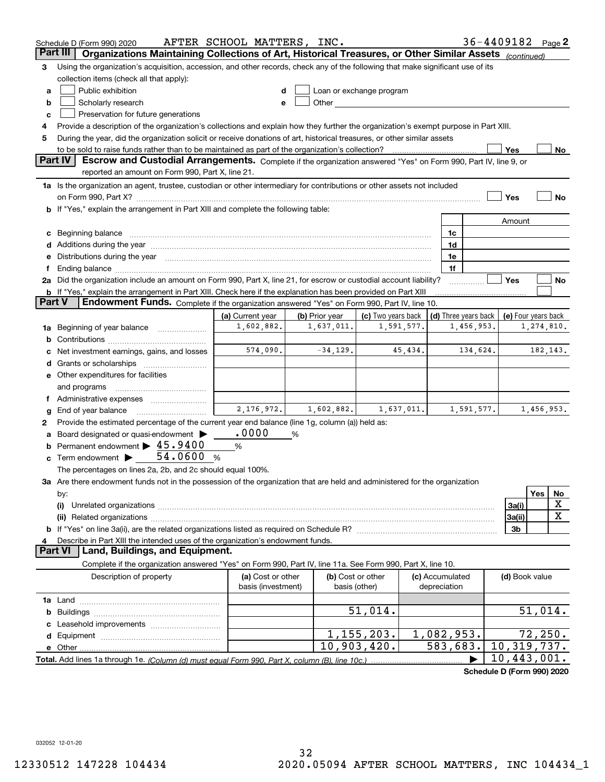|               | Schedule D (Form 990) 2020                                                                                                                                                                                                     | AFTER SCHOOL MATTERS, INC. |                |                          |            |                      | 36-4409182                 |                     |            | Page 2    |
|---------------|--------------------------------------------------------------------------------------------------------------------------------------------------------------------------------------------------------------------------------|----------------------------|----------------|--------------------------|------------|----------------------|----------------------------|---------------------|------------|-----------|
|               | Organizations Maintaining Collections of Art, Historical Treasures, or Other Similar Assets (continued)<br>Part III                                                                                                            |                            |                |                          |            |                      |                            |                     |            |           |
| 3             | Using the organization's acquisition, accession, and other records, check any of the following that make significant use of its                                                                                                |                            |                |                          |            |                      |                            |                     |            |           |
|               | collection items (check all that apply):                                                                                                                                                                                       |                            |                |                          |            |                      |                            |                     |            |           |
| а             | Public exhibition                                                                                                                                                                                                              |                            |                | Loan or exchange program |            |                      |                            |                     |            |           |
| b             | Scholarly research                                                                                                                                                                                                             |                            |                |                          |            |                      |                            |                     |            |           |
| c             | Preservation for future generations                                                                                                                                                                                            |                            |                |                          |            |                      |                            |                     |            |           |
| 4             | Provide a description of the organization's collections and explain how they further the organization's exempt purpose in Part XIII.                                                                                           |                            |                |                          |            |                      |                            |                     |            |           |
| 5             | During the year, did the organization solicit or receive donations of art, historical treasures, or other similar assets                                                                                                       |                            |                |                          |            |                      |                            |                     |            |           |
|               | to be sold to raise funds rather than to be maintained as part of the organization's collection?                                                                                                                               |                            |                |                          |            |                      |                            | Yes                 |            | No        |
|               | Part IV<br>Escrow and Custodial Arrangements. Complete if the organization answered "Yes" on Form 990, Part IV, line 9, or<br>reported an amount on Form 990, Part X, line 21.                                                 |                            |                |                          |            |                      |                            |                     |            |           |
|               |                                                                                                                                                                                                                                |                            |                |                          |            |                      |                            |                     |            |           |
|               | 1a Is the organization an agent, trustee, custodian or other intermediary for contributions or other assets not included                                                                                                       |                            |                |                          |            |                      |                            |                     |            |           |
|               |                                                                                                                                                                                                                                |                            |                |                          |            |                      |                            | Yes                 |            | No        |
|               | b If "Yes," explain the arrangement in Part XIII and complete the following table:                                                                                                                                             |                            |                |                          |            |                      |                            |                     |            |           |
|               |                                                                                                                                                                                                                                |                            |                |                          |            |                      |                            | Amount              |            |           |
|               | c Beginning balance measurements and the contract of the contract of the contract of the contract of the contract of the contract of the contract of the contract of the contract of the contract of the contract of the contr |                            |                |                          |            | 1c                   |                            |                     |            |           |
|               | d Additions during the year measurement control and a final state of the year measurement of the year measurement of the state of the state of the state of the state of the state of the state of the state of the state of t |                            |                |                          |            | 1d                   |                            |                     |            |           |
|               | e Distributions during the year manufactured and an according to the year manufactured and the year manufactur                                                                                                                 |                            |                |                          |            | 1e<br>1f             |                            |                     |            |           |
|               | 2a Did the organization include an amount on Form 990, Part X, line 21, for escrow or custodial account liability?                                                                                                             |                            |                |                          |            |                      |                            | Yes                 |            | No        |
|               | <b>b</b> If "Yes," explain the arrangement in Part XIII. Check here if the explanation has been provided on Part XIII                                                                                                          |                            |                |                          |            |                      |                            |                     |            |           |
| <b>Part V</b> | Endowment Funds. Complete if the organization answered "Yes" on Form 990, Part IV, line 10.                                                                                                                                    |                            |                |                          |            |                      |                            |                     |            |           |
|               |                                                                                                                                                                                                                                | (a) Current year           | (b) Prior year | (c) Two years back       |            | (d) Three years back |                            | (e) Four years back |            |           |
|               | 1a Beginning of year balance                                                                                                                                                                                                   | 1,602,882.                 | 1,637,011.     |                          | 1,591,577. |                      | 1,456,953.                 |                     | 1,274,810. |           |
| b             |                                                                                                                                                                                                                                |                            |                |                          |            |                      |                            |                     |            |           |
| c             | Net investment earnings, gains, and losses                                                                                                                                                                                     | 574,090.                   | $-34,129.$     |                          | 45,434.    |                      | 134,624.                   |                     |            | 182, 143. |
|               |                                                                                                                                                                                                                                |                            |                |                          |            |                      |                            |                     |            |           |
|               | e Other expenditures for facilities                                                                                                                                                                                            |                            |                |                          |            |                      |                            |                     |            |           |
|               | and programs                                                                                                                                                                                                                   |                            |                |                          |            |                      |                            |                     |            |           |
|               | f Administrative expenses                                                                                                                                                                                                      |                            |                |                          |            |                      |                            |                     |            |           |
| g             | End of year balance                                                                                                                                                                                                            | 2,176,972.                 | 1,602,882.     |                          | 1,637,011. |                      | 1,591,577.                 |                     | 1,456,953. |           |
| 2             | Provide the estimated percentage of the current year end balance (line 1g, column (a)) held as:                                                                                                                                |                            |                |                          |            |                      |                            |                     |            |           |
|               | a Board designated or quasi-endowment >                                                                                                                                                                                        | .0000                      | %              |                          |            |                      |                            |                     |            |           |
|               | <b>b</b> Permanent endowment $\blacktriangleright$ 45.9400                                                                                                                                                                     | $\%$                       |                |                          |            |                      |                            |                     |            |           |
|               | c Term endowment $\blacktriangleright$ 54.0600                                                                                                                                                                                 | %                          |                |                          |            |                      |                            |                     |            |           |
|               | The percentages on lines 2a, 2b, and 2c should equal 100%.                                                                                                                                                                     |                            |                |                          |            |                      |                            |                     |            |           |
|               | 3a Are there endowment funds not in the possession of the organization that are held and administered for the organization                                                                                                     |                            |                |                          |            |                      |                            |                     |            |           |
|               | by:                                                                                                                                                                                                                            |                            |                |                          |            |                      |                            |                     | Yes        | No        |
|               | (i)                                                                                                                                                                                                                            |                            |                |                          |            |                      |                            | 3a(i)               |            | х         |
|               |                                                                                                                                                                                                                                |                            |                |                          |            |                      |                            | 3a(ii)              |            | x         |
|               |                                                                                                                                                                                                                                |                            |                |                          |            |                      |                            | 3b                  |            |           |
| 4             | Describe in Part XIII the intended uses of the organization's endowment funds.                                                                                                                                                 |                            |                |                          |            |                      |                            |                     |            |           |
|               | Land, Buildings, and Equipment.<br><b>Part VI</b>                                                                                                                                                                              |                            |                |                          |            |                      |                            |                     |            |           |
|               | Complete if the organization answered "Yes" on Form 990, Part IV, line 11a. See Form 990, Part X, line 10.                                                                                                                     |                            |                |                          |            |                      |                            |                     |            |           |
|               | Description of property                                                                                                                                                                                                        | (a) Cost or other          |                | (b) Cost or other        |            | (c) Accumulated      |                            | (d) Book value      |            |           |
|               |                                                                                                                                                                                                                                | basis (investment)         |                | basis (other)            |            | depreciation         |                            |                     |            |           |
|               |                                                                                                                                                                                                                                |                            |                |                          |            |                      |                            |                     |            |           |
|               |                                                                                                                                                                                                                                |                            |                | 51,014.                  |            |                      |                            |                     | 51,014.    |           |
| c             |                                                                                                                                                                                                                                |                            |                |                          |            |                      |                            |                     |            |           |
|               |                                                                                                                                                                                                                                |                            |                | 1, 155, 203.             |            | 1,082,953.           |                            |                     | 72, 250.   |           |
|               |                                                                                                                                                                                                                                |                            |                | 10,903,420.              |            | 583,683.             |                            | 10,319,737.         |            |           |
|               |                                                                                                                                                                                                                                |                            |                |                          |            |                      |                            | 10,443,001.         |            |           |
|               |                                                                                                                                                                                                                                |                            |                |                          |            |                      | Schodule D (Form 000) 2020 |                     |            |           |

**Schedule D (Form 990) 2020**

032052 12-01-20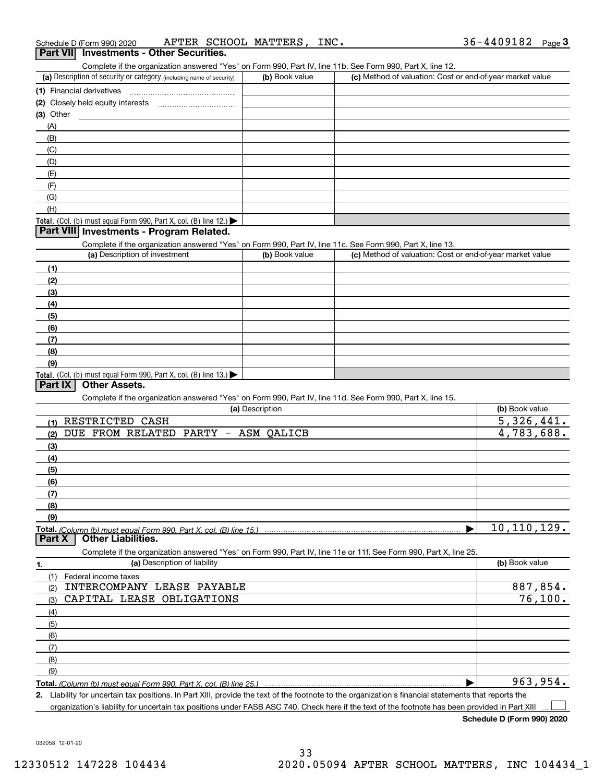| Schedule D (Form 990) 2020 |  |  | AFTER SCHOOL MATTERS, | INC. | 36-4409182 | Page |
|----------------------------|--|--|-----------------------|------|------------|------|
|                            |  |  |                       |      |            |      |

### **3Part VII Investments - Other Securities.**

Complete if the organization answered "Yes" on Form 990, Part IV, line 11b. See Form 990, Part X, line 12.

| (a) Description of security or category (including name of security)                   | (b) Book value | (c) Method of valuation: Cost or end-of-year market value |
|----------------------------------------------------------------------------------------|----------------|-----------------------------------------------------------|
| (1) Financial derivatives                                                              |                |                                                           |
| (2) Closely held equity interests                                                      |                |                                                           |
| $(3)$ Other                                                                            |                |                                                           |
| (A)                                                                                    |                |                                                           |
| (B)                                                                                    |                |                                                           |
| (C)                                                                                    |                |                                                           |
| (D)                                                                                    |                |                                                           |
| (E)                                                                                    |                |                                                           |
| (F)                                                                                    |                |                                                           |
| (G)                                                                                    |                |                                                           |
| (H)                                                                                    |                |                                                           |
| Total. (Col. (b) must equal Form 990, Part X, col. (B) line 12.) $\blacktriangleright$ |                |                                                           |

### **Part VIII Investments - Program Related.**

Complete if the organization answered "Yes" on Form 990, Part IV, line 11c. See Form 990, Part X, line 13.

| (a) Description of investment                                                          | (b) Book value | (c) Method of valuation: Cost or end-of-year market value |
|----------------------------------------------------------------------------------------|----------------|-----------------------------------------------------------|
| (1)                                                                                    |                |                                                           |
| (2)                                                                                    |                |                                                           |
| $\frac{1}{2}$                                                                          |                |                                                           |
| (4)                                                                                    |                |                                                           |
| (5)                                                                                    |                |                                                           |
| (6)                                                                                    |                |                                                           |
| (7)                                                                                    |                |                                                           |
| (8)                                                                                    |                |                                                           |
| (9)                                                                                    |                |                                                           |
| Total. (Col. (b) must equal Form 990, Part X, col. (B) line 13.) $\blacktriangleright$ |                |                                                           |

### **Part IX Other Assets.**

Complete if the organization answered "Yes" on Form 990, Part IV, line 11d. See Form 990, Part X, line 15.

| (a) Description                                                                                                   | (b) Book value |
|-------------------------------------------------------------------------------------------------------------------|----------------|
| RESTRICTED<br>CASH<br>(1)                                                                                         | 5,326,441.     |
| DUE FROM RELATED PARTY -<br>ASM QALICB<br>(2)                                                                     | 4,783,688.     |
| (3)                                                                                                               |                |
| (4)                                                                                                               |                |
| (5)                                                                                                               |                |
| (6)                                                                                                               |                |
| (7)                                                                                                               |                |
| (8)                                                                                                               |                |
| (9)                                                                                                               |                |
|                                                                                                                   | 10, 110, 129.  |
| <b>Other Liabilities.</b><br>Part X                                                                               |                |
| Complete if the organization answered "Yes" on Form 990, Part IV, line 11e or 11f. See Form 990, Part X, line 25. |                |
| (a) Description of liability<br>1.                                                                                | (b) Book value |
| (1)<br>Federal income taxes                                                                                       |                |
| INTERCOMPANY LEASE PAYABLE<br>(2)                                                                                 | 887,854.       |
| CAPITAL LEASE OBLIGATIONS<br>(3)                                                                                  |                |
|                                                                                                                   | 76, 100.       |
| (4)                                                                                                               |                |
| (5)                                                                                                               |                |
| (6)                                                                                                               |                |
| (7)                                                                                                               |                |
| (8)                                                                                                               |                |
| (9)                                                                                                               |                |

**2.** Liability for uncertain tax positions. In Part XIII, provide the text of the footnote to the organization's financial statements that reports the organization's liability for uncertain tax positions under FASB ASC 740. Check here if the text of the footnote has been provided in Part XIII

**Schedule D (Form 990) 2020**  $\mathcal{L}^{\text{max}}$ 

032053 12-01-20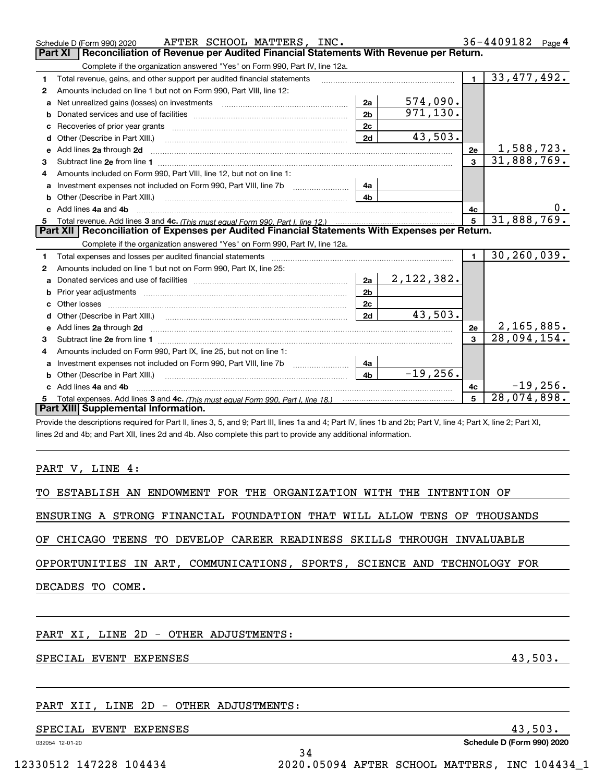|   | AFTER SCHOOL MATTERS, INC.<br>Schedule D (Form 990) 2020                                                                                                                                                                       |                |             |              | 36-4409182 Page 4 |
|---|--------------------------------------------------------------------------------------------------------------------------------------------------------------------------------------------------------------------------------|----------------|-------------|--------------|-------------------|
|   | Reconciliation of Revenue per Audited Financial Statements With Revenue per Return.<br><b>Part XI</b>                                                                                                                          |                |             |              |                   |
|   | Complete if the organization answered "Yes" on Form 990, Part IV, line 12a.                                                                                                                                                    |                |             |              |                   |
| 1 | Total revenue, gains, and other support per audited financial statements                                                                                                                                                       |                |             | $\mathbf{1}$ | 33,477,492.       |
| 2 | Amounts included on line 1 but not on Form 990, Part VIII, line 12:                                                                                                                                                            |                |             |              |                   |
| a | Net unrealized gains (losses) on investments [11] matter than the unrealized main stress of interaction and the                                                                                                                | 2a             | 574,090.    |              |                   |
| b |                                                                                                                                                                                                                                | 2 <sub>b</sub> | 971, 130.   |              |                   |
| c |                                                                                                                                                                                                                                | 2c             |             |              |                   |
| d |                                                                                                                                                                                                                                | 2d             | 43,503.     |              |                   |
|   | e Add lines 2a through 2d                                                                                                                                                                                                      |                |             | 2e           | 1,588,723.        |
| 3 |                                                                                                                                                                                                                                |                |             | 3            | 31,888,769.       |
| 4 | Amounts included on Form 990, Part VIII, line 12, but not on line 1:                                                                                                                                                           |                |             |              |                   |
| a | Investment expenses not included on Form 990, Part VIII, line 7b [11, 111, 111, 111]                                                                                                                                           | 4a             |             |              |                   |
| b | Other (Describe in Part XIII.) [100] [100] [100] [100] [100] [100] [100] [100] [100] [100] [100] [100] [100] [                                                                                                                 | 4 <sub>b</sub> |             |              |                   |
|   | c Add lines 4a and 4b                                                                                                                                                                                                          |                |             | 4c           |                   |
| 5 |                                                                                                                                                                                                                                |                |             | 5            | 31,888,769.       |
|   | Part XII   Reconciliation of Expenses per Audited Financial Statements With Expenses per Return.                                                                                                                               |                |             |              |                   |
|   | Complete if the organization answered "Yes" on Form 990, Part IV, line 12a.                                                                                                                                                    |                |             |              |                   |
| 1 | Total expenses and losses per audited financial statements [111] [12] content and a superior and statements [12] and a superior and a superior and statements and statements and statements and statements and statements and  |                |             | $\mathbf{1}$ | 30, 260, 039.     |
| 2 | Amounts included on line 1 but not on Form 990, Part IX, line 25:                                                                                                                                                              |                |             |              |                   |
| a |                                                                                                                                                                                                                                | 2a             | 2,122,382.  |              |                   |
| b |                                                                                                                                                                                                                                | 2 <sub>b</sub> |             |              |                   |
|   | Other losses                                                                                                                                                                                                                   | 2c             |             |              |                   |
| d | Other (Describe in Part XIII.) (Contract and Contract and Chern Contract) (Chern Chern Chern Chern Chern Chern                                                                                                                 | <b>2d</b>      | 43,503.     |              |                   |
|   | e Add lines 2a through 2d 20 20 20 20 20 20 20 20 20 20 30 31 32 33 34 35 36 37 38 38 39 39 30 31 31 32 33 40 31 32 33 40 33 40 34 35 40 35 40 36 37 40 38 40 39 40 30 40 31 40 31 40 40 40 50 50 50 50 50 50 50 50 50 50 50 5 |                |             | 2e           | 2,165,885.        |
| 3 |                                                                                                                                                                                                                                |                |             | $\mathbf{a}$ | 28,094,154.       |
| 4 | Amounts included on Form 990, Part IX, line 25, but not on line 1:                                                                                                                                                             |                |             |              |                   |
|   |                                                                                                                                                                                                                                | 4a             |             |              |                   |
|   |                                                                                                                                                                                                                                | 4 <sub>b</sub> | $-19, 256.$ |              |                   |
|   | c Add lines 4a and 4b                                                                                                                                                                                                          |                |             | 4c           | $-19,256.$        |
| 5 |                                                                                                                                                                                                                                |                |             | 5            | 28,074,898.       |
|   | <b>Part XIII Supplemental Information.</b>                                                                                                                                                                                     |                |             |              |                   |
|   | Provide the descriptions required for Part II, lines 3, 5, and 9; Part III, lines 1a and 4; Part IV, lines 1b and 2b; Part V, line 4; Part X, line 2; Part XI,                                                                 |                |             |              |                   |
|   | lines 2d and 4b; and Part XII, lines 2d and 4b. Also complete this part to provide any additional information.                                                                                                                 |                |             |              |                   |

### PART V, LINE 4:

|  |  |  |  |  |  | TO ESTABLISH AN ENDOWMENT FOR THE ORGANIZATION WITH THE INTENTION OF |  |  |  |  |
|--|--|--|--|--|--|----------------------------------------------------------------------|--|--|--|--|
|--|--|--|--|--|--|----------------------------------------------------------------------|--|--|--|--|

ENSURING A STRONG FINANCIAL FOUNDATION THAT WILL ALLOW TENS OF THOUSANDS

OF CHICAGO TEENS TO DEVELOP CAREER READINESS SKILLS THROUGH INVALUABLE

OPPORTUNITIES IN ART, COMMUNICATIONS, SPORTS, SCIENCE AND TECHNOLOGY FOR

34

DECADES TO COME.

PART XI, LINE 2D - OTHER ADJUSTMENTS:

SPECIAL EVENT EXPENSES 3. 2008 13,503.

### PART XII, LINE 2D - OTHER ADJUSTMENTS:

SPECIAL EVENT EXPENSES 43,503.

032054 12-01-20

**Schedule D (Form 990) 2020**

12330512 147228 104434 2020.05094 AFTER SCHOOL MATTERS, INC 104434\_1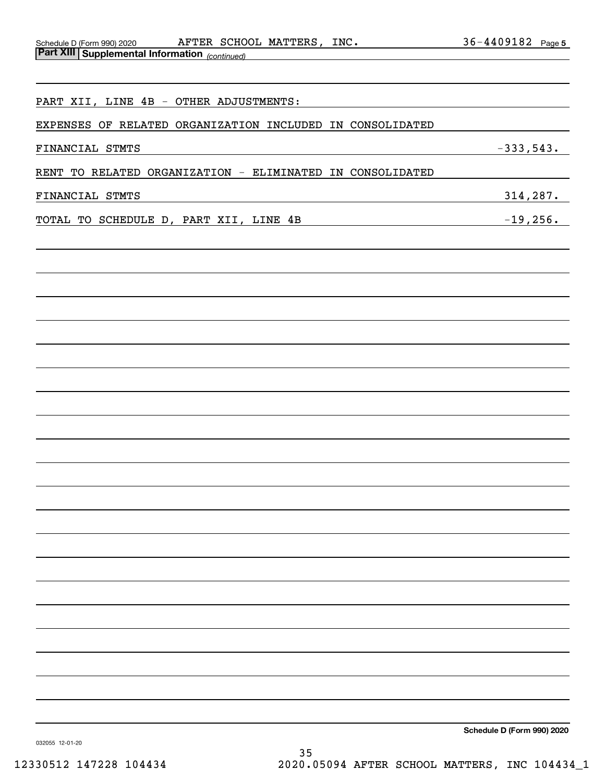| PART XII, LINE 4B - OTHER ADJUSTMENTS:                    |                            |
|-----------------------------------------------------------|----------------------------|
| EXPENSES OF RELATED ORGANIZATION INCLUDED IN CONSOLIDATED |                            |
| FINANCIAL STMTS                                           | $-333,543.$                |
| RENT TO RELATED ORGANIZATION - ELIMINATED IN CONSOLIDATED |                            |
| FINANCIAL STMTS                                           | 314,287.                   |
| TOTAL TO SCHEDULE D, PART XII, LINE 4B                    | $-19,256.$                 |
|                                                           |                            |
|                                                           |                            |
|                                                           |                            |
|                                                           |                            |
|                                                           |                            |
|                                                           |                            |
|                                                           |                            |
|                                                           |                            |
|                                                           |                            |
|                                                           |                            |
|                                                           |                            |
|                                                           |                            |
|                                                           |                            |
|                                                           |                            |
|                                                           |                            |
|                                                           |                            |
|                                                           |                            |
|                                                           |                            |
|                                                           |                            |
|                                                           |                            |
|                                                           |                            |
|                                                           | Schedule D (Form 990) 2020 |

032055 12-01-20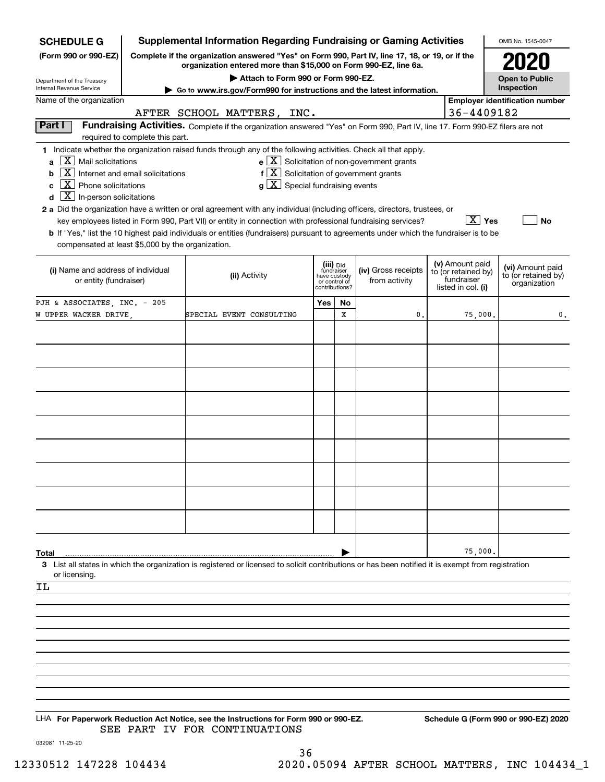| <b>SCHEDULE G</b>                                                                                                                                          |                                  | <b>Supplemental Information Regarding Fundraising or Gaming Activities</b>                                                                                                                                                                                                                                                                                                                                                                                                                                                                                                                |                                                                            |    |                                                                         |                                                                            | OMB No. 1545-0047                                       |
|------------------------------------------------------------------------------------------------------------------------------------------------------------|----------------------------------|-------------------------------------------------------------------------------------------------------------------------------------------------------------------------------------------------------------------------------------------------------------------------------------------------------------------------------------------------------------------------------------------------------------------------------------------------------------------------------------------------------------------------------------------------------------------------------------------|----------------------------------------------------------------------------|----|-------------------------------------------------------------------------|----------------------------------------------------------------------------|---------------------------------------------------------|
| (Form 990 or 990-EZ)                                                                                                                                       |                                  | Complete if the organization answered "Yes" on Form 990, Part IV, line 17, 18, or 19, or if the<br>organization entered more than \$15,000 on Form 990-EZ, line 6a.                                                                                                                                                                                                                                                                                                                                                                                                                       |                                                                            |    |                                                                         |                                                                            |                                                         |
| Department of the Treasury<br><b>Internal Revenue Service</b>                                                                                              |                                  | Attach to Form 990 or Form 990-EZ.                                                                                                                                                                                                                                                                                                                                                                                                                                                                                                                                                        |                                                                            |    |                                                                         |                                                                            | <b>Open to Public</b><br>Inspection                     |
| Name of the organization                                                                                                                                   |                                  | Go to www.irs.gov/Form990 for instructions and the latest information.                                                                                                                                                                                                                                                                                                                                                                                                                                                                                                                    |                                                                            |    |                                                                         |                                                                            | <b>Employer identification number</b>                   |
|                                                                                                                                                            |                                  | AFTER SCHOOL MATTERS, INC.                                                                                                                                                                                                                                                                                                                                                                                                                                                                                                                                                                |                                                                            |    |                                                                         | 36-4409182                                                                 |                                                         |
| Part I                                                                                                                                                     | required to complete this part.  | Fundraising Activities. Complete if the organization answered "Yes" on Form 990, Part IV, line 17. Form 990-EZ filers are not                                                                                                                                                                                                                                                                                                                                                                                                                                                             |                                                                            |    |                                                                         |                                                                            |                                                         |
| $X$ Mail solicitations<br>$\mathbf{a}$<br>  X  <br>b<br>$\boxed{\textbf{X}}$ Phone solicitations<br>c<br>$\boxed{\textbf{X}}$ In-person solicitations<br>d | Internet and email solicitations | 1 Indicate whether the organization raised funds through any of the following activities. Check all that apply.<br>$f[X]$ Solicitation of government grants<br>$g\mid X$ Special fundraising events<br>2 a Did the organization have a written or oral agreement with any individual (including officers, directors, trustees, or<br>key employees listed in Form 990, Part VII) or entity in connection with professional fundraising services?<br>b If "Yes," list the 10 highest paid individuals or entities (fundraisers) pursuant to agreements under which the fundraiser is to be |                                                                            |    | $\mathbf{e}$ $\boxed{\mathbf{X}}$ Solicitation of non-government grants | $\boxed{\text{X}}$ Yes                                                     | No                                                      |
| compensated at least \$5,000 by the organization.                                                                                                          |                                  |                                                                                                                                                                                                                                                                                                                                                                                                                                                                                                                                                                                           |                                                                            |    |                                                                         |                                                                            |                                                         |
| (i) Name and address of individual<br>or entity (fundraiser)                                                                                               |                                  | (ii) Activity                                                                                                                                                                                                                                                                                                                                                                                                                                                                                                                                                                             | (iii) Did<br>fundraiser<br>have custody<br>or control of<br>contributions? |    | (iv) Gross receipts<br>from activity                                    | (v) Amount paid<br>to (or retained by)<br>fundraiser<br>listed in col. (i) | (vi) Amount paid<br>to (or retained by)<br>organization |
| PJH & ASSOCIATES, INC. - 205                                                                                                                               |                                  |                                                                                                                                                                                                                                                                                                                                                                                                                                                                                                                                                                                           | Yes                                                                        | No |                                                                         |                                                                            |                                                         |
| W UPPER WACKER DRIVE,                                                                                                                                      |                                  | SPECIAL EVENT CONSULTING                                                                                                                                                                                                                                                                                                                                                                                                                                                                                                                                                                  |                                                                            | X  | 0.                                                                      | 75,000.                                                                    | 0.                                                      |
|                                                                                                                                                            |                                  |                                                                                                                                                                                                                                                                                                                                                                                                                                                                                                                                                                                           |                                                                            |    |                                                                         |                                                                            |                                                         |
|                                                                                                                                                            |                                  |                                                                                                                                                                                                                                                                                                                                                                                                                                                                                                                                                                                           |                                                                            |    |                                                                         |                                                                            |                                                         |
|                                                                                                                                                            |                                  |                                                                                                                                                                                                                                                                                                                                                                                                                                                                                                                                                                                           |                                                                            |    |                                                                         |                                                                            |                                                         |
|                                                                                                                                                            |                                  |                                                                                                                                                                                                                                                                                                                                                                                                                                                                                                                                                                                           |                                                                            |    |                                                                         |                                                                            |                                                         |
|                                                                                                                                                            |                                  |                                                                                                                                                                                                                                                                                                                                                                                                                                                                                                                                                                                           |                                                                            |    |                                                                         |                                                                            |                                                         |
|                                                                                                                                                            |                                  |                                                                                                                                                                                                                                                                                                                                                                                                                                                                                                                                                                                           |                                                                            |    |                                                                         |                                                                            |                                                         |
|                                                                                                                                                            |                                  |                                                                                                                                                                                                                                                                                                                                                                                                                                                                                                                                                                                           |                                                                            |    |                                                                         |                                                                            |                                                         |
|                                                                                                                                                            |                                  |                                                                                                                                                                                                                                                                                                                                                                                                                                                                                                                                                                                           |                                                                            |    |                                                                         |                                                                            |                                                         |
|                                                                                                                                                            |                                  |                                                                                                                                                                                                                                                                                                                                                                                                                                                                                                                                                                                           |                                                                            |    |                                                                         |                                                                            |                                                         |
|                                                                                                                                                            |                                  |                                                                                                                                                                                                                                                                                                                                                                                                                                                                                                                                                                                           |                                                                            |    |                                                                         |                                                                            |                                                         |
|                                                                                                                                                            |                                  |                                                                                                                                                                                                                                                                                                                                                                                                                                                                                                                                                                                           |                                                                            |    |                                                                         |                                                                            |                                                         |
| Total                                                                                                                                                      |                                  |                                                                                                                                                                                                                                                                                                                                                                                                                                                                                                                                                                                           |                                                                            |    |                                                                         | 75,000.                                                                    |                                                         |
|                                                                                                                                                            |                                  | 3 List all states in which the organization is registered or licensed to solicit contributions or has been notified it is exempt from registration                                                                                                                                                                                                                                                                                                                                                                                                                                        |                                                                            |    |                                                                         |                                                                            |                                                         |
| or licensing.<br>ΙL                                                                                                                                        |                                  |                                                                                                                                                                                                                                                                                                                                                                                                                                                                                                                                                                                           |                                                                            |    |                                                                         |                                                                            |                                                         |
|                                                                                                                                                            |                                  |                                                                                                                                                                                                                                                                                                                                                                                                                                                                                                                                                                                           |                                                                            |    |                                                                         |                                                                            |                                                         |
|                                                                                                                                                            |                                  |                                                                                                                                                                                                                                                                                                                                                                                                                                                                                                                                                                                           |                                                                            |    |                                                                         |                                                                            |                                                         |
|                                                                                                                                                            |                                  |                                                                                                                                                                                                                                                                                                                                                                                                                                                                                                                                                                                           |                                                                            |    |                                                                         |                                                                            |                                                         |
|                                                                                                                                                            |                                  |                                                                                                                                                                                                                                                                                                                                                                                                                                                                                                                                                                                           |                                                                            |    |                                                                         |                                                                            |                                                         |
|                                                                                                                                                            |                                  |                                                                                                                                                                                                                                                                                                                                                                                                                                                                                                                                                                                           |                                                                            |    |                                                                         |                                                                            |                                                         |
|                                                                                                                                                            |                                  |                                                                                                                                                                                                                                                                                                                                                                                                                                                                                                                                                                                           |                                                                            |    |                                                                         |                                                                            |                                                         |
|                                                                                                                                                            |                                  |                                                                                                                                                                                                                                                                                                                                                                                                                                                                                                                                                                                           |                                                                            |    |                                                                         |                                                                            |                                                         |
|                                                                                                                                                            |                                  | LHA For Paperwork Reduction Act Notice, see the Instructions for Form 990 or 990-EZ.                                                                                                                                                                                                                                                                                                                                                                                                                                                                                                      |                                                                            |    |                                                                         |                                                                            | Schedule G (Form 990 or 990-EZ) 2020                    |
| 032081 11-25-20                                                                                                                                            |                                  | SEE PART IV FOR CONTINUATIONS                                                                                                                                                                                                                                                                                                                                                                                                                                                                                                                                                             |                                                                            |    |                                                                         |                                                                            |                                                         |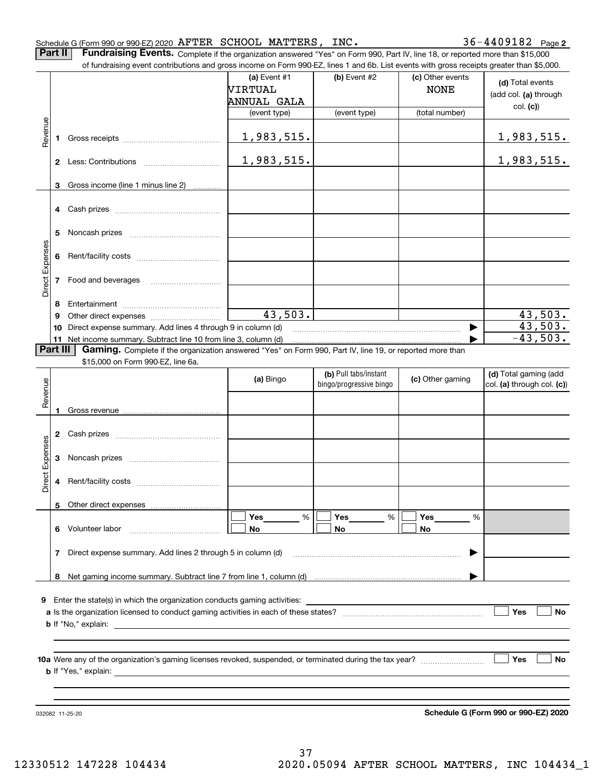**Part II** | Fundraising Events. Complete if the organization answered "Yes" on Form 990, Part IV, line 18, or reported more than \$15,000

|                 | 4        |                                                                                                          |           |                                                  |                  |                                                     |
|-----------------|----------|----------------------------------------------------------------------------------------------------------|-----------|--------------------------------------------------|------------------|-----------------------------------------------------|
|                 |          |                                                                                                          |           |                                                  |                  |                                                     |
|                 | 5        |                                                                                                          |           |                                                  |                  |                                                     |
| Direct Expenses | 6        |                                                                                                          |           |                                                  |                  |                                                     |
|                 | 7        | Food and beverages                                                                                       |           |                                                  |                  |                                                     |
|                 | 8        |                                                                                                          |           |                                                  |                  |                                                     |
|                 | 9        |                                                                                                          | 43,503.   |                                                  |                  | 43,503.                                             |
|                 | 10       | Direct expense summary. Add lines 4 through 9 in column (d)                                              |           |                                                  |                  | 43,503.                                             |
|                 |          | 11 Net income summary. Subtract line 10 from line 3, column (d)                                          |           |                                                  |                  | $-43,503.$                                          |
|                 | Part III | Gaming. Complete if the organization answered "Yes" on Form 990, Part IV, line 19, or reported more than |           |                                                  |                  |                                                     |
|                 |          | \$15,000 on Form 990-EZ, line 6a.                                                                        |           |                                                  |                  |                                                     |
|                 |          |                                                                                                          | (a) Bingo | (b) Pull tabs/instant<br>bingo/progressive bingo | (c) Other gaming | (d) Total gaming (add<br>col. (a) through col. (c)) |
| Revenue         |          |                                                                                                          |           |                                                  |                  |                                                     |
|                 | 1        |                                                                                                          |           |                                                  |                  |                                                     |
|                 |          |                                                                                                          |           |                                                  |                  |                                                     |
|                 | 2        |                                                                                                          |           |                                                  |                  |                                                     |
| Expenses        | 3        |                                                                                                          |           |                                                  |                  |                                                     |
|                 |          |                                                                                                          |           |                                                  |                  |                                                     |
|                 |          |                                                                                                          |           |                                                  |                  |                                                     |
|                 | 4        |                                                                                                          |           |                                                  |                  |                                                     |
| Direct          |          | 5 Other direct expenses                                                                                  |           |                                                  |                  |                                                     |
|                 |          |                                                                                                          | %<br>Yes  | %<br>Yes                                         | Yes<br>%         |                                                     |
|                 |          | 6 Volunteer labor                                                                                        | No.       | No                                               | No               |                                                     |
|                 |          | 7 Direct expense summary. Add lines 2 through 5 in column (d)                                            |           |                                                  |                  |                                                     |
|                 |          |                                                                                                          |           |                                                  |                  |                                                     |
|                 |          |                                                                                                          |           |                                                  |                  |                                                     |
| 9               |          | Enter the state(s) in which the organization conducts gaming activities:                                 |           |                                                  |                  |                                                     |
|                 |          |                                                                                                          |           |                                                  |                  | Yes<br>No                                           |
|                 |          |                                                                                                          |           |                                                  |                  |                                                     |
|                 |          |                                                                                                          |           |                                                  |                  |                                                     |
|                 |          |                                                                                                          |           |                                                  |                  |                                                     |
|                 |          |                                                                                                          |           |                                                  |                  | Yes<br>No                                           |
|                 |          |                                                                                                          |           |                                                  |                  |                                                     |
|                 |          |                                                                                                          |           |                                                  |                  |                                                     |
|                 |          |                                                                                                          |           |                                                  |                  | Schedule G (Form 990 or 990-EZ) 2020                |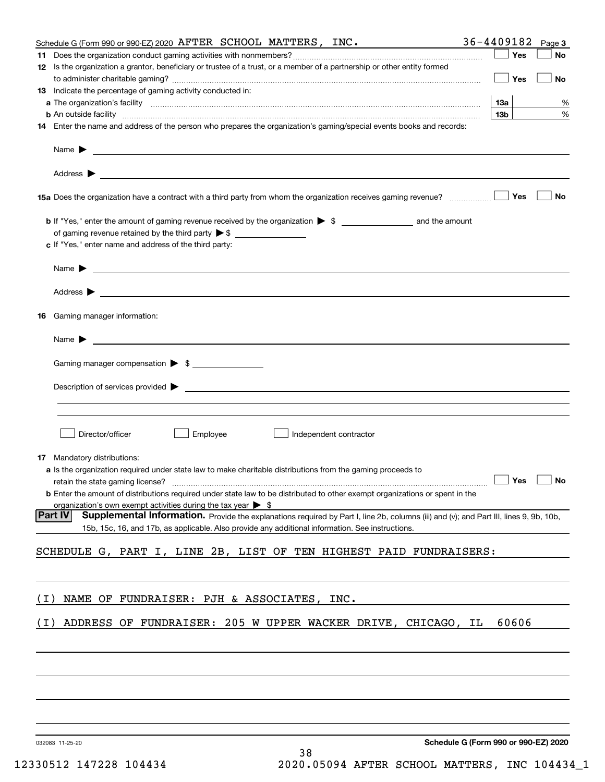|       | Schedule G (Form 990 or 990-EZ) 2020 $A$ FTER SCHOOL MATTERS, INC.                                                                                                                                                                        | 36-4409182        | Page 3 |
|-------|-------------------------------------------------------------------------------------------------------------------------------------------------------------------------------------------------------------------------------------------|-------------------|--------|
|       |                                                                                                                                                                                                                                           | Yes               | No     |
|       | 12 Is the organization a grantor, beneficiary or trustee of a trust, or a member of a partnership or other entity formed                                                                                                                  | Yes               | No     |
|       | <b>13</b> Indicate the percentage of gaming activity conducted in:                                                                                                                                                                        |                   |        |
|       |                                                                                                                                                                                                                                           | <b>13a</b>        | %      |
|       | <b>b</b> An outside facility <i>www.communically.communically.communically.communically.communically.communically.communically.communically.communically.communically.communically.communically.communically.communically.communicall</i> | 13 <sub>b</sub>   | %      |
|       | 14 Enter the name and address of the person who prepares the organization's gaming/special events books and records:                                                                                                                      |                   |        |
|       | Name $\blacktriangleright$<br><u> 1989 - Johann Stoff, amerikansk politiker (* 1908)</u>                                                                                                                                                  |                   |        |
|       |                                                                                                                                                                                                                                           |                   |        |
|       |                                                                                                                                                                                                                                           | Yes               | No     |
|       |                                                                                                                                                                                                                                           |                   |        |
|       | c If "Yes," enter name and address of the third party:                                                                                                                                                                                    |                   |        |
|       | Name $\blacktriangleright$ $\bot$                                                                                                                                                                                                         |                   |        |
|       |                                                                                                                                                                                                                                           |                   |        |
| 16    | Gaming manager information:                                                                                                                                                                                                               |                   |        |
|       | Name $\blacktriangleright$                                                                                                                                                                                                                |                   |        |
|       |                                                                                                                                                                                                                                           |                   |        |
|       | Gaming manager compensation > \$                                                                                                                                                                                                          |                   |        |
|       | Description of services provided >                                                                                                                                                                                                        |                   |        |
|       |                                                                                                                                                                                                                                           |                   |        |
|       | Director/officer<br>Employee<br>Independent contractor                                                                                                                                                                                    |                   |        |
|       | <b>17</b> Mandatory distributions:                                                                                                                                                                                                        |                   |        |
|       | <b>a</b> Is the organization required under state law to make charitable distributions from the gaming proceeds to                                                                                                                        |                   |        |
|       |                                                                                                                                                                                                                                           | $\Box$ Yes $\Box$ |        |
|       | <b>b</b> Enter the amount of distributions required under state law to be distributed to other exempt organizations or spent in the                                                                                                       |                   |        |
|       | organization's own exempt activities during the tax year $\triangleright$ \$<br> Part IV<br>Supplemental Information. Provide the explanations required by Part I, line 2b, columns (iii) and (v); and Part III, lines 9, 9b, 10b,        |                   |        |
|       | 15b, 15c, 16, and 17b, as applicable. Also provide any additional information. See instructions.                                                                                                                                          |                   |        |
|       | SCHEDULE G, PART I, LINE 2B, LIST OF TEN HIGHEST PAID FUNDRAISERS:                                                                                                                                                                        |                   |        |
|       |                                                                                                                                                                                                                                           |                   |        |
| (I)   | NAME OF FUNDRAISER: PJH & ASSOCIATES, INC.                                                                                                                                                                                                |                   |        |
| ( I ) | ADDRESS OF FUNDRAISER: 205 W UPPER WACKER DRIVE, CHICAGO, IL                                                                                                                                                                              | 60606             |        |
|       |                                                                                                                                                                                                                                           |                   |        |
|       |                                                                                                                                                                                                                                           |                   |        |
|       |                                                                                                                                                                                                                                           |                   |        |
|       |                                                                                                                                                                                                                                           |                   |        |
|       |                                                                                                                                                                                                                                           |                   |        |
|       | Schedule G (Form 990 or 990-EZ) 2020<br>032083 11-25-20                                                                                                                                                                                   |                   |        |

**Schedule G (Form 990 or 990-EZ) 2020**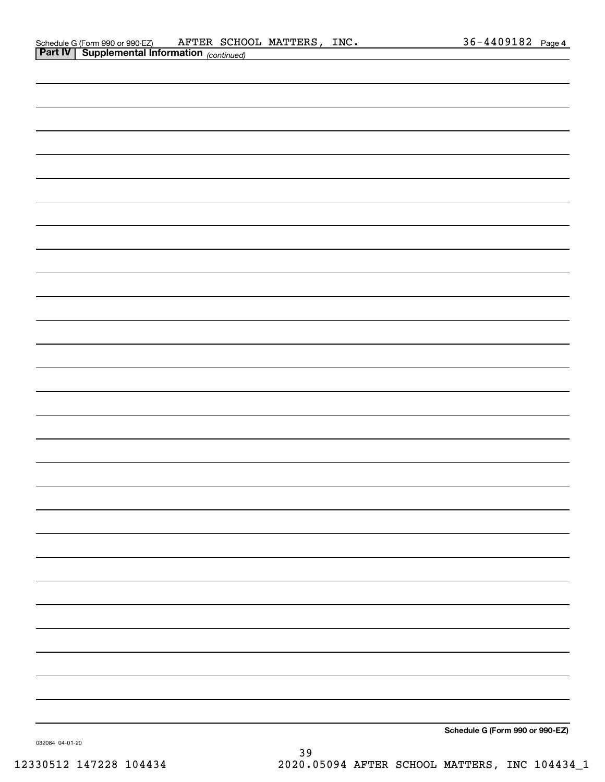| Schedule G (Form 990 or 990-EZ)                       |  | AFTER SCHOOL MATTERS, | INC. | $36 - 4409182$ Page 4 |  |
|-------------------------------------------------------|--|-----------------------|------|-----------------------|--|
| <b>Part IV   Supplemental Information</b> (continued) |  |                       |      |                       |  |

| <b>Part IV</b> Supplemental Information (continued) |  |
|-----------------------------------------------------|--|
|                                                     |  |
|                                                     |  |
|                                                     |  |
|                                                     |  |
|                                                     |  |
|                                                     |  |
|                                                     |  |
|                                                     |  |
|                                                     |  |
|                                                     |  |
|                                                     |  |
|                                                     |  |
|                                                     |  |
|                                                     |  |
|                                                     |  |
|                                                     |  |
|                                                     |  |
|                                                     |  |
|                                                     |  |
|                                                     |  |
|                                                     |  |
|                                                     |  |
|                                                     |  |
|                                                     |  |
|                                                     |  |
|                                                     |  |
|                                                     |  |
|                                                     |  |
|                                                     |  |
|                                                     |  |

**Schedule G (Form 990 or 990-EZ)**

032084 04-01-20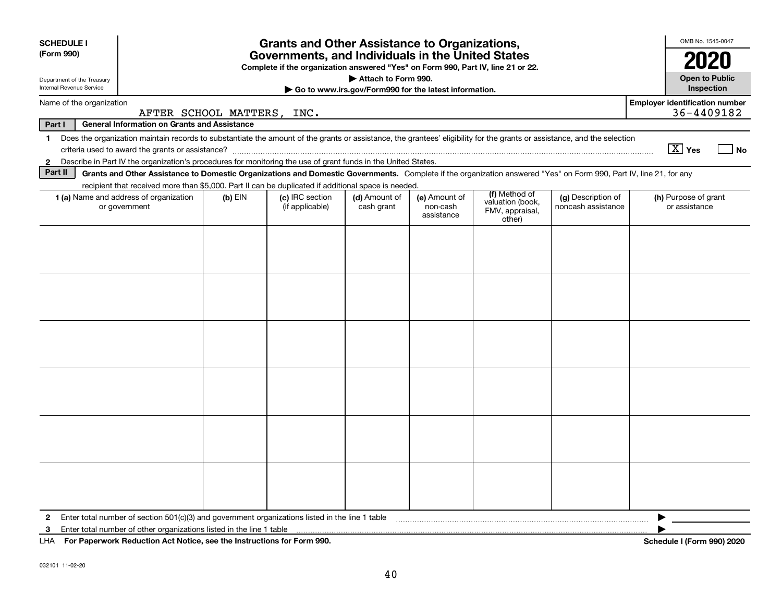| <b>SCHEDULE I</b>                                                                                                                                                                       |                            | <b>Grants and Other Assistance to Organizations,</b>                                                                                  |                                                       |                        |                                               |                    | OMB No. 1545-0047                                   |
|-----------------------------------------------------------------------------------------------------------------------------------------------------------------------------------------|----------------------------|---------------------------------------------------------------------------------------------------------------------------------------|-------------------------------------------------------|------------------------|-----------------------------------------------|--------------------|-----------------------------------------------------|
| (Form 990)                                                                                                                                                                              |                            | Governments, and Individuals in the United States<br>Complete if the organization answered "Yes" on Form 990, Part IV, line 21 or 22. |                                                       |                        |                                               |                    | 2020                                                |
| Department of the Treasury                                                                                                                                                              |                            |                                                                                                                                       | Attach to Form 990.                                   |                        |                                               |                    | <b>Open to Public</b>                               |
| Internal Revenue Service                                                                                                                                                                |                            |                                                                                                                                       | Go to www.irs.gov/Form990 for the latest information. |                        |                                               |                    | Inspection                                          |
| Name of the organization                                                                                                                                                                | AFTER SCHOOL MATTERS, INC. |                                                                                                                                       |                                                       |                        |                                               |                    | <b>Employer identification number</b><br>36-4409182 |
| Part I<br><b>General Information on Grants and Assistance</b>                                                                                                                           |                            |                                                                                                                                       |                                                       |                        |                                               |                    |                                                     |
| Does the organization maintain records to substantiate the amount of the grants or assistance, the grantees' eligibility for the grants or assistance, and the selection<br>$\mathbf 1$ |                            |                                                                                                                                       |                                                       |                        |                                               |                    |                                                     |
|                                                                                                                                                                                         |                            |                                                                                                                                       |                                                       |                        |                                               |                    | $\boxed{\text{X}}$ Yes<br>l No                      |
| Describe in Part IV the organization's procedures for monitoring the use of grant funds in the United States.<br>$\mathbf{2}$<br>Part II                                                |                            |                                                                                                                                       |                                                       |                        |                                               |                    |                                                     |
| Grants and Other Assistance to Domestic Organizations and Domestic Governments. Complete if the organization answered "Yes" on Form 990, Part IV, line 21, for any                      |                            |                                                                                                                                       |                                                       |                        |                                               |                    |                                                     |
| recipient that received more than \$5,000. Part II can be duplicated if additional space is needed.<br>1 (a) Name and address of organization                                           | $(b)$ EIN                  | (c) IRC section                                                                                                                       | (d) Amount of                                         | (e) Amount of          | (f) Method of                                 | (g) Description of | (h) Purpose of grant                                |
| or government                                                                                                                                                                           |                            | (if applicable)                                                                                                                       | cash grant                                            | non-cash<br>assistance | valuation (book,<br>FMV, appraisal,<br>other) | noncash assistance | or assistance                                       |
|                                                                                                                                                                                         |                            |                                                                                                                                       |                                                       |                        |                                               |                    |                                                     |
|                                                                                                                                                                                         |                            |                                                                                                                                       |                                                       |                        |                                               |                    |                                                     |
|                                                                                                                                                                                         |                            |                                                                                                                                       |                                                       |                        |                                               |                    |                                                     |
|                                                                                                                                                                                         |                            |                                                                                                                                       |                                                       |                        |                                               |                    |                                                     |
|                                                                                                                                                                                         |                            |                                                                                                                                       |                                                       |                        |                                               |                    |                                                     |
|                                                                                                                                                                                         |                            |                                                                                                                                       |                                                       |                        |                                               |                    |                                                     |
|                                                                                                                                                                                         |                            |                                                                                                                                       |                                                       |                        |                                               |                    |                                                     |
|                                                                                                                                                                                         |                            |                                                                                                                                       |                                                       |                        |                                               |                    |                                                     |
|                                                                                                                                                                                         |                            |                                                                                                                                       |                                                       |                        |                                               |                    |                                                     |
|                                                                                                                                                                                         |                            |                                                                                                                                       |                                                       |                        |                                               |                    |                                                     |
|                                                                                                                                                                                         |                            |                                                                                                                                       |                                                       |                        |                                               |                    |                                                     |
|                                                                                                                                                                                         |                            |                                                                                                                                       |                                                       |                        |                                               |                    |                                                     |
|                                                                                                                                                                                         |                            |                                                                                                                                       |                                                       |                        |                                               |                    |                                                     |
|                                                                                                                                                                                         |                            |                                                                                                                                       |                                                       |                        |                                               |                    |                                                     |
|                                                                                                                                                                                         |                            |                                                                                                                                       |                                                       |                        |                                               |                    |                                                     |
|                                                                                                                                                                                         |                            |                                                                                                                                       |                                                       |                        |                                               |                    |                                                     |
|                                                                                                                                                                                         |                            |                                                                                                                                       |                                                       |                        |                                               |                    |                                                     |
|                                                                                                                                                                                         |                            |                                                                                                                                       |                                                       |                        |                                               |                    |                                                     |
|                                                                                                                                                                                         |                            |                                                                                                                                       |                                                       |                        |                                               |                    |                                                     |
|                                                                                                                                                                                         |                            |                                                                                                                                       |                                                       |                        |                                               |                    |                                                     |
|                                                                                                                                                                                         |                            |                                                                                                                                       |                                                       |                        |                                               |                    |                                                     |
| Enter total number of section 501(c)(3) and government organizations listed in the line 1 table<br>$\mathbf{2}$                                                                         |                            |                                                                                                                                       |                                                       |                        |                                               |                    |                                                     |
| Enter total number of other organizations listed in the line 1 table<br>3<br>LHA For Paperwork Reduction Act Notice, see the Instructions for Form 990.                                 |                            |                                                                                                                                       |                                                       |                        |                                               |                    | Schedule I (Form 990) 2020                          |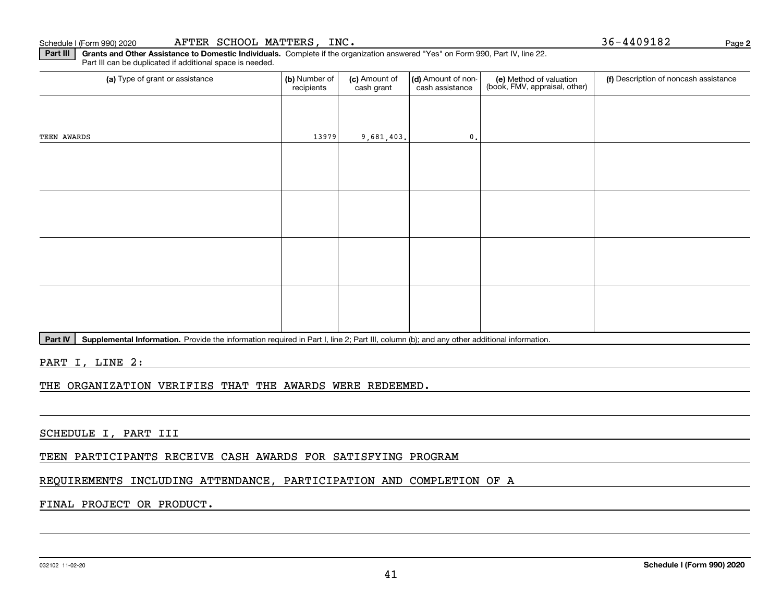**Part III | Grants and Other Assistance to Domestic Individuals. Complete if the organization answered "Yes" on Form 990, Part IV, line 22.** Part III can be duplicated if additional space is needed.

| (a) Type of grant or assistance | (b) Number of<br>recipients | (c) Amount of<br>cash grant | (d) Amount of non-<br>cash assistance | (e) Method of valuation<br>(book, FMV, appraisal, other) | (f) Description of noncash assistance |
|---------------------------------|-----------------------------|-----------------------------|---------------------------------------|----------------------------------------------------------|---------------------------------------|
|                                 |                             |                             |                                       |                                                          |                                       |
| TEEN AWARDS                     | 13979                       | 9,681,403.                  | $\mathbf{0}$ .                        |                                                          |                                       |
|                                 |                             |                             |                                       |                                                          |                                       |
|                                 |                             |                             |                                       |                                                          |                                       |
|                                 |                             |                             |                                       |                                                          |                                       |
|                                 |                             |                             |                                       |                                                          |                                       |
|                                 |                             |                             |                                       |                                                          |                                       |
|                                 |                             |                             |                                       |                                                          |                                       |
|                                 |                             |                             |                                       |                                                          |                                       |
|                                 |                             |                             |                                       |                                                          |                                       |

Part IV | Supplemental Information. Provide the information required in Part I, line 2; Part III, column (b); and any other additional information.

PART I, LINE 2:

THE ORGANIZATION VERIFIES THAT THE AWARDS WERE REDEEMED.

SCHEDULE I, PART III

TEEN PARTICIPANTS RECEIVE CASH AWARDS FOR SATISFYING PROGRAM

### REQUIREMENTS INCLUDING ATTENDANCE, PARTICIPATION AND COMPLETION OF A

### FINAL PROJECT OR PRODUCT.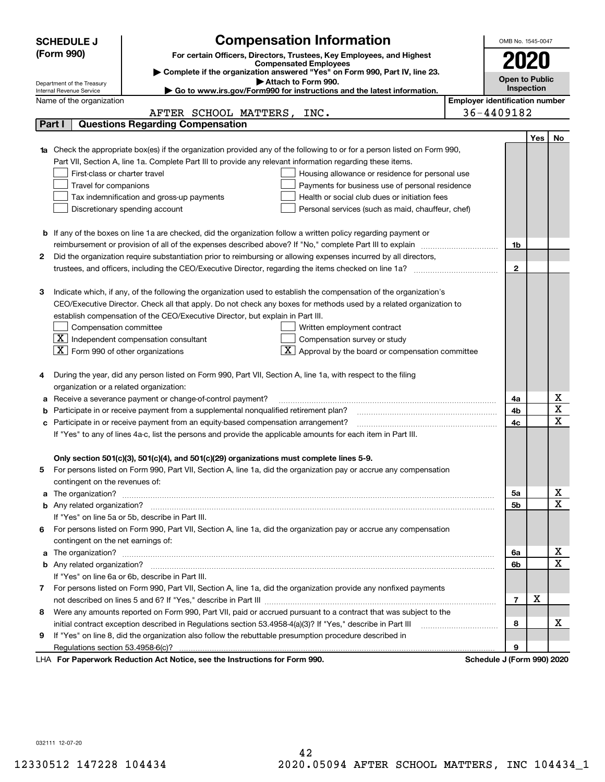|        | <b>SCHEDULE J</b>                                      | <b>Compensation Information</b>                                                                                                                                                                                                     |                                       | OMB No. 1545-0047          |     |                         |
|--------|--------------------------------------------------------|-------------------------------------------------------------------------------------------------------------------------------------------------------------------------------------------------------------------------------------|---------------------------------------|----------------------------|-----|-------------------------|
|        | (Form 990)                                             | For certain Officers, Directors, Trustees, Key Employees, and Highest                                                                                                                                                               |                                       |                            |     |                         |
|        |                                                        | <b>Compensated Employees</b>                                                                                                                                                                                                        |                                       |                            |     |                         |
|        |                                                        | Complete if the organization answered "Yes" on Form 990, Part IV, line 23.                                                                                                                                                          |                                       | Open to Public             |     |                         |
|        | Department of the Treasury<br>Internal Revenue Service | Attach to Form 990.<br>Go to www.irs.gov/Form990 for instructions and the latest information.                                                                                                                                       |                                       | Inspection                 |     |                         |
|        | Name of the organization                               |                                                                                                                                                                                                                                     | <b>Employer identification number</b> |                            |     |                         |
|        |                                                        | AFTER SCHOOL MATTERS, INC.                                                                                                                                                                                                          |                                       | 36-4409182                 |     |                         |
| Part I |                                                        | <b>Questions Regarding Compensation</b>                                                                                                                                                                                             |                                       |                            |     |                         |
|        |                                                        |                                                                                                                                                                                                                                     |                                       |                            | Yes | No.                     |
|        |                                                        | <b>1a</b> Check the appropriate box(es) if the organization provided any of the following to or for a person listed on Form 990,                                                                                                    |                                       |                            |     |                         |
|        |                                                        | Part VII, Section A, line 1a. Complete Part III to provide any relevant information regarding these items.                                                                                                                          |                                       |                            |     |                         |
|        | First-class or charter travel                          | Housing allowance or residence for personal use                                                                                                                                                                                     |                                       |                            |     |                         |
|        | Travel for companions                                  | Payments for business use of personal residence                                                                                                                                                                                     |                                       |                            |     |                         |
|        |                                                        | Health or social club dues or initiation fees<br>Tax indemnification and gross-up payments                                                                                                                                          |                                       |                            |     |                         |
|        |                                                        | Discretionary spending account<br>Personal services (such as maid, chauffeur, chef)                                                                                                                                                 |                                       |                            |     |                         |
|        |                                                        |                                                                                                                                                                                                                                     |                                       |                            |     |                         |
|        |                                                        | <b>b</b> If any of the boxes on line 1a are checked, did the organization follow a written policy regarding payment or                                                                                                              |                                       |                            |     |                         |
|        |                                                        | reimbursement or provision of all of the expenses described above? If "No," complete Part III to explain                                                                                                                            |                                       | 1b                         |     |                         |
| 2      |                                                        | Did the organization require substantiation prior to reimbursing or allowing expenses incurred by all directors,                                                                                                                    |                                       |                            |     |                         |
|        |                                                        |                                                                                                                                                                                                                                     |                                       | $\mathbf{2}$               |     |                         |
|        |                                                        |                                                                                                                                                                                                                                     |                                       |                            |     |                         |
| з      |                                                        | Indicate which, if any, of the following the organization used to establish the compensation of the organization's                                                                                                                  |                                       |                            |     |                         |
|        |                                                        | CEO/Executive Director. Check all that apply. Do not check any boxes for methods used by a related organization to                                                                                                                  |                                       |                            |     |                         |
|        |                                                        | establish compensation of the CEO/Executive Director, but explain in Part III.                                                                                                                                                      |                                       |                            |     |                         |
|        | Compensation committee                                 | Written employment contract                                                                                                                                                                                                         |                                       |                            |     |                         |
|        |                                                        | $\boxed{\text{X}}$ Independent compensation consultant<br>Compensation survey or study                                                                                                                                              |                                       |                            |     |                         |
|        | $ \mathbf{X} $ Form 990 of other organizations         | Approval by the board or compensation committee                                                                                                                                                                                     |                                       |                            |     |                         |
|        |                                                        |                                                                                                                                                                                                                                     |                                       |                            |     |                         |
|        |                                                        | During the year, did any person listed on Form 990, Part VII, Section A, line 1a, with respect to the filing                                                                                                                        |                                       |                            |     |                         |
|        | organization or a related organization:                |                                                                                                                                                                                                                                     |                                       |                            |     |                         |
|        |                                                        | Receive a severance payment or change-of-control payment?                                                                                                                                                                           |                                       | 4a                         |     | Χ                       |
|        |                                                        | Participate in or receive payment from a supplemental nonqualified retirement plan?                                                                                                                                                 |                                       | 4b                         |     | $\overline{\textbf{x}}$ |
|        |                                                        | c Participate in or receive payment from an equity-based compensation arrangement?                                                                                                                                                  |                                       | 4c                         |     | $\overline{\mathbf{x}}$ |
|        |                                                        | If "Yes" to any of lines 4a-c, list the persons and provide the applicable amounts for each item in Part III.                                                                                                                       |                                       |                            |     |                         |
|        |                                                        |                                                                                                                                                                                                                                     |                                       |                            |     |                         |
|        |                                                        | Only section 501(c)(3), 501(c)(4), and 501(c)(29) organizations must complete lines 5-9.                                                                                                                                            |                                       |                            |     |                         |
| 5      |                                                        | For persons listed on Form 990, Part VII, Section A, line 1a, did the organization pay or accrue any compensation                                                                                                                   |                                       |                            |     |                         |
|        | contingent on the revenues of:                         |                                                                                                                                                                                                                                     |                                       |                            |     |                         |
|        |                                                        | a The organization? <b>Entitation</b> 2008 Communication of the contract of the contract of the contract of the contract of the contract of the contract of the contract of the contract of the contract of the contract of the con |                                       | 5а                         |     | x                       |
|        |                                                        |                                                                                                                                                                                                                                     |                                       | 5b                         |     | $\overline{\mathbf{x}}$ |
|        |                                                        | If "Yes" on line 5a or 5b, describe in Part III.                                                                                                                                                                                    |                                       |                            |     |                         |
|        |                                                        | 6 For persons listed on Form 990, Part VII, Section A, line 1a, did the organization pay or accrue any compensation                                                                                                                 |                                       |                            |     |                         |
|        | contingent on the net earnings of:                     |                                                                                                                                                                                                                                     |                                       |                            |     |                         |
|        |                                                        |                                                                                                                                                                                                                                     |                                       | 6a                         |     | х                       |
|        |                                                        |                                                                                                                                                                                                                                     |                                       | 6b                         |     | $\mathbf X$             |
|        |                                                        | If "Yes" on line 6a or 6b, describe in Part III.                                                                                                                                                                                    |                                       |                            |     |                         |
|        |                                                        | 7 For persons listed on Form 990, Part VII, Section A, line 1a, did the organization provide any nonfixed payments                                                                                                                  |                                       |                            |     |                         |
|        |                                                        |                                                                                                                                                                                                                                     |                                       | 7                          | х   |                         |
| 8      |                                                        | Were any amounts reported on Form 990, Part VII, paid or accrued pursuant to a contract that was subject to the                                                                                                                     |                                       |                            |     |                         |
|        |                                                        | initial contract exception described in Regulations section 53.4958-4(a)(3)? If "Yes," describe in Part III                                                                                                                         |                                       | 8                          |     | х                       |
| 9      |                                                        | If "Yes" on line 8, did the organization also follow the rebuttable presumption procedure described in                                                                                                                              |                                       |                            |     |                         |
|        |                                                        |                                                                                                                                                                                                                                     |                                       | 9                          |     |                         |
|        |                                                        | LHA For Paperwork Reduction Act Notice, see the Instructions for Form 990.                                                                                                                                                          |                                       | Schedule J (Form 990) 2020 |     |                         |

032111 12-07-20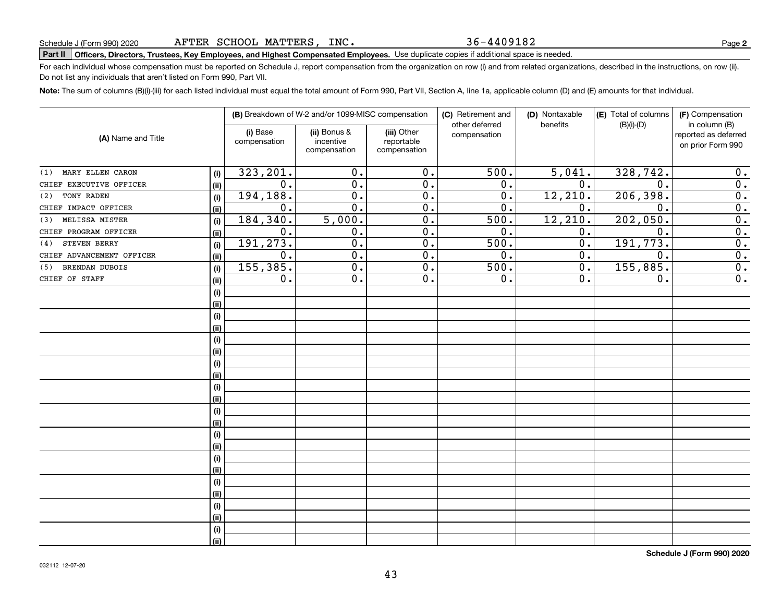#### 36-4409182

# **Part II Officers, Directors, Trustees, Key Employees, and Highest Compensated Employees.**  Schedule J (Form 990) 2020 Page Use duplicate copies if additional space is needed.

For each individual whose compensation must be reported on Schedule J, report compensation from the organization on row (i) and from related organizations, described in the instructions, on row (ii). Do not list any individuals that aren't listed on Form 990, Part VII.

**Note:**  The sum of columns (B)(i)-(iii) for each listed individual must equal the total amount of Form 990, Part VII, Section A, line 1a, applicable column (D) and (E) amounts for that individual.

|                           |      |                          | (B) Breakdown of W-2 and/or 1099-MISC compensation |                                           | (C) Retirement and<br>other deferred | (D) Nontaxable<br>benefits | (E) Total of columns<br>$(B)(i)-(D)$ | (F) Compensation<br>in column (B)         |
|---------------------------|------|--------------------------|----------------------------------------------------|-------------------------------------------|--------------------------------------|----------------------------|--------------------------------------|-------------------------------------------|
| (A) Name and Title        |      | (i) Base<br>compensation | (ii) Bonus &<br>incentive<br>compensation          | (iii) Other<br>reportable<br>compensation | compensation                         |                            |                                      | reported as deferred<br>on prior Form 990 |
| MARY ELLEN CARON<br>(1)   | (i)  | 323, 201.                | 0.                                                 | 0.                                        | 500.                                 | 5,041.                     | 328, 742.                            | 0.                                        |
| CHIEF EXECUTIVE OFFICER   | (ii) | 0.                       | 0.                                                 | 0.                                        | 0.                                   | 0.                         | $\mathbf 0$ .                        | 0.                                        |
| TONY RADEN<br>(2)         | (i)  | 194, 188.                | 0.                                                 | 0.                                        | 0.                                   | 12, 210.                   | 206,398.                             | 0.                                        |
| CHIEF IMPACT OFFICER      | (ii) | 0.                       | 0.                                                 | 0.                                        | 0.                                   | 0.                         | $\mathbf 0$ .                        | $\overline{0}$ .                          |
| MELISSA MISTER<br>(3)     | (i)  | 184,340.                 | 5,000.                                             | 0.                                        | 500.                                 | 12, 210.                   | 202,050.                             | $\overline{0}$ .                          |
| CHIEF PROGRAM OFFICER     | (ii) | 0.                       | 0.                                                 | 0.                                        | 0.                                   | 0.                         | $\mathbf 0$ .                        | $\overline{0}$ .                          |
| STEVEN BERRY<br>(4)       | (i)  | 191,273.                 | 0.                                                 | 0.                                        | 500.                                 | 0.                         | 191, 773.                            | 0.                                        |
| CHIEF ADVANCEMENT OFFICER | (ii) | 0.                       | 0.                                                 | 0.                                        | 0.                                   | $0$ .                      | $\mathbf 0$ .                        | 0.                                        |
| BRENDAN DUBOIS<br>(5)     | (i)  | 155,385.                 | 0.                                                 | 0.                                        | 500.                                 | 0.                         | 155,885.                             | 0.                                        |
| CHIEF OF STAFF            | (ii) | 0.                       | 0.                                                 | 0.                                        | 0.                                   | $0$ .                      | 0.                                   | 0.                                        |
|                           | (i)  |                          |                                                    |                                           |                                      |                            |                                      |                                           |
|                           | (ii) |                          |                                                    |                                           |                                      |                            |                                      |                                           |
|                           | (i)  |                          |                                                    |                                           |                                      |                            |                                      |                                           |
|                           | (ii) |                          |                                                    |                                           |                                      |                            |                                      |                                           |
|                           | (i)  |                          |                                                    |                                           |                                      |                            |                                      |                                           |
|                           | (ii) |                          |                                                    |                                           |                                      |                            |                                      |                                           |
|                           | (i)  |                          |                                                    |                                           |                                      |                            |                                      |                                           |
|                           | (ii) |                          |                                                    |                                           |                                      |                            |                                      |                                           |
|                           | (i)  |                          |                                                    |                                           |                                      |                            |                                      |                                           |
|                           | (ii) |                          |                                                    |                                           |                                      |                            |                                      |                                           |
|                           | (i)  |                          |                                                    |                                           |                                      |                            |                                      |                                           |
|                           | (ii) |                          |                                                    |                                           |                                      |                            |                                      |                                           |
|                           | (i)  |                          |                                                    |                                           |                                      |                            |                                      |                                           |
|                           | (ii) |                          |                                                    |                                           |                                      |                            |                                      |                                           |
|                           | (i)  |                          |                                                    |                                           |                                      |                            |                                      |                                           |
|                           | (ii) |                          |                                                    |                                           |                                      |                            |                                      |                                           |
|                           | (i)  |                          |                                                    |                                           |                                      |                            |                                      |                                           |
|                           | (ii) |                          |                                                    |                                           |                                      |                            |                                      |                                           |
|                           | (i)  |                          |                                                    |                                           |                                      |                            |                                      |                                           |
|                           | (ii) |                          |                                                    |                                           |                                      |                            |                                      |                                           |
|                           | (i)  |                          |                                                    |                                           |                                      |                            |                                      |                                           |
|                           | (ii) |                          |                                                    |                                           |                                      |                            |                                      |                                           |

**Schedule J (Form 990) 2020**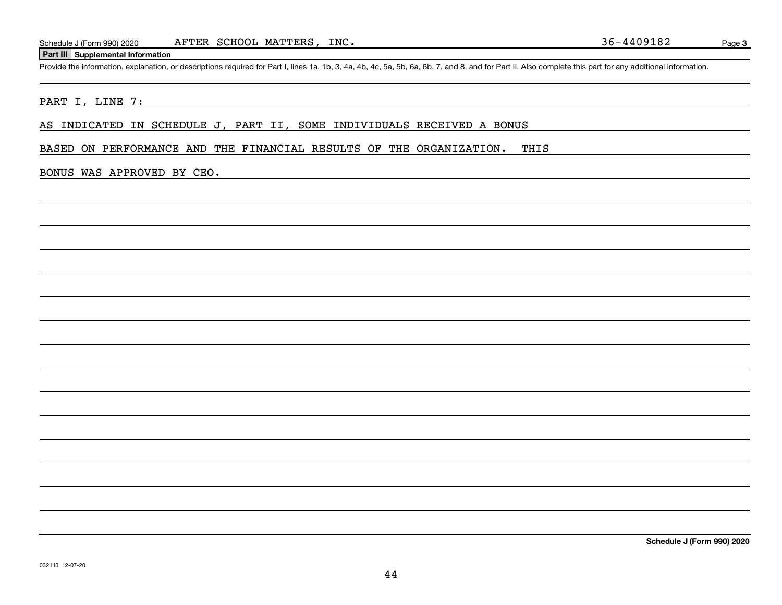### **Part III Supplemental Information**

Schedule J (Form 990) 2020 AFTER SCHOOL MATTERS, INC.<br>
Part III Supplemental Information<br>
Provide the information, explanation, or descriptions required for Part I, lines 1a, 1b, 3, 4a, 4b, 4c, 5a, 5b, 6a, 6b, 7, and 8, an

### PART I, LINE 7:

AS INDICATED IN SCHEDULE J, PART II, SOME INDIVIDUALS RECEIVED A BONUS

BASED ON PERFORMANCE AND THE FINANCIAL RESULTS OF THE ORGANIZATION. THIS

### BONUS WAS APPROVED BY CEO.

**Schedule J (Form 990) 2020**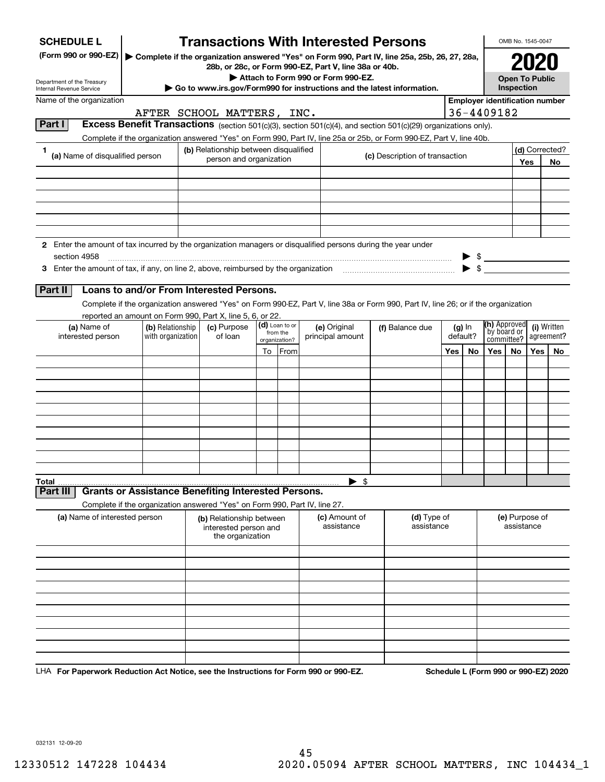| <b>SCHEDULE L</b>          |                                                                                                               |                   | <b>Transactions With Interested Persons</b>                           |                            |                                    |                                                                                                                                    |     |          |                                                     | OMB No. 1545-0047            |     |                |
|----------------------------|---------------------------------------------------------------------------------------------------------------|-------------------|-----------------------------------------------------------------------|----------------------------|------------------------------------|------------------------------------------------------------------------------------------------------------------------------------|-----|----------|-----------------------------------------------------|------------------------------|-----|----------------|
|                            | (Form 990 or 990-EZ)                                                                                          |                   | 28b, or 28c, or Form 990-EZ, Part V, line 38a or 40b.                 |                            |                                    | Complete if the organization answered "Yes" on Form 990, Part IV, line 25a, 25b, 26, 27, 28a,                                      |     |          |                                                     |                              |     |                |
| Department of the Treasury |                                                                                                               |                   |                                                                       |                            | Attach to Form 990 or Form 990-EZ. |                                                                                                                                    |     |          |                                                     | <b>Open To Public</b>        |     |                |
| Internal Revenue Service   |                                                                                                               |                   |                                                                       |                            |                                    | Go to www.irs.gov/Form990 for instructions and the latest information.                                                             |     |          |                                                     | Inspection                   |     |                |
|                            | Name of the organization                                                                                      |                   | AFTER SCHOOL MATTERS, INC.                                            |                            |                                    |                                                                                                                                    |     |          | <b>Employer identification number</b><br>36-4409182 |                              |     |                |
| Part I                     |                                                                                                               |                   |                                                                       |                            |                                    | Excess Benefit Transactions (section 501(c)(3), section 501(c)(4), and section 501(c)(29) organizations only).                     |     |          |                                                     |                              |     |                |
|                            |                                                                                                               |                   |                                                                       |                            |                                    | Complete if the organization answered "Yes" on Form 990, Part IV, line 25a or 25b, or Form 990-EZ, Part V, line 40b.               |     |          |                                                     |                              |     |                |
| 1.                         |                                                                                                               |                   | (b) Relationship between disqualified                                 |                            |                                    |                                                                                                                                    |     |          |                                                     |                              |     | (d) Corrected? |
|                            | (a) Name of disqualified person                                                                               |                   | person and organization                                               |                            |                                    | (c) Description of transaction                                                                                                     |     |          |                                                     |                              | Yes | <b>No</b>      |
|                            |                                                                                                               |                   |                                                                       |                            |                                    |                                                                                                                                    |     |          |                                                     |                              |     |                |
|                            |                                                                                                               |                   |                                                                       |                            |                                    |                                                                                                                                    |     |          |                                                     |                              |     |                |
|                            |                                                                                                               |                   |                                                                       |                            |                                    |                                                                                                                                    |     |          |                                                     |                              |     |                |
|                            |                                                                                                               |                   |                                                                       |                            |                                    |                                                                                                                                    |     |          |                                                     |                              |     |                |
|                            |                                                                                                               |                   |                                                                       |                            |                                    |                                                                                                                                    |     |          |                                                     |                              |     |                |
|                            | 2 Enter the amount of tax incurred by the organization managers or disqualified persons during the year under |                   |                                                                       |                            |                                    |                                                                                                                                    |     |          |                                                     |                              |     |                |
|                            | section 4958                                                                                                  |                   |                                                                       |                            |                                    |                                                                                                                                    |     |          | $\frac{1}{2}$                                       |                              |     |                |
|                            | 3 Enter the amount of tax, if any, on line 2, above, reimbursed by the organization                           |                   |                                                                       |                            |                                    |                                                                                                                                    |     |          | $\blacktriangleright$ \$                            |                              |     |                |
| Part II                    | Loans to and/or From Interested Persons.                                                                      |                   |                                                                       |                            |                                    |                                                                                                                                    |     |          |                                                     |                              |     |                |
|                            |                                                                                                               |                   |                                                                       |                            |                                    | Complete if the organization answered "Yes" on Form 990-EZ, Part V, line 38a or Form 990, Part IV, line 26; or if the organization |     |          |                                                     |                              |     |                |
|                            | reported an amount on Form 990, Part X, line 5, 6, or 22.                                                     |                   |                                                                       |                            |                                    |                                                                                                                                    |     |          |                                                     |                              |     |                |
|                            | (a) Name of                                                                                                   | (b) Relationship  | (c) Purpose                                                           | (d) Loan to or<br>from the | (e) Original                       | (f) Balance due                                                                                                                    |     | $(g)$ In | (h) Approved<br>by board or                         |                              |     | (i) Written    |
|                            | interested person                                                                                             | with organization | of loan                                                               | organization?              | principal amount                   |                                                                                                                                    |     | default? |                                                     | committee?                   |     | agreement?     |
|                            |                                                                                                               |                   |                                                                       | To From                    |                                    |                                                                                                                                    | Yes | No       | Yes                                                 | No.                          | Yes | No             |
|                            |                                                                                                               |                   |                                                                       |                            |                                    |                                                                                                                                    |     |          |                                                     |                              |     |                |
|                            |                                                                                                               |                   |                                                                       |                            |                                    |                                                                                                                                    |     |          |                                                     |                              |     |                |
|                            |                                                                                                               |                   |                                                                       |                            |                                    |                                                                                                                                    |     |          |                                                     |                              |     |                |
|                            |                                                                                                               |                   |                                                                       |                            |                                    |                                                                                                                                    |     |          |                                                     |                              |     |                |
|                            |                                                                                                               |                   |                                                                       |                            |                                    |                                                                                                                                    |     |          |                                                     |                              |     |                |
|                            |                                                                                                               |                   |                                                                       |                            |                                    |                                                                                                                                    |     |          |                                                     |                              |     |                |
|                            |                                                                                                               |                   |                                                                       |                            |                                    |                                                                                                                                    |     |          |                                                     |                              |     |                |
|                            |                                                                                                               |                   |                                                                       |                            |                                    |                                                                                                                                    |     |          |                                                     |                              |     |                |
| Total                      |                                                                                                               |                   |                                                                       |                            | $\mathfrak{s}$                     |                                                                                                                                    |     |          |                                                     |                              |     |                |
| Part II                    | <b>Grants or Assistance Benefiting Interested Persons.</b>                                                    |                   |                                                                       |                            |                                    |                                                                                                                                    |     |          |                                                     |                              |     |                |
|                            | Complete if the organization answered "Yes" on Form 990, Part IV, line 27.                                    |                   |                                                                       |                            |                                    |                                                                                                                                    |     |          |                                                     |                              |     |                |
|                            | (a) Name of interested person                                                                                 |                   | (b) Relationship between<br>interested person and<br>the organization |                            | (c) Amount of<br>assistance        | (d) Type of<br>assistance                                                                                                          |     |          |                                                     | (e) Purpose of<br>assistance |     |                |
|                            |                                                                                                               |                   |                                                                       |                            |                                    |                                                                                                                                    |     |          |                                                     |                              |     |                |
|                            |                                                                                                               |                   |                                                                       |                            |                                    |                                                                                                                                    |     |          |                                                     |                              |     |                |
|                            |                                                                                                               |                   |                                                                       |                            |                                    |                                                                                                                                    |     |          |                                                     |                              |     |                |
|                            |                                                                                                               |                   |                                                                       |                            |                                    |                                                                                                                                    |     |          |                                                     |                              |     |                |
|                            |                                                                                                               |                   |                                                                       |                            |                                    |                                                                                                                                    |     |          |                                                     |                              |     |                |
|                            |                                                                                                               |                   |                                                                       |                            |                                    |                                                                                                                                    |     |          |                                                     |                              |     |                |
|                            |                                                                                                               |                   |                                                                       |                            |                                    |                                                                                                                                    |     |          |                                                     |                              |     |                |
|                            |                                                                                                               |                   |                                                                       |                            |                                    |                                                                                                                                    |     |          |                                                     |                              |     |                |
|                            |                                                                                                               |                   |                                                                       |                            |                                    |                                                                                                                                    |     |          |                                                     |                              |     |                |

LHA For Paperwork Reduction Act Notice, see the Instructions for Form 990 or 990-EZ. Schedule L (Form 990 or 990-EZ) 2020

032131 12-09-20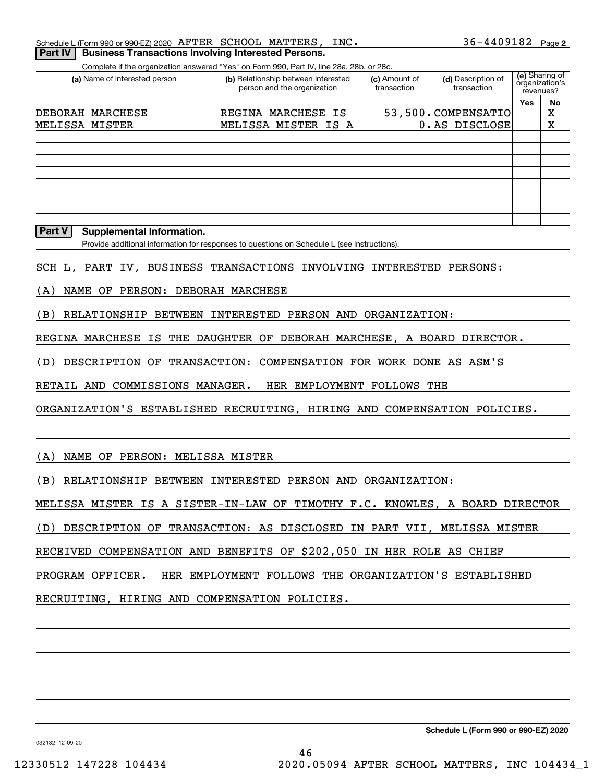| Schedule L (Form 990 or 990-EZ) 2020 $\,$ AFTER $\,$ SCHOOL $\,$ MATTERS , $\,$ INC $\,$ .<br>Part IV   Business Transactions Involving Interested Persons. |  |  | $36 - 4409182$ Page 2 |  |
|-------------------------------------------------------------------------------------------------------------------------------------------------------------|--|--|-----------------------|--|
|                                                                                                                                                             |  |  |                       |  |

Complete if the organization answered "Yes" on Form 990, Part IV, line 28a, 28b, or 28c.

| (a) Name of interested person | (b) Relationship between interested<br>person and the organization | (c) Amount of<br>transaction | (d) Description of<br>transaction | (e) Sharing of<br>organization's<br>revenues? |    |
|-------------------------------|--------------------------------------------------------------------|------------------------------|-----------------------------------|-----------------------------------------------|----|
|                               |                                                                    |                              |                                   | Yes                                           | No |
| DEBORAH MARCHESE              | REGINA MARCHESE IS                                                 |                              | 53,500. COMPENSATIO               |                                               | х  |
| MELISSA MISTER                | MELISSA MISTER IS A                                                |                              | 0. AS DISCLOSE                    |                                               | x  |
|                               |                                                                    |                              |                                   |                                               |    |
|                               |                                                                    |                              |                                   |                                               |    |
|                               |                                                                    |                              |                                   |                                               |    |
|                               |                                                                    |                              |                                   |                                               |    |
|                               |                                                                    |                              |                                   |                                               |    |
|                               |                                                                    |                              |                                   |                                               |    |
|                               |                                                                    |                              |                                   |                                               |    |
|                               |                                                                    |                              |                                   |                                               |    |

#### **Part V Supplemental Information.**

Provide additional information for responses to questions on Schedule L (see instructions).

SCH L, PART IV, BUSINESS TRANSACTIONS INVOLVING INTERESTED PERSONS:

(A) NAME OF PERSON: DEBORAH MARCHESE

(B) RELATIONSHIP BETWEEN INTERESTED PERSON AND ORGANIZATION:

REGINA MARCHESE IS THE DAUGHTER OF DEBORAH MARCHESE, A BOARD DIRECTOR.

(D) DESCRIPTION OF TRANSACTION: COMPENSATION FOR WORK DONE AS ASM'S

RETAIL AND COMMISSIONS MANAGER. HER EMPLOYMENT FOLLOWS THE

ORGANIZATION'S ESTABLISHED RECRUITING, HIRING AND COMPENSATION POLICIES.

(A) NAME OF PERSON: MELISSA MISTER

(B) RELATIONSHIP BETWEEN INTERESTED PERSON AND ORGANIZATION:

MELISSA MISTER IS A SISTER-IN-LAW OF TIMOTHY F.C. KNOWLES, A BOARD DIRECTOR

(D) DESCRIPTION OF TRANSACTION: AS DISCLOSED IN PART VII, MELISSA MISTER

RECEIVED COMPENSATION AND BENEFITS OF \$202,050 IN HER ROLE AS CHIEF

PROGRAM OFFICER. HER EMPLOYMENT FOLLOWS THE ORGANIZATION'S ESTABLISHED

RECRUITING, HIRING AND COMPENSATION POLICIES.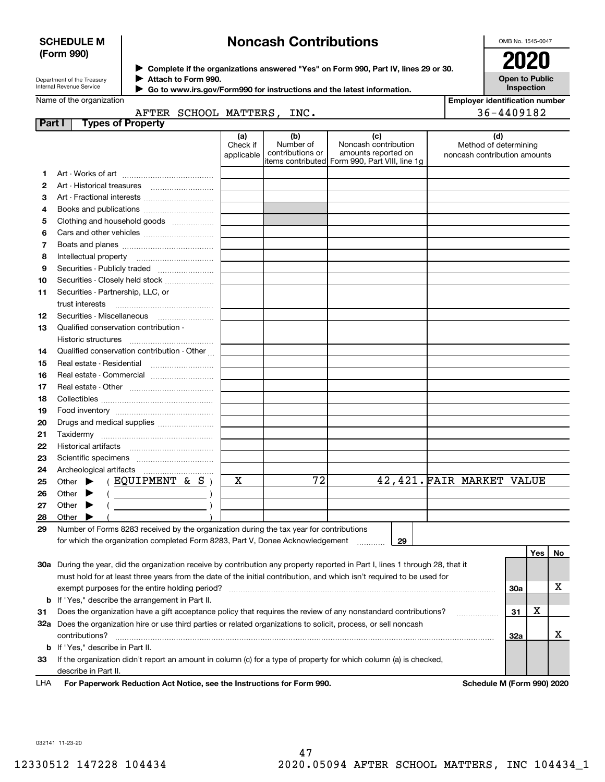### **SCHEDULE M (Form 990)**

# **Noncash Contributions**

OMB No. 1545-0047

**Open to Public**

| Department of the Treasury |
|----------------------------|
| Internal Devenue Convice   |

**Complete if the organizations answered "Yes" on Form 990, Part IV, lines 29 or 30. Attach to Form 990.**  $\triangleright$  Complete if the organizations answered "Yes" on Form 990, Part IV, lines 29 or 30.  $2020$  $\blacktriangleright$ 

|        | Internal Revenue Service                                                                                                       |                            |                               |                                      | Go to www.irs.gov/Form990 for instructions and the latest information.                               |                           | <b>Inspection</b>                                            |     |    |
|--------|--------------------------------------------------------------------------------------------------------------------------------|----------------------------|-------------------------------|--------------------------------------|------------------------------------------------------------------------------------------------------|---------------------------|--------------------------------------------------------------|-----|----|
|        | Name of the organization                                                                                                       |                            |                               |                                      |                                                                                                      |                           | <b>Employer identification number</b>                        |     |    |
|        |                                                                                                                                | AFTER SCHOOL MATTERS, INC. |                               |                                      |                                                                                                      |                           | 36-4409182                                                   |     |    |
| Part I | <b>Types of Property</b>                                                                                                       |                            |                               |                                      |                                                                                                      |                           |                                                              |     |    |
|        |                                                                                                                                |                            | (a)<br>Check if<br>applicable | (b)<br>Number of<br>contributions or | (c)<br>Noncash contribution<br>amounts reported on<br>items contributed Form 990, Part VIII, line 1g |                           | (d)<br>Method of determining<br>noncash contribution amounts |     |    |
| 1.     |                                                                                                                                |                            |                               |                                      |                                                                                                      |                           |                                                              |     |    |
| 2      |                                                                                                                                |                            |                               |                                      |                                                                                                      |                           |                                                              |     |    |
| з      |                                                                                                                                |                            |                               |                                      |                                                                                                      |                           |                                                              |     |    |
| 4      |                                                                                                                                |                            |                               |                                      |                                                                                                      |                           |                                                              |     |    |
| 5      | Clothing and household goods                                                                                                   |                            |                               |                                      |                                                                                                      |                           |                                                              |     |    |
| 6      |                                                                                                                                |                            |                               |                                      |                                                                                                      |                           |                                                              |     |    |
| 7      |                                                                                                                                |                            |                               |                                      |                                                                                                      |                           |                                                              |     |    |
| 8      | Intellectual property                                                                                                          |                            |                               |                                      |                                                                                                      |                           |                                                              |     |    |
| 9      |                                                                                                                                |                            |                               |                                      |                                                                                                      |                           |                                                              |     |    |
| 10     | Securities - Closely held stock                                                                                                |                            |                               |                                      |                                                                                                      |                           |                                                              |     |    |
| 11     | Securities - Partnership, LLC, or<br>trust interests                                                                           |                            |                               |                                      |                                                                                                      |                           |                                                              |     |    |
| 12     |                                                                                                                                |                            |                               |                                      |                                                                                                      |                           |                                                              |     |    |
| 13     | Qualified conservation contribution -                                                                                          |                            |                               |                                      |                                                                                                      |                           |                                                              |     |    |
|        |                                                                                                                                |                            |                               |                                      |                                                                                                      |                           |                                                              |     |    |
| 14     | Qualified conservation contribution - Other                                                                                    |                            |                               |                                      |                                                                                                      |                           |                                                              |     |    |
| 15     | Real estate - Residential                                                                                                      |                            |                               |                                      |                                                                                                      |                           |                                                              |     |    |
| 16     |                                                                                                                                |                            |                               |                                      |                                                                                                      |                           |                                                              |     |    |
| 17     |                                                                                                                                |                            |                               |                                      |                                                                                                      |                           |                                                              |     |    |
| 18     |                                                                                                                                |                            |                               |                                      |                                                                                                      |                           |                                                              |     |    |
| 19     |                                                                                                                                |                            |                               |                                      |                                                                                                      |                           |                                                              |     |    |
| 20     | Drugs and medical supplies                                                                                                     |                            |                               |                                      |                                                                                                      |                           |                                                              |     |    |
| 21     |                                                                                                                                |                            |                               |                                      |                                                                                                      |                           |                                                              |     |    |
| 22     |                                                                                                                                |                            |                               |                                      |                                                                                                      |                           |                                                              |     |    |
| 23     |                                                                                                                                |                            |                               |                                      |                                                                                                      |                           |                                                              |     |    |
| 24     |                                                                                                                                |                            |                               |                                      |                                                                                                      |                           |                                                              |     |    |
| 25     | Other $\blacktriangleright$                                                                                                    | (EQUIPMENT & S)            | х                             | $\overline{72}$                      |                                                                                                      | 42,421. FAIR MARKET VALUE |                                                              |     |    |
| 26     | Other $\blacktriangleright$                                                                                                    | $($ $)$                    |                               |                                      |                                                                                                      |                           |                                                              |     |    |
| 27     | Other $\blacktriangleright$                                                                                                    | $\overline{\phantom{a}}$ ) |                               |                                      |                                                                                                      |                           |                                                              |     |    |
| 28     | Other $\blacktriangleright$                                                                                                    |                            |                               |                                      |                                                                                                      |                           |                                                              |     |    |
| 29     | Number of Forms 8283 received by the organization during the tax year for contributions                                        |                            |                               |                                      |                                                                                                      |                           |                                                              |     |    |
|        | for which the organization completed Form 8283, Part V, Donee Acknowledgement                                                  |                            |                               |                                      | 29                                                                                                   |                           |                                                              |     |    |
|        |                                                                                                                                |                            |                               |                                      |                                                                                                      |                           |                                                              | Yes | No |
|        | 30a During the year, did the organization receive by contribution any property reported in Part I, lines 1 through 28, that it |                            |                               |                                      |                                                                                                      |                           |                                                              |     |    |
|        | must hold for at least three years from the date of the initial contribution, and which isn't required to be used for          |                            |                               |                                      |                                                                                                      |                           |                                                              |     |    |
|        | exempt purposes for the entire holding period?                                                                                 |                            |                               |                                      |                                                                                                      |                           | 30a                                                          |     | х  |
|        | <b>b</b> If "Yes," describe the arrangement in Part II.                                                                        |                            |                               |                                      |                                                                                                      |                           |                                                              |     |    |
| 31     | Does the organization have a gift acceptance policy that requires the review of any nonstandard contributions?                 |                            |                               |                                      |                                                                                                      |                           | 31                                                           | X   |    |
|        | 32a Does the organization hire or use third parties or related organizations to solicit, process, or sell noncash              |                            |                               |                                      |                                                                                                      |                           |                                                              |     |    |
|        | contributions?                                                                                                                 |                            |                               |                                      |                                                                                                      |                           | 32a                                                          |     | х  |
|        | <b>b</b> If "Yes," describe in Part II.                                                                                        |                            |                               |                                      |                                                                                                      |                           |                                                              |     |    |
| 33     | If the organization didn't report an amount in column (c) for a type of property for which column (a) is checked,              |                            |                               |                                      |                                                                                                      |                           |                                                              |     |    |
|        | describe in Part II.                                                                                                           |                            |                               |                                      |                                                                                                      |                           |                                                              |     |    |

**For Paperwork Reduction Act Notice, see the Instructions for Form 990. Schedule M (Form 990) 2020** LHA

032141 11-23-20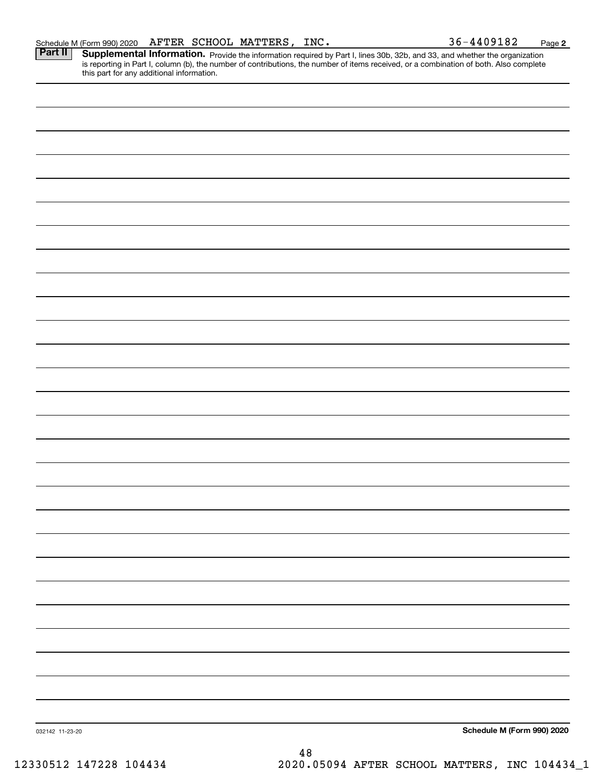Part II | Supplemental Information. Provide the information required by Part I, lines 30b, 32b, and 33, and whether the organization is reporting in Part I, column (b), the number of contributions, the number of items received, or a combination of both. Also complete this part for any additional information.

032142 11-23-20 **Schedule M (Form 990) 2020**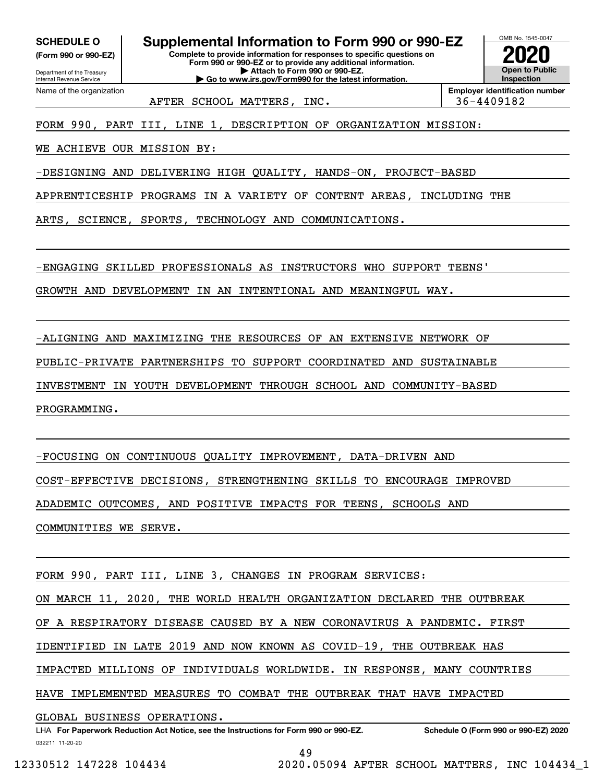**(Form 990 or 990-EZ)**

Department of the Treasury Internal Revenue Service Name of the organization

### **SCHEDULE O Supplemental Information to Form 990 or 990-EZ**

**Complete to provide information for responses to specific questions on Form 990 or 990-EZ or to provide any additional information. | Attach to Form 990 or 990-EZ. | Go to www.irs.gov/Form990 for the latest information.**



AFTER SCHOOL MATTERS, INC.  $\vert$  36-4409182

FORM 990, PART III, LINE 1, DESCRIPTION OF ORGANIZATION MISSION:

WE ACHIEVE OUR MISSION BY:

-DESIGNING AND DELIVERING HIGH QUALITY, HANDS-ON, PROJECT-BASED

APPRENTICESHIP PROGRAMS IN A VARIETY OF CONTENT AREAS, INCLUDING THE

ARTS, SCIENCE, SPORTS, TECHNOLOGY AND COMMUNICATIONS.

-ENGAGING SKILLED PROFESSIONALS AS INSTRUCTORS WHO SUPPORT TEENS'

GROWTH AND DEVELOPMENT IN AN INTENTIONAL AND MEANINGFUL WAY.

-ALIGNING AND MAXIMIZING THE RESOURCES OF AN EXTENSIVE NETWORK OF

PUBLIC-PRIVATE PARTNERSHIPS TO SUPPORT COORDINATED AND SUSTAINABLE

INVESTMENT IN YOUTH DEVELOPMENT THROUGH SCHOOL AND COMMUNITY-BASED

PROGRAMMING.

-FOCUSING ON CONTINUOUS QUALITY IMPROVEMENT, DATA-DRIVEN AND

COST-EFFECTIVE DECISIONS, STRENGTHENING SKILLS TO ENCOURAGE IMPROVED

ADADEMIC OUTCOMES, AND POSITIVE IMPACTS FOR TEENS, SCHOOLS AND

COMMUNITIES WE SERVE.

FORM 990, PART III, LINE 3, CHANGES IN PROGRAM SERVICES:

ON MARCH 11, 2020, THE WORLD HEALTH ORGANIZATION DECLARED THE OUTBREAK

OF A RESPIRATORY DISEASE CAUSED BY A NEW CORONAVIRUS A PANDEMIC. FIRST

IDENTIFIED IN LATE 2019 AND NOW KNOWN AS COVID-19, THE OUTBREAK HAS

IMPACTED MILLIONS OF INDIVIDUALS WORLDWIDE. IN RESPONSE, MANY COUNTRIES

HAVE IMPLEMENTED MEASURES TO COMBAT THE OUTBREAK THAT HAVE IMPACTED

GLOBAL BUSINESS OPERATIONS.

49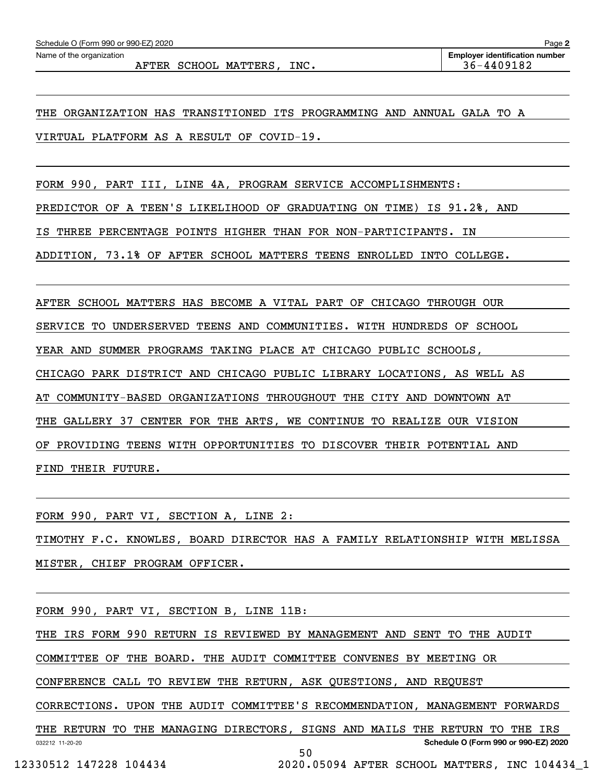AFTER SCHOOL MATTERS, INC.  $36-4409182$ 

THE ORGANIZATION HAS TRANSITIONED ITS PROGRAMMING AND ANNUAL GALA TO A VIRTUAL PLATFORM AS A RESULT OF COVID-19.

FORM 990, PART III, LINE 4A, PROGRAM SERVICE ACCOMPLISHMENTS:

PREDICTOR OF A TEEN'S LIKELIHOOD OF GRADUATING ON TIME) IS 91.2%, AND

IS THREE PERCENTAGE POINTS HIGHER THAN FOR NON-PARTICIPANTS. IN

ADDITION, 73.1% OF AFTER SCHOOL MATTERS TEENS ENROLLED INTO COLLEGE.

AFTER SCHOOL MATTERS HAS BECOME A VITAL PART OF CHICAGO THROUGH OUR

SERVICE TO UNDERSERVED TEENS AND COMMUNITIES. WITH HUNDREDS OF SCHOOL

YEAR AND SUMMER PROGRAMS TAKING PLACE AT CHICAGO PUBLIC SCHOOLS,

CHICAGO PARK DISTRICT AND CHICAGO PUBLIC LIBRARY LOCATIONS, AS WELL AS

AT COMMUNITY-BASED ORGANIZATIONS THROUGHOUT THE CITY AND DOWNTOWN AT

THE GALLERY 37 CENTER FOR THE ARTS, WE CONTINUE TO REALIZE OUR VISION

OF PROVIDING TEENS WITH OPPORTUNITIES TO DISCOVER THEIR POTENTIAL AND

FIND THEIR FUTURE.

FORM 990, PART VI, SECTION A, LINE 2:

TIMOTHY F.C. KNOWLES, BOARD DIRECTOR HAS A FAMILY RELATIONSHIP WITH MELISSA MISTER, CHIEF PROGRAM OFFICER.

FORM 990, PART VI, SECTION B, LINE 11B:

THE IRS FORM 990 RETURN IS REVIEWED BY MANAGEMENT AND SENT TO THE AUDIT

COMMITTEE OF THE BOARD. THE AUDIT COMMITTEE CONVENES BY MEETING OR

CONFERENCE CALL TO REVIEW THE RETURN, ASK QUESTIONS, AND REQUEST

CORRECTIONS. UPON THE AUDIT COMMITTEE'S RECOMMENDATION, MANAGEMENT FORWARDS

032212 11-20-20 **Schedule O (Form 990 or 990-EZ) 2020** THE RETURN TO THE MANAGING DIRECTORS, SIGNS AND MAILS THE RETURN TO THE IRS 50

12330512 147228 104434 2020.05094 AFTER SCHOOL MATTERS, INC 104434\_1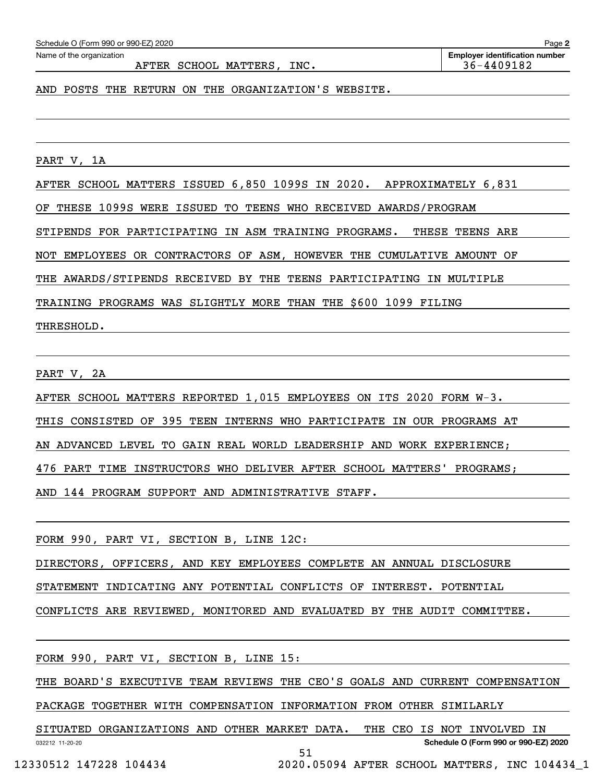#### AFTER SCHOOL MATTERS, INC.  $\vert$  36-4409182

AND POSTS THE RETURN ON THE ORGANIZATION'S WEBSITE.

PART V, 1A

AFTER SCHOOL MATTERS ISSUED 6,850 1099S IN 2020. APPROXIMATELY 6,831

OF THESE 1099S WERE ISSUED TO TEENS WHO RECEIVED AWARDS/PROGRAM

STIPENDS FOR PARTICIPATING IN ASM TRAINING PROGRAMS. THESE TEENS ARE

NOT EMPLOYEES OR CONTRACTORS OF ASM, HOWEVER THE CUMULATIVE AMOUNT OF

THE AWARDS/STIPENDS RECEIVED BY THE TEENS PARTICIPATING IN MULTIPLE

TRAINING PROGRAMS WAS SLIGHTLY MORE THAN THE \$600 1099 FILING

THRESHOLD.

PART V, 2A

AFTER SCHOOL MATTERS REPORTED 1,015 EMPLOYEES ON ITS 2020 FORM W-3.

THIS CONSISTED OF 395 TEEN INTERNS WHO PARTICIPATE IN OUR PROGRAMS AT

AN ADVANCED LEVEL TO GAIN REAL WORLD LEADERSHIP AND WORK EXPERIENCE;

476 PART TIME INSTRUCTORS WHO DELIVER AFTER SCHOOL MATTERS' PROGRAMS;

AND 144 PROGRAM SUPPORT AND ADMINISTRATIVE STAFF.

FORM 990, PART VI, SECTION B, LINE 12C:

DIRECTORS, OFFICERS, AND KEY EMPLOYEES COMPLETE AN ANNUAL DISCLOSURE

STATEMENT INDICATING ANY POTENTIAL CONFLICTS OF INTEREST. POTENTIAL

CONFLICTS ARE REVIEWED, MONITORED AND EVALUATED BY THE AUDIT COMMITTEE.

FORM 990, PART VI, SECTION B, LINE 15:

THE BOARD'S EXECUTIVE TEAM REVIEWS THE CEO'S GOALS AND CURRENT COMPENSATION

PACKAGE TOGETHER WITH COMPENSATION INFORMATION FROM OTHER SIMILARLY

032212 11-20-20 **Schedule O (Form 990 or 990-EZ) 2020** SITUATED ORGANIZATIONS AND OTHER MARKET DATA. THE CEO IS NOT INVOLVED IN 51

12330512 147228 104434 2020.05094 AFTER SCHOOL MATTERS, INC 104434\_1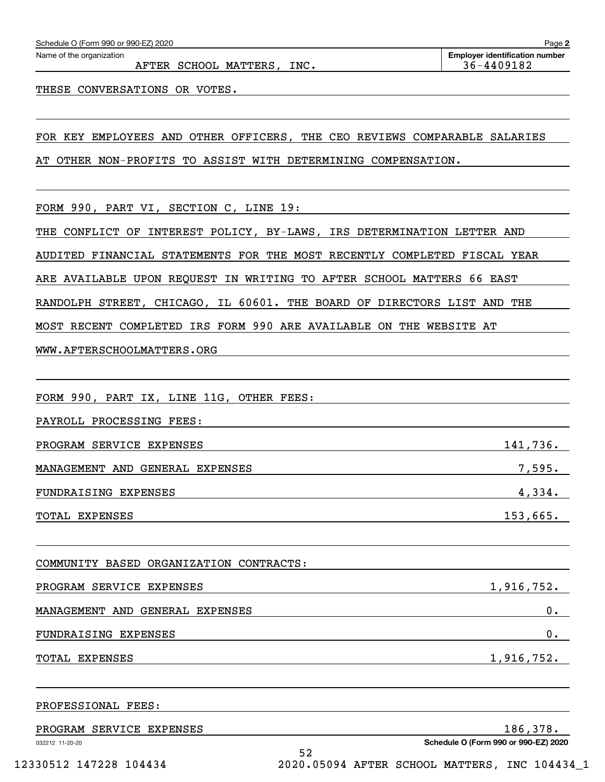| FOR KEY EMPLOYEES AND OTHER OFFICERS, THE CEO REVIEWS COMPARABLE SALARIES |            |
|---------------------------------------------------------------------------|------------|
| AT OTHER NON-PROFITS TO ASSIST WITH DETERMINING COMPENSATION.             |            |
|                                                                           |            |
| FORM 990, PART VI, SECTION C, LINE 19:                                    |            |
| THE CONFLICT OF INTEREST POLICY, BY-LAWS, IRS DETERMINATION LETTER AND    |            |
| AUDITED FINANCIAL STATEMENTS FOR THE MOST RECENTLY COMPLETED FISCAL YEAR  |            |
| ARE AVAILABLE UPON REQUEST IN WRITING TO AFTER SCHOOL MATTERS 66 EAST     |            |
| RANDOLPH STREET, CHICAGO, IL 60601. THE BOARD OF DIRECTORS LIST AND THE   |            |
| MOST RECENT COMPLETED IRS FORM 990 ARE AVAILABLE ON THE WEBSITE AT        |            |
| WWW.AFTERSCHOOLMATTERS.ORG                                                |            |
|                                                                           |            |
| FORM 990, PART IX, LINE 11G, OTHER FEES:                                  |            |
| PAYROLL PROCESSING FEES:                                                  |            |
| PROGRAM SERVICE EXPENSES                                                  | 141,736.   |
| MANAGEMENT AND GENERAL EXPENSES                                           |            |
| FUNDRAISING EXPENSES                                                      | 4,334.     |
| TOTAL EXPENSES                                                            | 153,665.   |
| COMMUNITY BASED ORGANIZATION CONTRACTS:                                   |            |
| PROGRAM SERVICE EXPENSES                                                  | 1,916,752. |
| MANAGEMENT AND GENERAL EXPENSES                                           | 0.         |
| FUNDRAISING EXPENSES                                                      | $0$ .      |
| TOTAL EXPENSES                                                            | 1,916,752. |
| PROFESSIONAL FEES:                                                        |            |
| PROGRAM SERVICE EXPENSES                                                  | 186,378.   |

AFTER SCHOOL MATTERS, INC. 36-4409182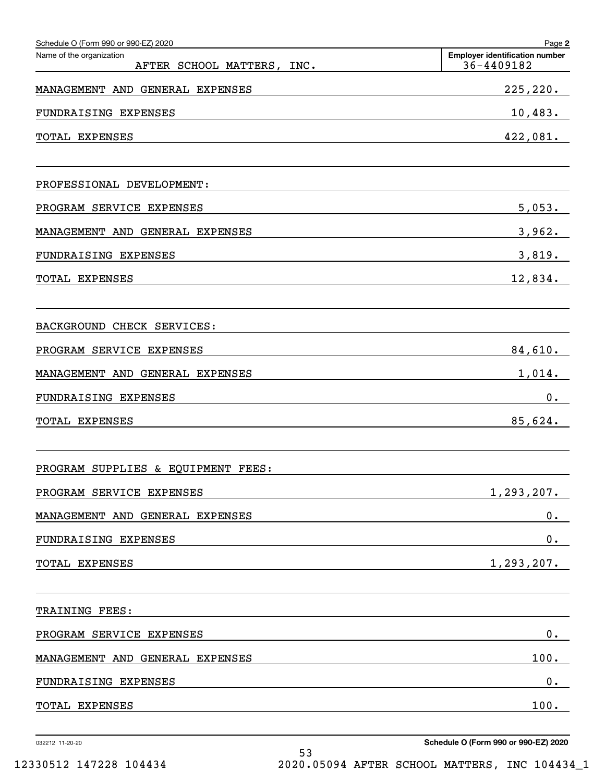| Schedule O (Form 990 or 990-EZ) 2020                   | Page 2                                              |
|--------------------------------------------------------|-----------------------------------------------------|
| Name of the organization<br>AFTER SCHOOL MATTERS, INC. | <b>Employer identification number</b><br>36-4409182 |
| MANAGEMENT AND GENERAL EXPENSES                        | 225, 220.                                           |
| FUNDRAISING EXPENSES                                   | 10,483.                                             |
| TOTAL EXPENSES                                         | 422,081.                                            |
| PROFESSIONAL DEVELOPMENT:                              |                                                     |
| PROGRAM SERVICE EXPENSES                               | 5,053.                                              |
| MANAGEMENT AND GENERAL EXPENSES                        | 3,962.                                              |
| FUNDRAISING EXPENSES                                   | 3,819.                                              |
| TOTAL EXPENSES                                         | 12,834.                                             |
| BACKGROUND CHECK SERVICES:                             |                                                     |
| PROGRAM SERVICE EXPENSES                               | 84,610.                                             |
| MANAGEMENT AND GENERAL EXPENSES                        | 1,014.                                              |
| FUNDRAISING EXPENSES                                   | $0$ .                                               |
| TOTAL EXPENSES                                         | 85,624.                                             |
| PROGRAM SUPPLIES & EQUIPMENT FEES:                     |                                                     |
| PROGRAM SERVICE EXPENSES                               | 1,293,207.                                          |
| MANAGEMENT AND GENERAL EXPENSES                        | $0$ .                                               |
| FUNDRAISING EXPENSES                                   | 0.                                                  |
| TOTAL EXPENSES                                         | $1, 293, 207$ .                                     |
| TRAINING FEES:                                         |                                                     |
| PROGRAM SERVICE EXPENSES                               | $0$ .                                               |
| MANAGEMENT AND GENERAL EXPENSES                        | 100.                                                |
| FUNDRAISING EXPENSES                                   | $0$ .                                               |
| TOTAL EXPENSES                                         | 100.                                                |
|                                                        |                                                     |

032212 11-20-20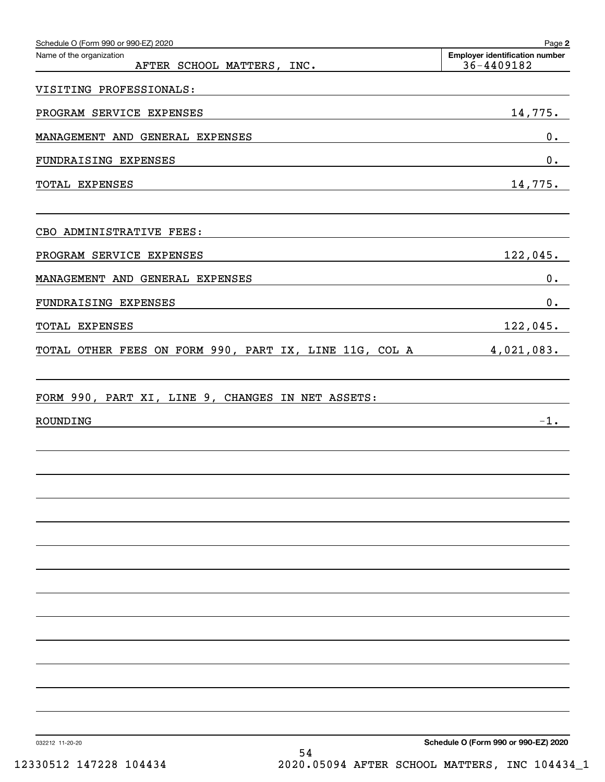| Schedule O (Form 990 or 990-EZ) 2020<br>Name of the organization<br>AFTER SCHOOL MATTERS, INC. | Page 2<br><b>Employer identification number</b><br>36-4409182 |
|------------------------------------------------------------------------------------------------|---------------------------------------------------------------|
| VISITING PROFESSIONALS:                                                                        |                                                               |
| PROGRAM SERVICE EXPENSES                                                                       | 14,775.                                                       |
| MANAGEMENT AND GENERAL EXPENSES                                                                | $0$ .                                                         |
| FUNDRAISING EXPENSES                                                                           | $0$ .                                                         |
| TOTAL EXPENSES                                                                                 | 14,775.                                                       |
| CBO ADMINISTRATIVE FEES:                                                                       |                                                               |
| PROGRAM SERVICE EXPENSES                                                                       | 122,045.                                                      |
| MANAGEMENT AND GENERAL EXPENSES                                                                | $0$ .                                                         |
| FUNDRAISING EXPENSES                                                                           | $0$ .                                                         |
| TOTAL EXPENSES                                                                                 | 122,045.                                                      |
| TOTAL OTHER FEES ON FORM 990, PART IX, LINE 11G, COL A                                         | 4,021,083.                                                    |
| FORM 990, PART XI, LINE 9, CHANGES IN NET ASSETS:                                              |                                                               |
| ROUNDING                                                                                       | $-1$ .                                                        |
|                                                                                                |                                                               |
|                                                                                                |                                                               |
|                                                                                                |                                                               |
|                                                                                                |                                                               |
|                                                                                                |                                                               |
|                                                                                                |                                                               |
|                                                                                                |                                                               |
|                                                                                                |                                                               |
|                                                                                                |                                                               |
|                                                                                                |                                                               |
|                                                                                                |                                                               |

032212 11-20-20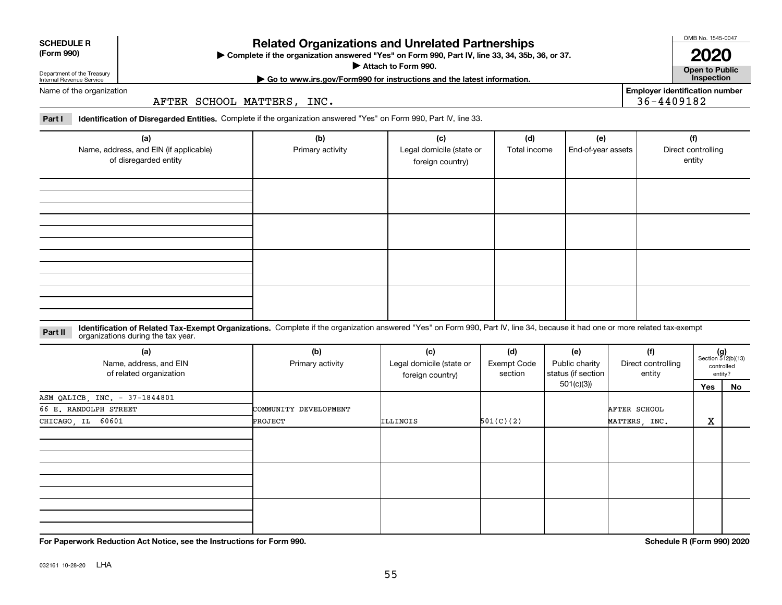| Department of the Treasury |  |
|----------------------------|--|
| Internal Revenue Service   |  |

**SCHEDULE R (Form 990)**

### **Related Organizations and Unrelated Partnerships**

**Complete if the organization answered "Yes" on Form 990, Part IV, line 33, 34, 35b, 36, or 37.** |

**Attach to Form 990.**  |

OMB No. 1545-0047 **2020**

**Open to Public | Go to www.irs.gov/Form990 for instructions and the latest information. Inspection**

**Employer identification number**

36-4409182

Name of the organization

AFTER SCHOOL MATTERS, INC.

**Part I Identification of Disregarded Entities.**  Complete if the organization answered "Yes" on Form 990, Part IV, line 33.

| (a)<br>Name, address, and EIN (if applicable)<br>of disregarded entity | (b)<br>Primary activity | (c)<br>Legal domicile (state or<br>foreign country) | (d)<br>Total income | (e)<br>End-of-year assets | (f)<br>Direct controlling<br>entity |
|------------------------------------------------------------------------|-------------------------|-----------------------------------------------------|---------------------|---------------------------|-------------------------------------|
|                                                                        |                         |                                                     |                     |                           |                                     |
|                                                                        |                         |                                                     |                     |                           |                                     |
|                                                                        |                         |                                                     |                     |                           |                                     |
|                                                                        |                         |                                                     |                     |                           |                                     |

**Identification of Related Tax-Exempt Organizations.** Complete if the organization answered "Yes" on Form 990, Part IV, line 34, because it had one or more related tax-exempt **Part II** organizations during the tax year.

| (a)<br>Name, address, and EIN<br>of related organization | (b)<br>Primary activity | (c)<br>Legal domicile (state or<br>foreign country) | (d)<br><b>Exempt Code</b><br>section | (e)<br>Public charity<br>status (if section | (f)<br>Direct controlling<br>entity | $(g)$<br>Section 512(b)(13)<br>controlled<br>entity? |    |
|----------------------------------------------------------|-------------------------|-----------------------------------------------------|--------------------------------------|---------------------------------------------|-------------------------------------|------------------------------------------------------|----|
|                                                          |                         |                                                     |                                      | 501(c)(3))                                  |                                     | Yes                                                  | No |
| ASM QALICB, INC. - 37-1844801                            |                         |                                                     |                                      |                                             |                                     |                                                      |    |
| 66 E. RANDOLPH STREET                                    | COMMUNITY DEVELOPMENT   |                                                     |                                      |                                             | AFTER SCHOOL                        |                                                      |    |
| CHICAGO, IL 60601                                        | PROJECT                 | ILLINOIS                                            | 501(C)(2)                            |                                             | MATTERS, INC.                       | X                                                    |    |
|                                                          |                         |                                                     |                                      |                                             |                                     |                                                      |    |
|                                                          |                         |                                                     |                                      |                                             |                                     |                                                      |    |
|                                                          |                         |                                                     |                                      |                                             |                                     |                                                      |    |

**For Paperwork Reduction Act Notice, see the Instructions for Form 990. Schedule R (Form 990) 2020**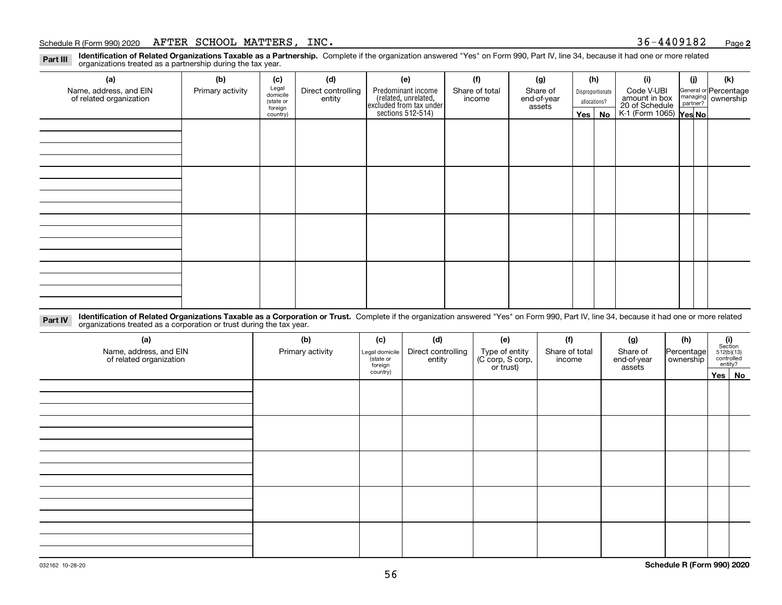#### Schedule R (Form 990) 2020 Page AFTER SCHOOL MATTERS, INC. 36-4409182

**2**

**Identification of Related Organizations Taxable as a Partnership.** Complete if the organization answered "Yes" on Form 990, Part IV, line 34, because it had one or more related **Part III** organizations treated as a partnership during the tax year.

| (a)                     | (b)              | (c)                  | (d)                | (e)                                                                 | (f)            | (g)                   |                  | (h)          | (i)                                               | (i) | (k)                                                     |
|-------------------------|------------------|----------------------|--------------------|---------------------------------------------------------------------|----------------|-----------------------|------------------|--------------|---------------------------------------------------|-----|---------------------------------------------------------|
| Name, address, and EIN  | Primary activity | Legal<br>domicile    | Direct controlling | Predominant income                                                  | Share of total | Share of              | Disproportionate |              | Code V-UBI<br>amount in box                       |     | General or Percentage<br>managing ownership<br>partner? |
| of related organization |                  | (state or<br>foreign | entity             | related, unrelated,<br>excluded from tax under<br>sections 512-514) | income         | end-of-year<br>assets |                  | allocations? |                                                   |     |                                                         |
|                         |                  | country)             |                    |                                                                     |                |                       |                  | Yes   No     | 20 of Schedule Partner?<br>K-1 (Form 1065) Yes No |     |                                                         |
|                         |                  |                      |                    |                                                                     |                |                       |                  |              |                                                   |     |                                                         |
|                         |                  |                      |                    |                                                                     |                |                       |                  |              |                                                   |     |                                                         |
|                         |                  |                      |                    |                                                                     |                |                       |                  |              |                                                   |     |                                                         |
|                         |                  |                      |                    |                                                                     |                |                       |                  |              |                                                   |     |                                                         |
|                         |                  |                      |                    |                                                                     |                |                       |                  |              |                                                   |     |                                                         |
|                         |                  |                      |                    |                                                                     |                |                       |                  |              |                                                   |     |                                                         |
|                         |                  |                      |                    |                                                                     |                |                       |                  |              |                                                   |     |                                                         |
|                         |                  |                      |                    |                                                                     |                |                       |                  |              |                                                   |     |                                                         |
|                         |                  |                      |                    |                                                                     |                |                       |                  |              |                                                   |     |                                                         |
|                         |                  |                      |                    |                                                                     |                |                       |                  |              |                                                   |     |                                                         |
|                         |                  |                      |                    |                                                                     |                |                       |                  |              |                                                   |     |                                                         |
|                         |                  |                      |                    |                                                                     |                |                       |                  |              |                                                   |     |                                                         |
|                         |                  |                      |                    |                                                                     |                |                       |                  |              |                                                   |     |                                                         |
|                         |                  |                      |                    |                                                                     |                |                       |                  |              |                                                   |     |                                                         |
|                         |                  |                      |                    |                                                                     |                |                       |                  |              |                                                   |     |                                                         |
|                         |                  |                      |                    |                                                                     |                |                       |                  |              |                                                   |     |                                                         |
|                         |                  |                      |                    |                                                                     |                |                       |                  |              |                                                   |     |                                                         |

**Identification of Related Organizations Taxable as a Corporation or Trust.** Complete if the organization answered "Yes" on Form 990, Part IV, line 34, because it had one or more related **Part IV** organizations treated as a corporation or trust during the tax year.

| (a)<br>Name, address, and EIN<br>of related organization | (b)<br>Primary activity | (c)<br>Legal domicile<br>(state or<br>foreign | (d)<br>Direct controlling<br>entity | (e)<br>Type of entity<br>(C corp, S corp,<br>or trust) | (f)<br>Share of total<br>income | (g)<br>Share of<br>end-of-year<br>assets | (h)<br>Percentage<br>ownership | $\begin{array}{c} \textbf{(i)}\\ \text{Section}\\ 512 \text{(b)} \text{(13)}\\ \text{controlled}\\ \text{entity?} \end{array}$ |  |  |
|----------------------------------------------------------|-------------------------|-----------------------------------------------|-------------------------------------|--------------------------------------------------------|---------------------------------|------------------------------------------|--------------------------------|--------------------------------------------------------------------------------------------------------------------------------|--|--|
|                                                          |                         | country)                                      |                                     |                                                        |                                 |                                          |                                | Yes   No                                                                                                                       |  |  |
|                                                          |                         |                                               |                                     |                                                        |                                 |                                          |                                |                                                                                                                                |  |  |
|                                                          |                         |                                               |                                     |                                                        |                                 |                                          |                                |                                                                                                                                |  |  |
|                                                          |                         |                                               |                                     |                                                        |                                 |                                          |                                |                                                                                                                                |  |  |
|                                                          |                         |                                               |                                     |                                                        |                                 |                                          |                                |                                                                                                                                |  |  |
|                                                          |                         |                                               |                                     |                                                        |                                 |                                          |                                |                                                                                                                                |  |  |
|                                                          |                         |                                               |                                     |                                                        |                                 |                                          |                                |                                                                                                                                |  |  |
|                                                          |                         |                                               |                                     |                                                        |                                 |                                          |                                |                                                                                                                                |  |  |
|                                                          |                         |                                               |                                     |                                                        |                                 |                                          |                                |                                                                                                                                |  |  |
|                                                          |                         |                                               |                                     |                                                        |                                 |                                          |                                |                                                                                                                                |  |  |
|                                                          |                         |                                               |                                     |                                                        |                                 |                                          |                                |                                                                                                                                |  |  |
|                                                          |                         |                                               |                                     |                                                        |                                 |                                          |                                |                                                                                                                                |  |  |
|                                                          |                         |                                               |                                     |                                                        |                                 |                                          |                                |                                                                                                                                |  |  |
|                                                          |                         |                                               |                                     |                                                        |                                 |                                          |                                |                                                                                                                                |  |  |
|                                                          |                         |                                               |                                     |                                                        |                                 |                                          |                                |                                                                                                                                |  |  |
|                                                          |                         |                                               |                                     |                                                        |                                 |                                          |                                |                                                                                                                                |  |  |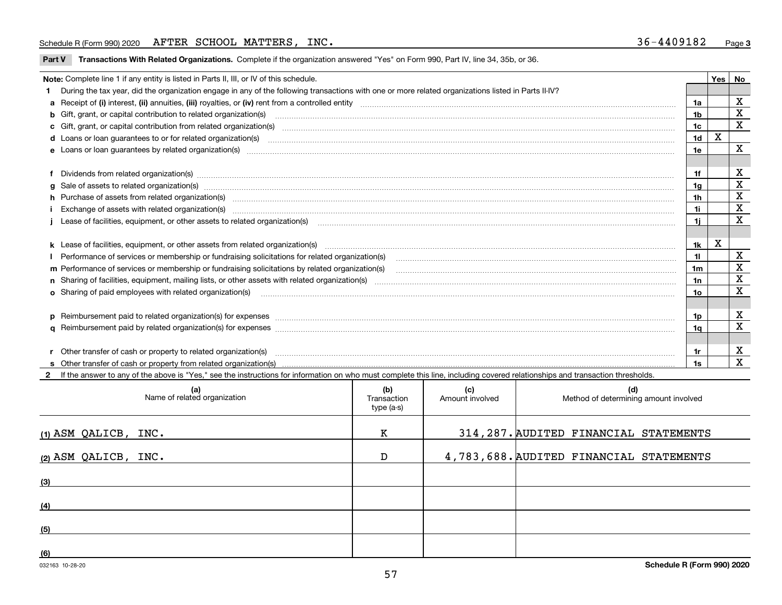**Part V** T**ransactions With Related Organizations.** Complete if the organization answered "Yes" on Form 990, Part IV, line 34, 35b, or 36.

| Note: Complete line 1 if any entity is listed in Parts II, III, or IV of this schedule.                                                                                                                                        |                | Yes I | No                      |
|--------------------------------------------------------------------------------------------------------------------------------------------------------------------------------------------------------------------------------|----------------|-------|-------------------------|
| 1 During the tax year, did the organization engage in any of the following transactions with one or more related organizations listed in Parts II-IV?                                                                          |                |       |                         |
| a Receipt of (i) interest, (ii) annuities, (iii) royalties, or (iv) rent from a controlled entity [1] controlled entity [1] controlled entimed to the controlled entity [1] content content content content of (i) interest, ( | 1a             |       | х                       |
| b Gift, grant, or capital contribution to related organization(s) manufactured and contribution to related organization(s)                                                                                                     | 1 <sub>b</sub> |       | X                       |
| c Gift, grant, or capital contribution from related organization(s) material contents and contribution from related organization(s) material contents and content of the content of the content of content of content of conte | 1c             |       | $\mathbf X$             |
|                                                                                                                                                                                                                                | 1 <sub>d</sub> | X     |                         |
| e Loans or loan guarantees by related organization(s) manufaction content and content and content and content and content and content and content and content and content and content and content and content and content and  | 1e             |       | $\mathbf X$             |
|                                                                                                                                                                                                                                |                |       |                         |
| f Dividends from related organization(s) manufactured and contract and contract of the contract of the contract of the contract of the contract of the contract of the contract of the contract of the contract of the contrac | 1f             |       | х                       |
|                                                                                                                                                                                                                                | 1a             |       | X                       |
| h Purchase of assets from related organization(s) manufactured and content to content the content of assets from related organization(s)                                                                                       | 1 <sub>h</sub> |       | X                       |
|                                                                                                                                                                                                                                | 1i             |       | $\mathbf X$             |
| Lease of facilities, equipment, or other assets to related organization(s) contraction contraction control and the set of facilities, equipment, or other assets to related organization(s) contraction control and the set of | 1i             |       | $\mathbf{x}$            |
|                                                                                                                                                                                                                                |                |       |                         |
|                                                                                                                                                                                                                                | 1k             | X     |                         |
|                                                                                                                                                                                                                                | 11             |       | $\mathbf X$             |
| m Performance of services or membership or fundraising solicitations by related organization(s)                                                                                                                                | 1m             |       | $\mathbf x$             |
|                                                                                                                                                                                                                                | 1n             |       | X                       |
| <b>o</b> Sharing of paid employees with related organization(s)                                                                                                                                                                | 10             |       | $\overline{\mathbf{X}}$ |
|                                                                                                                                                                                                                                |                |       |                         |
|                                                                                                                                                                                                                                | 1p.            |       | X                       |
|                                                                                                                                                                                                                                | 1a             |       | $\mathbf x$             |
|                                                                                                                                                                                                                                |                |       |                         |
| r Other transfer of cash or property to related organization(s)                                                                                                                                                                | 1r             |       | X                       |
|                                                                                                                                                                                                                                | 1s             |       | X                       |
| 2 If the answer to any of the above is "Yes," see the instructions for information on who must complete this line, including covered relationships and transaction thresholds.                                                 |                |       |                         |

| (a)<br>Name of related organization | (b)<br>Transaction<br>type (a-s) | (c)<br>Amount involved | (d)<br>Method of determining amount involved |
|-------------------------------------|----------------------------------|------------------------|----------------------------------------------|
| $(1)$ ASM QALICB, INC.              | к                                |                        | 314, 287. AUDITED FINANCIAL STATEMENTS       |
| (2) ASM QALICB, INC.                | D                                |                        | 4,783,688. AUDITED FINANCIAL STATEMENTS      |
| (3)                                 |                                  |                        |                                              |
| (4)                                 |                                  |                        |                                              |
| (5)                                 |                                  |                        |                                              |
| (6)                                 |                                  |                        |                                              |

 $\overline{\phantom{a}}$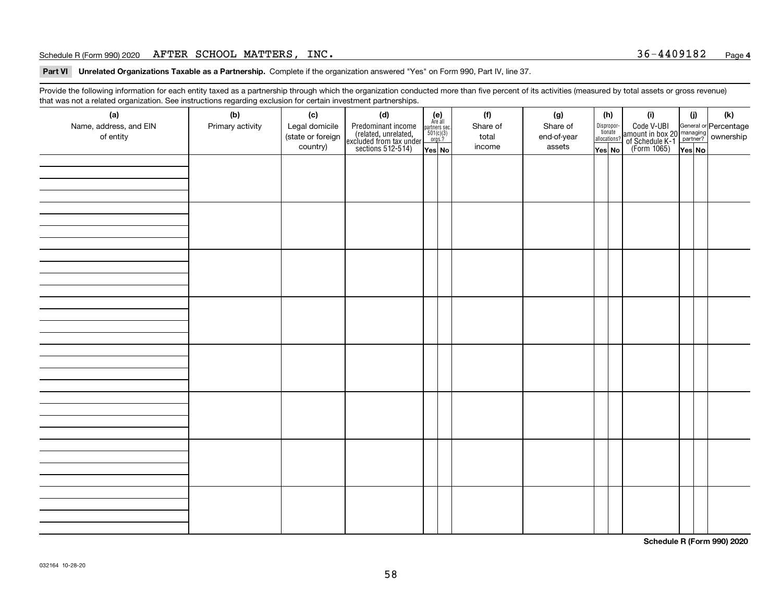#### Schedule R (Form 990) 2020 Page AFTER SCHOOL MATTERS, INC. 36-4409182

**Part VI Unrelated Organizations Taxable as a Partnership. Complete if the organization answered "Yes" on Form 990, Part IV, line 37.** 

Provide the following information for each entity taxed as a partnership through which the organization conducted more than five percent of its activities (measured by total assets or gross revenue) that was not a related organization. See instructions regarding exclusion for certain investment partnerships.

| ັ                      | ັ<br>ັ           |                   |                                                                                            |                                      |  |          |             |                                       |                                                                                              |        |     |
|------------------------|------------------|-------------------|--------------------------------------------------------------------------------------------|--------------------------------------|--|----------|-------------|---------------------------------------|----------------------------------------------------------------------------------------------|--------|-----|
| (a)                    | (b)              | (c)               | (d)                                                                                        | (e)<br>Are all                       |  | (f)      | (g)         | (h)                                   | (i)                                                                                          | (i)    | (k) |
| Name, address, and EIN | Primary activity | Legal domicile    | Predominant income<br>(related, unrelated,<br>excluded from tax under<br>sections 512-514) | partners sec.<br>501(c)(3)<br>orgs.? |  | Share of | Share of    | Dispropor-<br>tionate<br>allocations? | Code V-UBI<br>amount in box 20 managing<br>of Schedule K-1 partner?<br>(Form 1065)<br>ves No |        |     |
| of entity              |                  | (state or foreign |                                                                                            |                                      |  | total    | end-of-year |                                       |                                                                                              |        |     |
|                        |                  | country)          |                                                                                            | Yes No                               |  | income   | assets      | Yes No                                |                                                                                              | Yes No |     |
|                        |                  |                   |                                                                                            |                                      |  |          |             |                                       |                                                                                              |        |     |
|                        |                  |                   |                                                                                            |                                      |  |          |             |                                       |                                                                                              |        |     |
|                        |                  |                   |                                                                                            |                                      |  |          |             |                                       |                                                                                              |        |     |
|                        |                  |                   |                                                                                            |                                      |  |          |             |                                       |                                                                                              |        |     |
|                        |                  |                   |                                                                                            |                                      |  |          |             |                                       |                                                                                              |        |     |
|                        |                  |                   |                                                                                            |                                      |  |          |             |                                       |                                                                                              |        |     |
|                        |                  |                   |                                                                                            |                                      |  |          |             |                                       |                                                                                              |        |     |
|                        |                  |                   |                                                                                            |                                      |  |          |             |                                       |                                                                                              |        |     |
|                        |                  |                   |                                                                                            |                                      |  |          |             |                                       |                                                                                              |        |     |
|                        |                  |                   |                                                                                            |                                      |  |          |             |                                       |                                                                                              |        |     |
|                        |                  |                   |                                                                                            |                                      |  |          |             |                                       |                                                                                              |        |     |
|                        |                  |                   |                                                                                            |                                      |  |          |             |                                       |                                                                                              |        |     |
|                        |                  |                   |                                                                                            |                                      |  |          |             |                                       |                                                                                              |        |     |
|                        |                  |                   |                                                                                            |                                      |  |          |             |                                       |                                                                                              |        |     |
|                        |                  |                   |                                                                                            |                                      |  |          |             |                                       |                                                                                              |        |     |
|                        |                  |                   |                                                                                            |                                      |  |          |             |                                       |                                                                                              |        |     |
|                        |                  |                   |                                                                                            |                                      |  |          |             |                                       |                                                                                              |        |     |
|                        |                  |                   |                                                                                            |                                      |  |          |             |                                       |                                                                                              |        |     |
|                        |                  |                   |                                                                                            |                                      |  |          |             |                                       |                                                                                              |        |     |
|                        |                  |                   |                                                                                            |                                      |  |          |             |                                       |                                                                                              |        |     |
|                        |                  |                   |                                                                                            |                                      |  |          |             |                                       |                                                                                              |        |     |
|                        |                  |                   |                                                                                            |                                      |  |          |             |                                       |                                                                                              |        |     |
|                        |                  |                   |                                                                                            |                                      |  |          |             |                                       |                                                                                              |        |     |
|                        |                  |                   |                                                                                            |                                      |  |          |             |                                       |                                                                                              |        |     |
|                        |                  |                   |                                                                                            |                                      |  |          |             |                                       |                                                                                              |        |     |
|                        |                  |                   |                                                                                            |                                      |  |          |             |                                       |                                                                                              |        |     |
|                        |                  |                   |                                                                                            |                                      |  |          |             |                                       |                                                                                              |        |     |
|                        |                  |                   |                                                                                            |                                      |  |          |             |                                       |                                                                                              |        |     |
|                        |                  |                   |                                                                                            |                                      |  |          |             |                                       |                                                                                              |        |     |
|                        |                  |                   |                                                                                            |                                      |  |          |             |                                       |                                                                                              |        |     |
|                        |                  |                   |                                                                                            |                                      |  |          |             |                                       |                                                                                              |        |     |
|                        |                  |                   |                                                                                            |                                      |  |          |             |                                       |                                                                                              |        |     |
|                        |                  |                   |                                                                                            |                                      |  |          |             |                                       |                                                                                              |        |     |
|                        |                  |                   |                                                                                            |                                      |  |          |             |                                       |                                                                                              |        |     |
|                        |                  |                   |                                                                                            |                                      |  |          |             |                                       |                                                                                              |        |     |
|                        |                  |                   |                                                                                            |                                      |  |          |             |                                       |                                                                                              |        |     |

**Schedule R (Form 990) 2020**